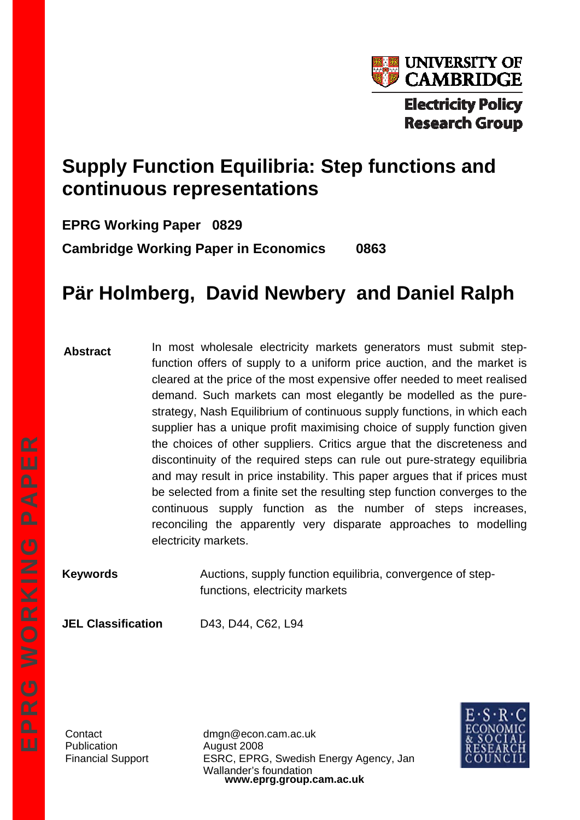

# **Supply Function Equilibria: Step functions and continuous representations**

**EPRG Working Paper 0829 Cambridge Working Paper in Economics 0863** 

# **Pär Holmberg, David Newbery and Daniel Ralph**

**Abstract**  In most wholesale electricity markets generators must submit stepfunction offers of supply to a uniform price auction, and the market is cleared at the price of the most expensive offer needed to meet realised demand. Such markets can most elegantly be modelled as the purestrategy, Nash Equilibrium of continuous supply functions, in which each supplier has a unique profit maximising choice of supply function given the choices of other suppliers. Critics argue that the discreteness and discontinuity of the required steps can rule out pure-strategy equilibria and may result in price instability. This paper argues that if prices must be selected from a finite set the resulting step function converges to the continuous supply function as the number of steps increases, reconciling the apparently very disparate approaches to modelling electricity markets.

**Keywords Auctions, supply function equilibria, convergence of step**functions, electricity markets

**JEL Classification** D43, D44, C62, L94

Publication August 2008

**www.eprg.group.cam.ac.uk**  Contact dmgn@econ.cam.ac.uk Financial Support ESRC, EPRG, Swedish Energy Agency, Jan Wallander's foundation

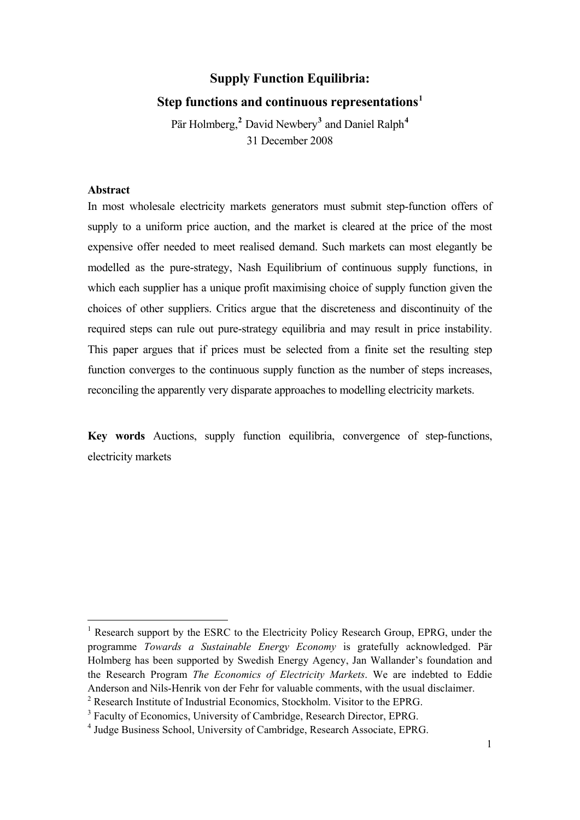# **Supply Function Equilibria:**

# **Step functions and continuous representations[1](#page-1-0)**

Pär Holmberg,<sup>[2](#page-1-1)</sup> David Newbery<sup>[3](#page-1-2)</sup> and Daniel Ralph<sup>[4](#page-1-3)</sup> 31 December 2008

# **Abstract**

<u>.</u>

In most wholesale electricity markets generators must submit step-function offers of supply to a uniform price auction, and the market is cleared at the price of the most expensive offer needed to meet realised demand. Such markets can most elegantly be modelled as the pure-strategy, Nash Equilibrium of continuous supply functions, in which each supplier has a unique profit maximising choice of supply function given the choices of other suppliers. Critics argue that the discreteness and discontinuity of the required steps can rule out pure-strategy equilibria and may result in price instability. This paper argues that if prices must be selected from a finite set the resulting step function converges to the continuous supply function as the number of steps increases, reconciling the apparently very disparate approaches to modelling electricity markets.

**Key words** Auctions, supply function equilibria, convergence of step-functions, electricity markets

<span id="page-1-0"></span><sup>&</sup>lt;sup>1</sup> Research support by the ESRC to the Electricity Policy Research Group, EPRG, under the programme *Towards a Sustainable Energy Economy* is gratefully acknowledged. Pär Holmberg has been supported by Swedish Energy Agency, Jan Wallander's foundation and the Research Program *The Economics of Electricity Markets*. We are indebted to Eddie Anderson and Nils-Henrik von der Fehr for valuable comments, with the usual disclaimer.

<span id="page-1-1"></span><sup>&</sup>lt;sup>2</sup> Research Institute of Industrial Economics, Stockholm. Visitor to the EPRG.

<span id="page-1-2"></span><sup>&</sup>lt;sup>3</sup> Faculty of Economics, University of Cambridge, Research Director, EPRG.

<span id="page-1-3"></span><sup>&</sup>lt;sup>4</sup> Judge Business School, University of Cambridge, Research Associate, EPRG.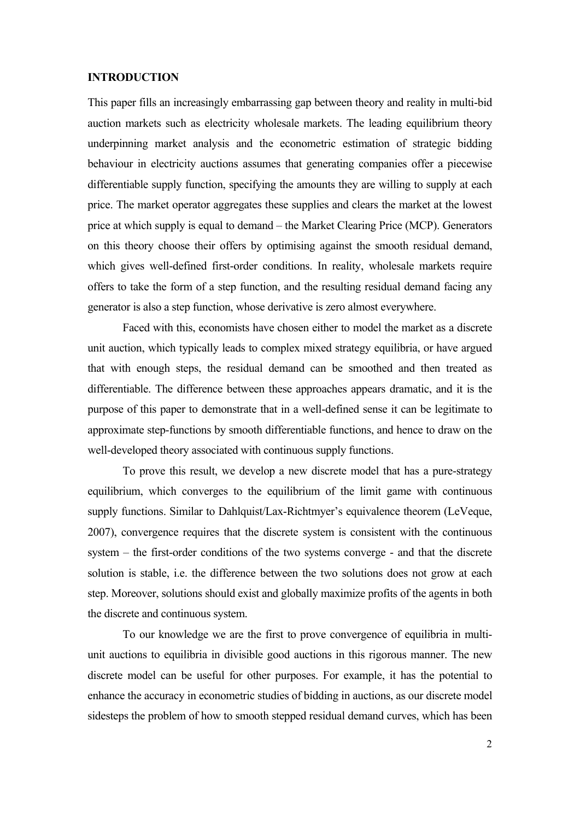#### **INTRODUCTION**

This paper fills an increasingly embarrassing gap between theory and reality in multi-bid auction markets such as electricity wholesale markets. The leading equilibrium theory underpinning market analysis and the econometric estimation of strategic bidding behaviour in electricity auctions assumes that generating companies offer a piecewise differentiable supply function, specifying the amounts they are willing to supply at each price. The market operator aggregates these supplies and clears the market at the lowest price at which supply is equal to demand – the Market Clearing Price (MCP). Generators on this theory choose their offers by optimising against the smooth residual demand, which gives well-defined first-order conditions. In reality, wholesale markets require offers to take the form of a step function, and the resulting residual demand facing any generator is also a step function, whose derivative is zero almost everywhere.

Faced with this, economists have chosen either to model the market as a discrete unit auction, which typically leads to complex mixed strategy equilibria, or have argued that with enough steps, the residual demand can be smoothed and then treated as differentiable. The difference between these approaches appears dramatic, and it is the purpose of this paper to demonstrate that in a well-defined sense it can be legitimate to approximate step-functions by smooth differentiable functions, and hence to draw on the well-developed theory associated with continuous supply functions.

To prove this result, we develop a new discrete model that has a pure-strategy equilibrium, which converges to the equilibrium of the limit game with continuous supply functions. Similar to Dahlquist/Lax-Richtmyer's equivalence theorem (LeVeque, 2007), convergence requires that the discrete system is consistent with the continuous system – the first-order conditions of the two systems converge - and that the discrete solution is stable, i.e. the difference between the two solutions does not grow at each step. Moreover, solutions should exist and globally maximize profits of the agents in both the discrete and continuous system.

To our knowledge we are the first to prove convergence of equilibria in multiunit auctions to equilibria in divisible good auctions in this rigorous manner. The new discrete model can be useful for other purposes. For example, it has the potential to enhance the accuracy in econometric studies of bidding in auctions, as our discrete model sidesteps the problem of how to smooth stepped residual demand curves, which has been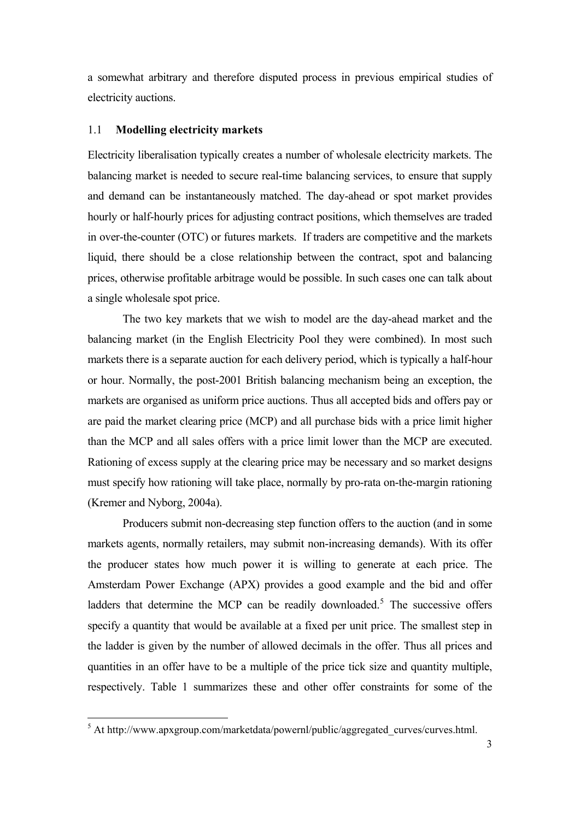a somewhat arbitrary and therefore disputed process in previous empirical studies of electricity auctions.

#### 1.1 **Modelling electricity markets**

Electricity liberalisation typically creates a number of wholesale electricity markets. The balancing market is needed to secure real-time balancing services, to ensure that supply and demand can be instantaneously matched. The day-ahead or spot market provides hourly or half-hourly prices for adjusting contract positions, which themselves are traded in over-the-counter (OTC) or futures markets. If traders are competitive and the markets liquid, there should be a close relationship between the contract, spot and balancing prices, otherwise profitable arbitrage would be possible. In such cases one can talk about a single wholesale spot price.

The two key markets that we wish to model are the day-ahead market and the balancing market (in the English Electricity Pool they were combined). In most such markets there is a separate auction for each delivery period, which is typically a half-hour or hour. Normally, the post-2001 British balancing mechanism being an exception, the markets are organised as uniform price auctions. Thus all accepted bids and offers pay or are paid the market clearing price (MCP) and all purchase bids with a price limit higher than the MCP and all sales offers with a price limit lower than the MCP are executed. Rationing of excess supply at the clearing price may be necessary and so market designs must specify how rationing will take place, normally by pro-rata on-the-margin rationing (Kremer and Nyborg, 2004a).

Producers submit non-decreasing step function offers to the auction (and in some markets agents, normally retailers, may submit non-increasing demands). With its offer the producer states how much power it is willing to generate at each price. The Amsterdam Power Exchange (APX) provides a good example and the bid and offer ladders that determine the MCP can be readily downloaded.<sup>[5](#page-3-0)</sup> The successive offers specify a quantity that would be available at a fixed per unit price. The smallest step in the ladder is given by the number of allowed decimals in the offer. Thus all prices and quantities in an offer have to be a multiple of the price tick size and quantity multiple, respectively. Table 1 summarizes these and other offer constraints for some of the

<u>.</u>

<span id="page-3-0"></span> $5$  At http://www.apxgroup.com/marketdata/powernl/public/aggregated\_curves/curves.html.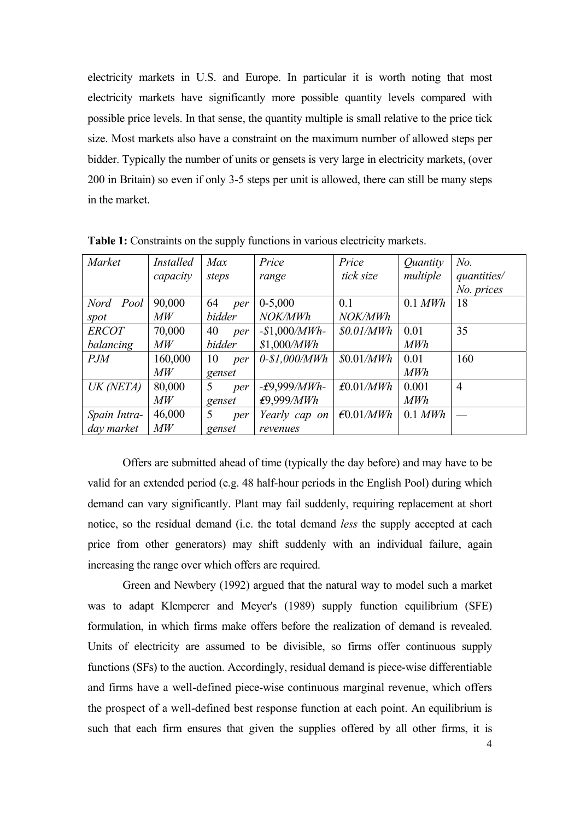electricity markets in U.S. and Europe. In particular it is worth noting that most electricity markets have significantly more possible quantity levels compared with possible price levels. In that sense, the quantity multiple is small relative to the price tick size. Most markets also have a constraint on the maximum number of allowed steps per bidder. Typically the number of units or gensets is very large in electricity markets, (over 200 in Britain) so even if only 3-5 steps per unit is allowed, there can still be many steps in the market.

| <b>Market</b>       | <i>Installed</i> | Max           | Price            | Price               | <i><u><b>Ouantity</b></u></i> | N <sub>o</sub> |
|---------------------|------------------|---------------|------------------|---------------------|-------------------------------|----------------|
|                     | capacity         | steps         | range            | tick size           | multiple                      | quantities/    |
|                     |                  |               |                  |                     |                               | No. prices     |
| Pool<br><b>Nord</b> | 90,000           | 64<br>per     | $0 - 5,000$      | 0.1                 | 0.1 MWh                       | 18             |
| spot                | M W              | <b>bidder</b> | NOK/MWh          | NOK/MWh             |                               |                |
| <b>ERCOT</b>        | 70,000           | 40<br>per     | $-$1,000/MWh$    | \$0.01/MWh          | 0.01                          | 35             |
| balancing           | M W              | bidder        | \$1,000/MWh      |                     | MWh                           |                |
| PJM                 | 160,000          | 10<br>per     | $0 - $1,000/MWh$ | \$0.01/MWh          | 0.01                          | 160            |
|                     | M W              | genset        |                  |                     | MWh                           |                |
| UK (NETA)           | 80,000           | 5<br>per      | $-£9,999/MWh-$   | £0.01/MWh           | 0.001                         | $\overline{4}$ |
|                     | MW               | genset        | £9,999/MWh       |                     | MWh                           |                |
| Spain Intra-        | 46,000           | 5<br>per      | Yearly cap on    | $\epsilon$ 0.01/MWh | 0.1 MWh                       |                |
| day market          | $\overline{MW}$  | genset        | revenues         |                     |                               |                |

**Table 1:** Constraints on the supply functions in various electricity markets.

Offers are submitted ahead of time (typically the day before) and may have to be valid for an extended period (e.g. 48 half-hour periods in the English Pool) during which demand can vary significantly. Plant may fail suddenly, requiring replacement at short notice, so the residual demand (i.e. the total demand *less* the supply accepted at each price from other generators) may shift suddenly with an individual failure, again increasing the range over which offers are required.

Green and Newbery (1992) argued that the natural way to model such a market was to adapt Klemperer and Meyer's (1989) supply function equilibrium (SFE) formulation, in which firms make offers before the realization of demand is revealed. Units of electricity are assumed to be divisible, so firms offer continuous supply functions (SFs) to the auction. Accordingly, residual demand is piece-wise differentiable and firms have a well-defined piece-wise continuous marginal revenue, which offers the prospect of a well-defined best response function at each point. An equilibrium is such that each firm ensures that given the supplies offered by all other firms, it is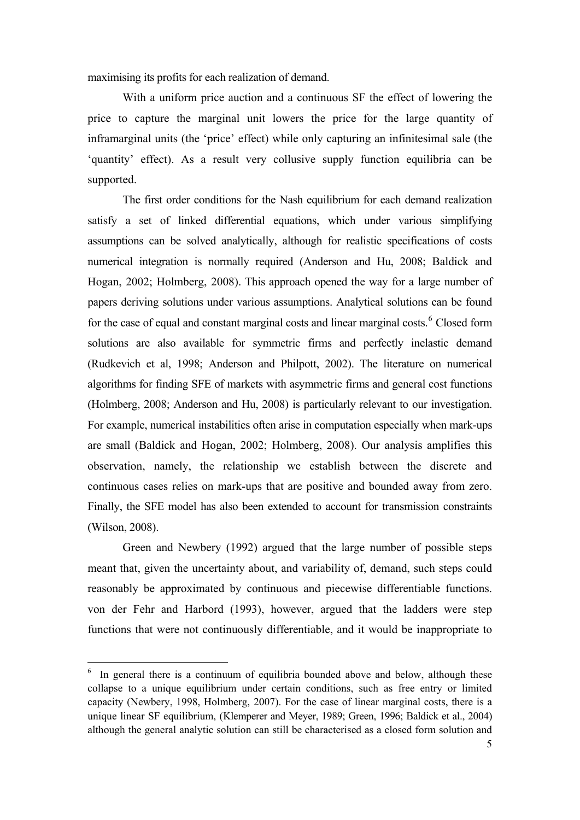maximising its profits for each realization of demand.

With a uniform price auction and a continuous SF the effect of lowering the price to capture the marginal unit lowers the price for the large quantity of inframarginal units (the 'price' effect) while only capturing an infinitesimal sale (the 'quantity' effect). As a result very collusive supply function equilibria can be supported.

The first order conditions for the Nash equilibrium for each demand realization satisfy a set of linked differential equations, which under various simplifying assumptions can be solved analytically, although for realistic specifications of costs numerical integration is normally required (Anderson and Hu, 2008; Baldick and Hogan, 2002; Holmberg, 2008). This approach opened the way for a large number of papers deriving solutions under various assumptions. Analytical solutions can be found for the case of equal and constant marginal costs and linear marginal costs.<sup>[6](#page-5-0)</sup> Closed form solutions are also available for symmetric firms and perfectly inelastic demand (Rudkevich et al, 1998; Anderson and Philpott, 2002). The literature on numerical algorithms for finding SFE of markets with asymmetric firms and general cost functions (Holmberg, 2008; Anderson and Hu, 2008) is particularly relevant to our investigation. For example, numerical instabilities often arise in computation especially when mark-ups are small (Baldick and Hogan, 2002; Holmberg, 2008). Our analysis amplifies this observation, namely, the relationship we establish between the discrete and continuous cases relies on mark-ups that are positive and bounded away from zero. Finally, the SFE model has also been extended to account for transmission constraints (Wilson, 2008).

Green and Newbery (1992) argued that the large number of possible steps meant that, given the uncertainty about, and variability of, demand, such steps could reasonably be approximated by continuous and piecewise differentiable functions. von der Fehr and Harbord (1993), however, argued that the ladders were step functions that were not continuously differentiable, and it would be inappropriate to

1

<span id="page-5-0"></span><sup>&</sup>lt;sup>6</sup> In general there is a continuum of equilibria bounded above and below, although these collapse to a unique equilibrium under certain conditions, such as free entry or limited capacity (Newbery, 1998, Holmberg, 2007). For the case of linear marginal costs, there is a unique linear SF equilibrium, (Klemperer and Meyer, 1989; Green, 1996; Baldick et al., 2004) although the general analytic solution can still be characterised as a closed form solution and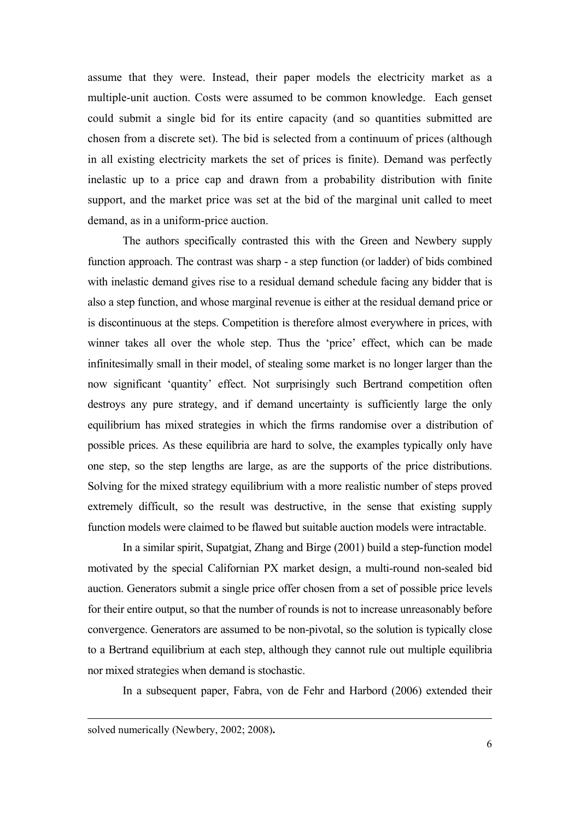assume that they were. Instead, their paper models the electricity market as a multiple-unit auction. Costs were assumed to be common knowledge. Each genset could submit a single bid for its entire capacity (and so quantities submitted are chosen from a discrete set). The bid is selected from a continuum of prices (although in all existing electricity markets the set of prices is finite). Demand was perfectly inelastic up to a price cap and drawn from a probability distribution with finite support, and the market price was set at the bid of the marginal unit called to meet demand, as in a uniform-price auction.

The authors specifically contrasted this with the Green and Newbery supply function approach. The contrast was sharp - a step function (or ladder) of bids combined with inelastic demand gives rise to a residual demand schedule facing any bidder that is also a step function, and whose marginal revenue is either at the residual demand price or is discontinuous at the steps. Competition is therefore almost everywhere in prices, with winner takes all over the whole step. Thus the 'price' effect, which can be made infinitesimally small in their model, of stealing some market is no longer larger than the now significant 'quantity' effect. Not surprisingly such Bertrand competition often destroys any pure strategy, and if demand uncertainty is sufficiently large the only equilibrium has mixed strategies in which the firms randomise over a distribution of possible prices. As these equilibria are hard to solve, the examples typically only have one step, so the step lengths are large, as are the supports of the price distributions. Solving for the mixed strategy equilibrium with a more realistic number of steps proved extremely difficult, so the result was destructive, in the sense that existing supply function models were claimed to be flawed but suitable auction models were intractable.

In a similar spirit, Supatgiat, Zhang and Birge (2001) build a step-function model motivated by the special Californian PX market design, a multi-round non-sealed bid auction. Generators submit a single price offer chosen from a set of possible price levels for their entire output, so that the number of rounds is not to increase unreasonably before convergence. Generators are assumed to be non-pivotal, so the solution is typically close to a Bertrand equilibrium at each step, although they cannot rule out multiple equilibria nor mixed strategies when demand is stochastic.

In a subsequent paper, Fabra, von de Fehr and Harbord (2006) extended their

-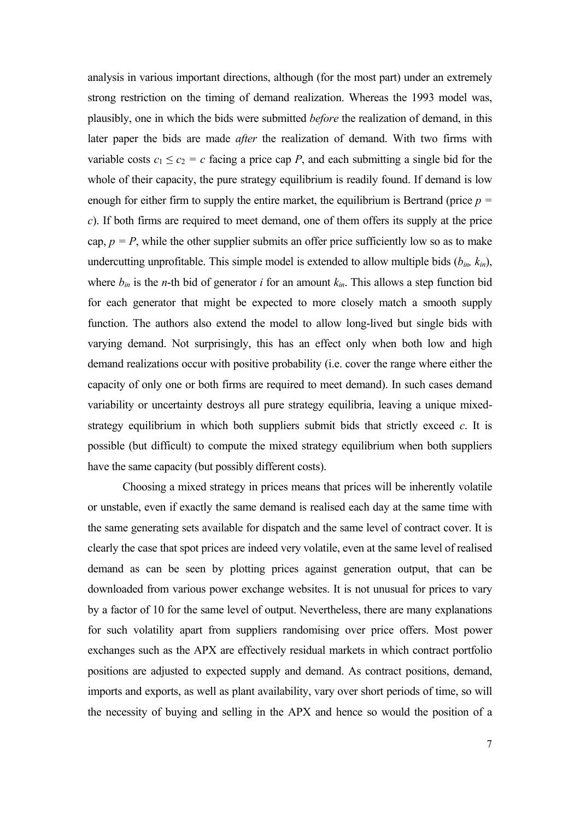analysis in various important directions, although (for the most part) under an extremely strong restriction on the timing of demand realization. Whereas the 1993 model was, plausibly, one in which the bids were submitted *before* the realization of demand, in this later paper the bids are made *after* the realization of demand. With two firms with variable costs  $c_1 \leq c_2 = c$  facing a price cap *P*, and each submitting a single bid for the whole of their capacity, the pure strategy equilibrium is readily found. If demand is low enough for either firm to supply the entire market, the equilibrium is Bertrand (price *p = c*). If both firms are required to meet demand, one of them offers its supply at the price cap,  $p = P$ , while the other supplier submits an offer price sufficiently low so as to make undercutting unprofitable. This simple model is extended to allow multiple bids  $(b_{in}, k_{in})$ , where  $b_{in}$  is the *n*-th bid of generator *i* for an amount  $k_{in}$ . This allows a step function bid for each generator that might be expected to more closely match a smooth supply function. The authors also extend the model to allow long-lived but single bids with varying demand. Not surprisingly, this has an effect only when both low and high demand realizations occur with positive probability (i.e. cover the range where either the capacity of only one or both firms are required to meet demand). In such cases demand variability or uncertainty destroys all pure strategy equilibria, leaving a unique mixedstrategy equilibrium in which both suppliers submit bids that strictly exceed *c*. It is possible (but difficult) to compute the mixed strategy equilibrium when both suppliers have the same capacity (but possibly different costs).

Choosing a mixed strategy in prices means that prices will be inherently volatile or unstable, even if exactly the same demand is realised each day at the same time with the same generating sets available for dispatch and the same level of contract cover. It is clearly the case that spot prices are indeed very volatile, even at the same level of realised demand as can be seen by plotting prices against generation output, that can be downloaded from various power exchange websites. It is not unusual for prices to vary by a factor of 10 for the same level of output. Nevertheless, there are many explanations for such volatility apart from suppliers randomising over price offers. Most power exchanges such as the APX are effectively residual markets in which contract portfolio positions are adjusted to expected supply and demand. As contract positions, demand, imports and exports, as well as plant availability, vary over short periods of time, so will the necessity of buying and selling in the APX and hence so would the position of a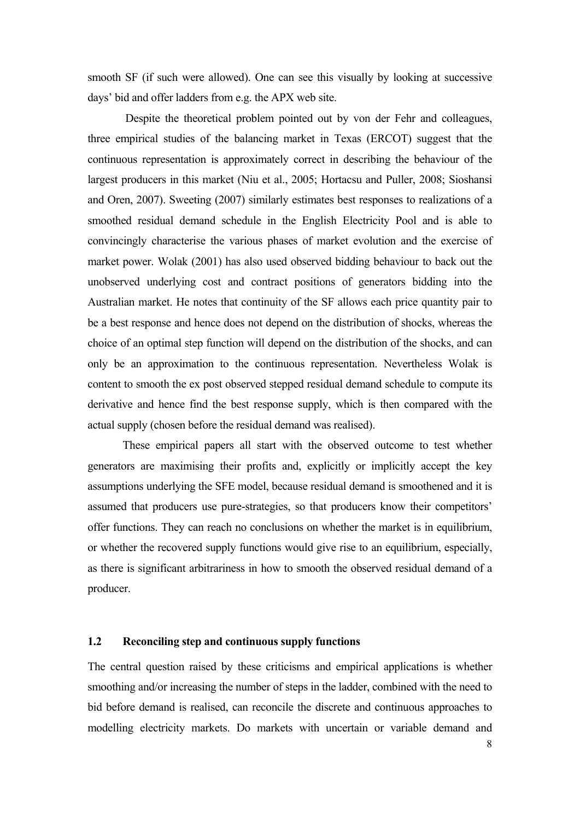smooth SF (if such were allowed). One can see this visually by looking at successive days' bid and offer ladders from e.g. the APX web site.

 Despite the theoretical problem pointed out by von der Fehr and colleagues, three empirical studies of the balancing market in Texas (ERCOT) suggest that the continuous representation is approximately correct in describing the behaviour of the largest producers in this market (Niu et al., 2005; Hortacsu and Puller, 2008; Sioshansi and Oren, 2007). Sweeting (2007) similarly estimates best responses to realizations of a smoothed residual demand schedule in the English Electricity Pool and is able to convincingly characterise the various phases of market evolution and the exercise of market power. Wolak (2001) has also used observed bidding behaviour to back out the unobserved underlying cost and contract positions of generators bidding into the Australian market. He notes that continuity of the SF allows each price quantity pair to be a best response and hence does not depend on the distribution of shocks, whereas the choice of an optimal step function will depend on the distribution of the shocks, and can only be an approximation to the continuous representation. Nevertheless Wolak is content to smooth the ex post observed stepped residual demand schedule to compute its derivative and hence find the best response supply, which is then compared with the actual supply (chosen before the residual demand was realised).

These empirical papers all start with the observed outcome to test whether generators are maximising their profits and, explicitly or implicitly accept the key assumptions underlying the SFE model, because residual demand is smoothened and it is assumed that producers use pure-strategies, so that producers know their competitors' offer functions. They can reach no conclusions on whether the market is in equilibrium, or whether the recovered supply functions would give rise to an equilibrium, especially, as there is significant arbitrariness in how to smooth the observed residual demand of a producer.

## **1.2 Reconciling step and continuous supply functions**

The central question raised by these criticisms and empirical applications is whether smoothing and/or increasing the number of steps in the ladder, combined with the need to bid before demand is realised, can reconcile the discrete and continuous approaches to modelling electricity markets. Do markets with uncertain or variable demand and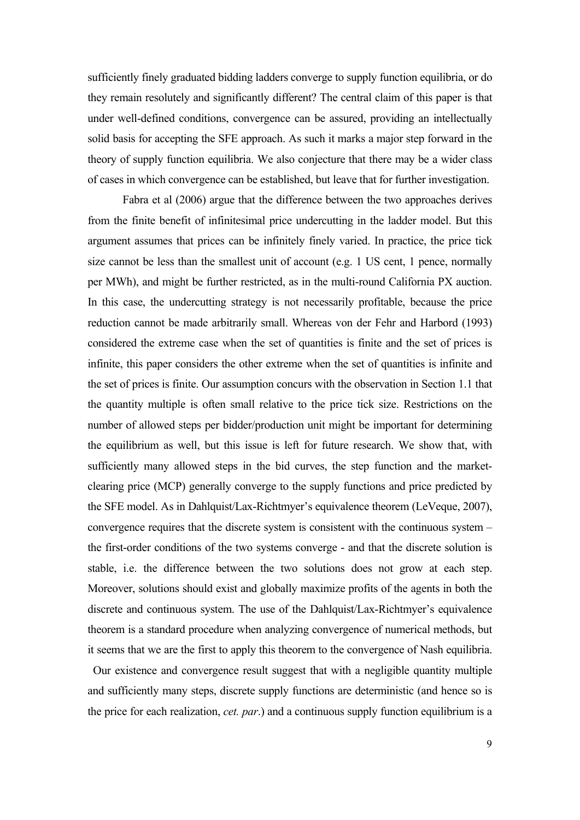sufficiently finely graduated bidding ladders converge to supply function equilibria, or do they remain resolutely and significantly different? The central claim of this paper is that under well-defined conditions, convergence can be assured, providing an intellectually solid basis for accepting the SFE approach. As such it marks a major step forward in the theory of supply function equilibria. We also conjecture that there may be a wider class of cases in which convergence can be established, but leave that for further investigation.

Fabra et al (2006) argue that the difference between the two approaches derives from the finite benefit of infinitesimal price undercutting in the ladder model. But this argument assumes that prices can be infinitely finely varied. In practice, the price tick size cannot be less than the smallest unit of account (e.g. 1 US cent, 1 pence, normally per MWh), and might be further restricted, as in the multi-round California PX auction. In this case, the undercutting strategy is not necessarily profitable, because the price reduction cannot be made arbitrarily small. Whereas von der Fehr and Harbord (1993) considered the extreme case when the set of quantities is finite and the set of prices is infinite, this paper considers the other extreme when the set of quantities is infinite and the set of prices is finite. Our assumption concurs with the observation in Section 1.1 that the quantity multiple is often small relative to the price tick size. Restrictions on the number of allowed steps per bidder/production unit might be important for determining the equilibrium as well, but this issue is left for future research. We show that, with sufficiently many allowed steps in the bid curves, the step function and the marketclearing price (MCP) generally converge to the supply functions and price predicted by the SFE model. As in Dahlquist/Lax-Richtmyer's equivalence theorem (LeVeque, 2007), convergence requires that the discrete system is consistent with the continuous system – the first-order conditions of the two systems converge - and that the discrete solution is stable, i.e. the difference between the two solutions does not grow at each step. Moreover, solutions should exist and globally maximize profits of the agents in both the discrete and continuous system. The use of the Dahlquist/Lax-Richtmyer's equivalence theorem is a standard procedure when analyzing convergence of numerical methods, but it seems that we are the first to apply this theorem to the convergence of Nash equilibria.

 Our existence and convergence result suggest that with a negligible quantity multiple and sufficiently many steps, discrete supply functions are deterministic (and hence so is the price for each realization, *cet. par*.) and a continuous supply function equilibrium is a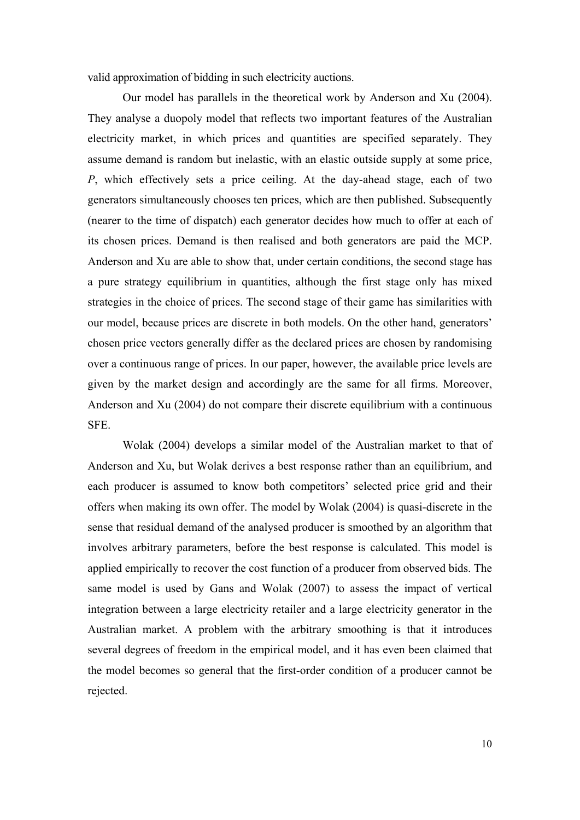valid approximation of bidding in such electricity auctions.

Our model has parallels in the theoretical work by Anderson and Xu (2004). They analyse a duopoly model that reflects two important features of the Australian electricity market, in which prices and quantities are specified separately. They assume demand is random but inelastic, with an elastic outside supply at some price, *P*, which effectively sets a price ceiling. At the day-ahead stage, each of two generators simultaneously chooses ten prices, which are then published. Subsequently (nearer to the time of dispatch) each generator decides how much to offer at each of its chosen prices. Demand is then realised and both generators are paid the MCP. Anderson and Xu are able to show that, under certain conditions, the second stage has a pure strategy equilibrium in quantities, although the first stage only has mixed strategies in the choice of prices. The second stage of their game has similarities with our model, because prices are discrete in both models. On the other hand, generators' chosen price vectors generally differ as the declared prices are chosen by randomising over a continuous range of prices. In our paper, however, the available price levels are given by the market design and accordingly are the same for all firms. Moreover, Anderson and Xu (2004) do not compare their discrete equilibrium with a continuous **SFE** 

Wolak (2004) develops a similar model of the Australian market to that of Anderson and Xu, but Wolak derives a best response rather than an equilibrium, and each producer is assumed to know both competitors' selected price grid and their offers when making its own offer. The model by Wolak (2004) is quasi-discrete in the sense that residual demand of the analysed producer is smoothed by an algorithm that involves arbitrary parameters, before the best response is calculated. This model is applied empirically to recover the cost function of a producer from observed bids. The same model is used by Gans and Wolak (2007) to assess the impact of vertical integration between a large electricity retailer and a large electricity generator in the Australian market. A problem with the arbitrary smoothing is that it introduces several degrees of freedom in the empirical model, and it has even been claimed that the model becomes so general that the first-order condition of a producer cannot be rejected.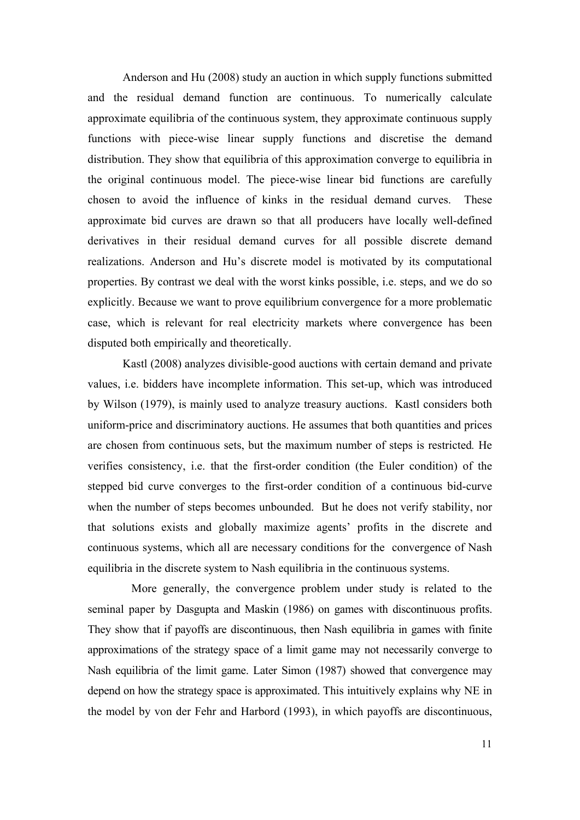Anderson and Hu (2008) study an auction in which supply functions submitted and the residual demand function are continuous. To numerically calculate approximate equilibria of the continuous system, they approximate continuous supply functions with piece-wise linear supply functions and discretise the demand distribution. They show that equilibria of this approximation converge to equilibria in the original continuous model. The piece-wise linear bid functions are carefully chosen to avoid the influence of kinks in the residual demand curves. These approximate bid curves are drawn so that all producers have locally well-defined derivatives in their residual demand curves for all possible discrete demand realizations. Anderson and Hu's discrete model is motivated by its computational properties. By contrast we deal with the worst kinks possible, i.e. steps, and we do so explicitly. Because we want to prove equilibrium convergence for a more problematic case, which is relevant for real electricity markets where convergence has been disputed both empirically and theoretically.

Kastl (2008) analyzes divisible-good auctions with certain demand and private values, i.e. bidders have incomplete information. This set-up, which was introduced by Wilson (1979), is mainly used to analyze treasury auctions. Kastl considers both uniform-price and discriminatory auctions. He assumes that both quantities and prices are chosen from continuous sets, but the maximum number of steps is restricted*.* He verifies consistency, i.e. that the first-order condition (the Euler condition) of the stepped bid curve converges to the first-order condition of a continuous bid-curve when the number of steps becomes unbounded. But he does not verify stability, nor that solutions exists and globally maximize agents' profits in the discrete and continuous systems, which all are necessary conditions for the convergence of Nash equilibria in the discrete system to Nash equilibria in the continuous systems.

 More generally, the convergence problem under study is related to the seminal paper by Dasgupta and Maskin (1986) on games with discontinuous profits. They show that if payoffs are discontinuous, then Nash equilibria in games with finite approximations of the strategy space of a limit game may not necessarily converge to Nash equilibria of the limit game. Later Simon (1987) showed that convergence may depend on how the strategy space is approximated. This intuitively explains why NE in the model by von der Fehr and Harbord (1993), in which payoffs are discontinuous,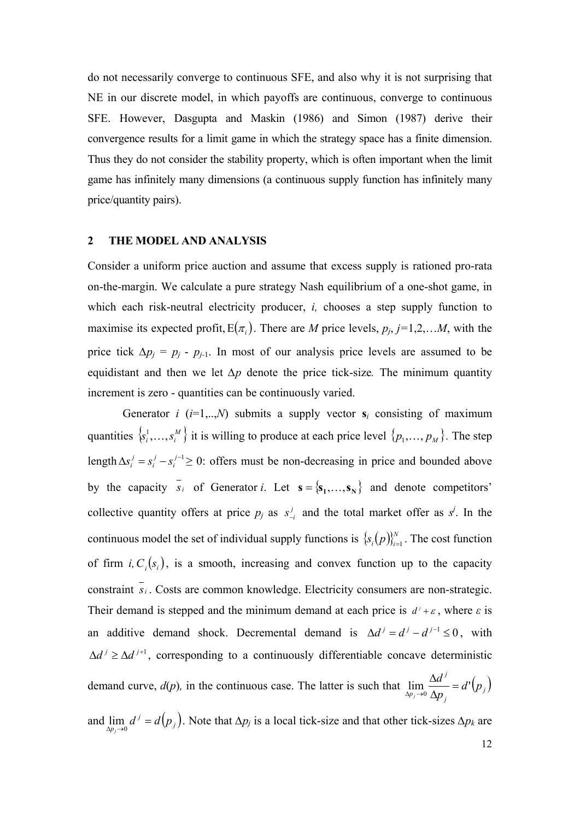do not necessarily converge to continuous SFE, and also why it is not surprising that NE in our discrete model, in which payoffs are continuous, converge to continuous SFE. However, Dasgupta and Maskin (1986) and Simon (1987) derive their convergence results for a limit game in which the strategy space has a finite dimension. Thus they do not consider the stability property, which is often important when the limit game has infinitely many dimensions (a continuous supply function has infinitely many price/quantity pairs).

#### **2 THE MODEL AND ANALYSIS**

Consider a uniform price auction and assume that excess supply is rationed pro-rata on-the-margin. We calculate a pure strategy Nash equilibrium of a one-shot game, in which each risk-neutral electricity producer, *i,* chooses a step supply function to maximise its expected profit,  $E(\pi_i)$ . There are *M* price levels,  $p_j$ ,  $j=1,2,...M$ , with the price tick  $\Delta p_j = p_j - p_{j-1}$ . In most of our analysis price levels are assumed to be equidistant and then we let *∆p* denote the price tick-size*.* The minimum quantity increment is zero - quantities can be continuously varied.

Generator *i* ( $i=1,...,N$ ) submits a supply vector  $s_i$  consisting of maximum quantities  $\{s_i^1, \ldots, s_i^M\}$  it is willing to produce at each price level  $\{p_1, \ldots, p_M\}$ . The step length  $\Delta s_i^j = s_i^j - s_i^{j-1} \geq 0$ : offers must be non-decreasing in price and bounded above by the capacity  $s_i$  of Generator *i*. Let  $\mathbf{s} = \{s_1, \ldots, s_N\}$  and denote competitors'  $s_i^j = s_i^j - s$ collective quantity offers at price  $p_j$  as  $s^j$  and the total market offer as  $s^j$ . In the continuous model the set of individual supply functions is  $\{s_i(p)\}_{i=1}^N$ . The cost function of firm  $i, C_i(s_i)$ , is a smooth, increasing and convex function up to the capacity constraint *si* . Costs are common knowledge. Electricity consumers are non-strategic. Their demand is stepped and the minimum demand at each price is  $d^j + \varepsilon$ , where  $\varepsilon$  is an additive demand shock. Decremental demand is  $\Delta d^{j} = d^{j} - d^{j-1} \leq 0$ , with  $\Delta d^{j} \geq \Delta d^{j+1}$ , corresponding to a continuously differentiable concave deterministic demand curve,  $d(p)$ , in the continuous case. The latter is such that  $\lim_{n \to \infty} \frac{\Delta a}{n} = d'(p)$ *j*  $\lim_{\phi_j \to 0} \frac{\Delta d^j}{\Delta p_j} = d^j (p)$  $\lim_{\Delta p_j \to 0} \Delta p_j = a \; (\mu_j)$ and  $\lim_{\Delta p_j \to 0} d^j = d(p_j)$ . Note that  $\Delta p_j$  is a local tick-size and that other tick-sizes  $\Delta p_k$  are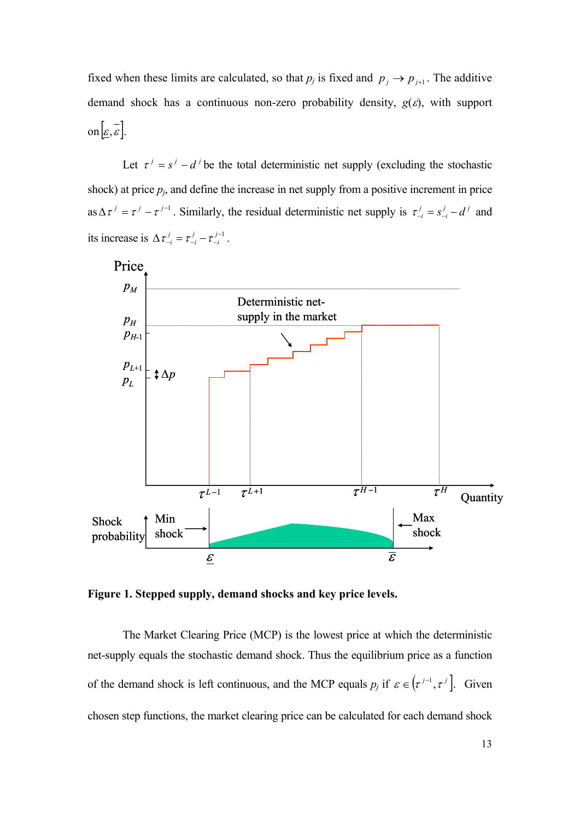demand shock has a continuous non-zero probability density,  $g(\varepsilon)$ , with support fixed when these limits are calculated, so that  $p_j$  is fixed and  $p_j \rightarrow p_{j+1}$ . The additive on  $\left[ \underline{\varepsilon}, \overline{\varepsilon} \right]$ .

Let  $\tau^j = s^j - d^j$  be the total deterministic net supply (excluding the stochastic shock) at price  $p_j$ , and define the increase in net supply from a positive increment in price as  $\Delta \tau^{j} = \tau^{j} - \tau^{j-1}$ . Similarly, the residual deterministic net supply is  $\tau^{j}_{-i} = s^{j}_{-i} - d^{j}$  and its increase is  $\Delta \tau_{-i}^j = \tau_{-i}^j - \tau_{-i}^{j-1}$ .  $\tau^j_{-i} = \tau^j_{-i} - \tau^{j-1}_{-i}$ −  $\tau^j_{-i}$ 



**Figure 1. Stepped supply, demand shocks and key price levels.** 

of the demand shock is left continuous, and the MCP equals  $p_j$  if  $\varepsilon \in (\tau^{j-1}, \tau^j)$ . Given The Market Clearing Price (MCP) is the lowest price at which the deterministic net-supply equals the stochastic demand shock. Thus the equilibrium price as a function chosen step functions, the market clearing price can be calculated for each demand shock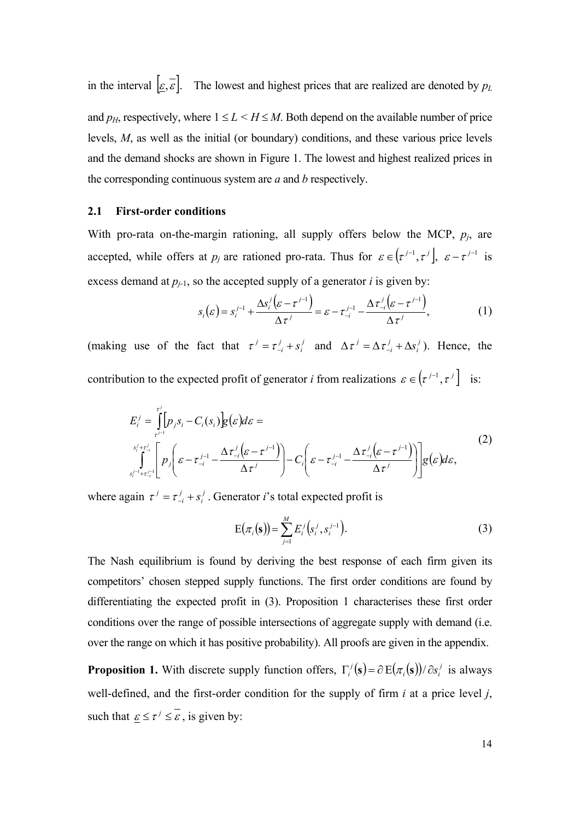in the interval  $\left[\mathcal{E}, \mathcal{E}\right]$ . The lowest and highest prices that are realized are denoted by  $p_L$ and  $p_H$ , respectively, where  $1 \le L \le H \le M$ . Both depend on the available number of price levels, *M*, as well as the initial (or boundary) conditions, and these various price levels and the demand shocks are shown in Figure 1. The lowest and highest realized prices in the corresponding continuous system are *a* and *b* respectively.

## **2.1 First-order conditions**

With pro-rata on-the-margin rationing, all supply offers below the MCP, *pj*, are accepted, while offers at  $p_j$  are rationed pro-rata. Thus for  $\varepsilon \in (\tau^{j-1}, \tau^j)$ ,  $\varepsilon - \tau^{j-1}$  is excess demand at  $p_{i-1}$ , so the accepted supply of a generator *i* is given by:

$$
s_i(\varepsilon) = s_i^{j-1} + \frac{\Delta s_i^j(\varepsilon - \tau^{j-1})}{\Delta \tau^j} = \varepsilon - \tau_{-i}^{j-1} - \frac{\Delta \tau_{-i}^j(\varepsilon - \tau^{j-1})}{\Delta \tau^j},
$$
(1)

<span id="page-14-2"></span>(making use of the fact that  $\tau^j = \tau^j + s^j$  and  $\Delta \tau^j = \Delta \tau^j + \Delta s^j$ ). Hence, the contribution to the expected profit of generator *i* from realizations  $\varepsilon \in (\tau^{j-1}, \tau^j |$  is: *i j*  $\tau^{j} = \tau^{j}_{-i} + s^{j}_{i}$  and  $\Delta \tau^{j} = \Delta \tau^{j}_{-i} + \Delta s^{j}_{i}$ *j*  $\Delta \tau^{j} = \Delta \tau^{j}_{-i} + \Delta s$ 

$$
E_{i}^{j} = \int_{\tau^{j-1}}^{\tau^{j}} [p_{j} s_{i} - C_{i} (s_{i})] g(\varepsilon) d\varepsilon =
$$
  

$$
\int_{s_{i}^{j-1} + \tau^{j-1}_{\tau^{j}}}^{\tau^{j-1}} [p_{j} \left( \varepsilon - \tau^{j-1}_{-i} - \frac{\Delta \tau^{j}_{-i} (\varepsilon - \tau^{j-1})}{\Delta \tau^{j}} \right) - C_{i} \left( \varepsilon - \tau^{j-1}_{-i} - \frac{\Delta \tau^{j}_{-i} (\varepsilon - \tau^{j-1})}{\Delta \tau^{j}} \right)] g(\varepsilon) d\varepsilon,
$$
\n(2)

<span id="page-14-0"></span>where again  $\tau^j = \tau_{-i}^j + s_i^j$ . Generator *i*'s total expected profit is *j*  $\tau^j = \tau^j_{-i} + s$ 

$$
E(\pi_i(s)) = \sum_{j=1}^{M} E_i^j(s_i^j, s_i^{j-1}).
$$
\n(3)

The Nash equilibrium is found by deriving the best response of each firm given its competitors' chosen stepped supply functions. The first order conditions are found by differentiating the expected profit in [\(3\)](#page-14-0). Proposition 1 characterises these first order conditions over the range of possible intersections of aggregate supply with demand (i.e. over the range on which it has positive probability). All proofs are given in the appendix.

<span id="page-14-1"></span>**Proposition 1.** With discrete supply function offers,  $\Gamma_i^j(\mathbf{s}) = \partial E(\pi_i(\mathbf{s})) / \partial s_i^j$  $\Gamma_i^j$ (s) =  $\partial E(\pi_i(s))/\partial s_i^j$  is always well-defined, and the first-order condition for the supply of firm *i* at a price level *j*, such that  $\underline{\varepsilon} \leq \tau^j \leq \overline{\varepsilon}$ , is given by: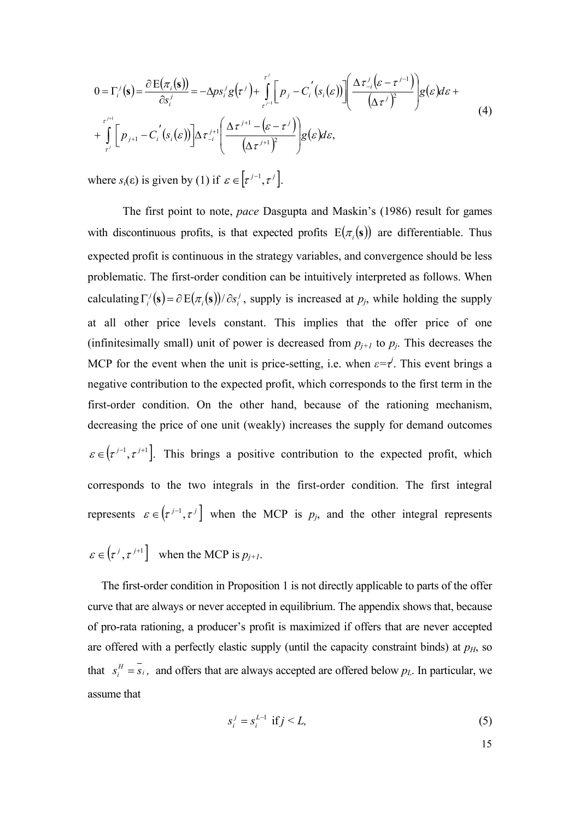<span id="page-15-0"></span>
$$
0 = \Gamma_i^j(\mathbf{s}) = \frac{\partial E(\pi_i(\mathbf{s}))}{\partial s_i^j} = -\Delta ps_i^j g(\tau^j) + \int_{\tau^{j-1}}^{\tau^j} \left[ p_j - C_i^{\prime}(s_i(\varepsilon)) \right] \left( \frac{\Delta \tau_{-i}^j(\varepsilon - \tau^{j-1})}{(\Delta \tau^j)^2} \right) g(\varepsilon) d\varepsilon + \int_{\tau^{j}}^{\tau^{j+1}} \left[ p_{j+1} - C_i^{\prime}(s_i(\varepsilon)) \right] \Delta \tau_{-i}^{j+1} \left( \frac{\Delta \tau^{j+1} - (\varepsilon - \tau^j)}{(\Delta \tau^{j+1})^2} \right) g(\varepsilon) d\varepsilon,
$$
\n(4)

where  $s_i(\varepsilon)$  is given by (1) if  $\varepsilon \in [\tau^{j-1}, \tau^j]$ .

The first point to note, *pace* Dasgupta and Maskin's (1986) result for games with discontinuous profits, is that expected profits  $E(\pi<sub>i</sub>(s))$  are differentiable. Thus expected profit is continuous in the strategy variables, and convergence should be less problematic. The first-order condition can be intuitively interpreted as follows. When calculating  $\Gamma_i^j$  (s) =  $\partial E(\pi_i(s))/\partial s_i^j$ , supply is increased at  $p_j$ , while holding the supply at all other price levels constant. This implies that the offer price of one (infinitesimally small) unit of power is decreased from  $p_{j+1}$  to  $p_j$ . This decreases the MCP for the event when the unit is price-setting, i.e. when  $\varepsilon = \tau^j$ . This event brings a negative contribution to the expected profit, which corresponds to the first term in the first-order condition. On the other hand, because of the rationing mechanism, decreasing the price of one unit (weakly) increases the supply for demand outcomes  $\varepsilon \in (\tau^{j-1}, \tau^{j+1})$ . This brings a positive contribution to the expected profit, which corresponds to the two integrals in the first-order condition. The first integral represents  $\varepsilon \in (\tau^{j-1}, \tau^j |$  when the MCP is  $p_j$ , and the other integral represents  $\Gamma_i^{\,j}(\mathbf{s}) = \partial \operatorname{E}(\pi_i(\mathbf{s})) / \partial s$ 

$$
\varepsilon \in \left(\tau^{j}, \tau^{j+1}\right]
$$
 when the MCP is  $p_{j+1}$ .

<span id="page-15-1"></span> The first-order condition in Proposition [1](#page-14-1) is not directly applicable to parts of the offer curve that are always or never accepted in equilibrium. The appendix shows that, because of pro-rata rationing, a producer's profit is maximized if offers that are never accepted are offered with a perfectly elastic supply (until the capacity constraint binds) at  $p<sub>H</sub>$ , so that  $s_i^H = s_i$ , and offers that are always accepted are offered below  $p_L$ . In particular, we assume that

$$
s_i^j = s_i^{L-1} \text{ if } j < L,\tag{5}
$$

15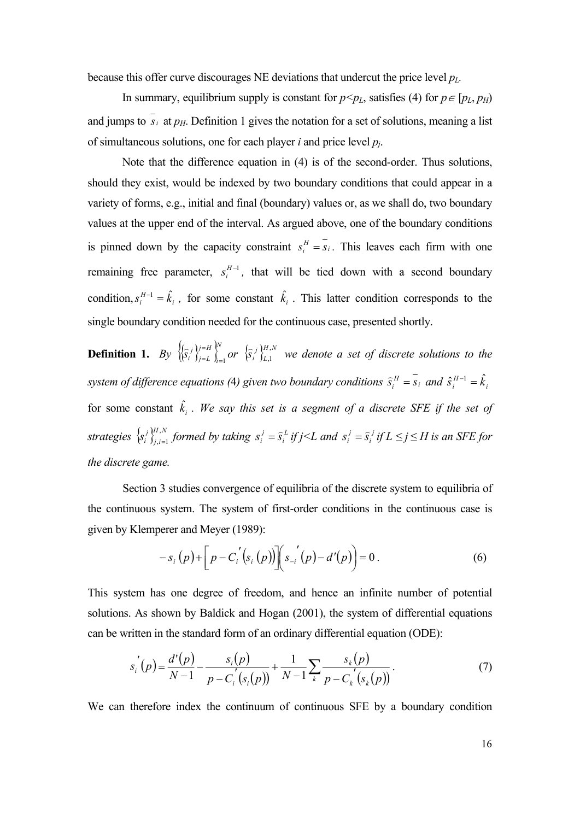because this offer curve discourages NE deviations that undercut the price level *pL.* 

In summary, equilibrium supply is constant for  $p \le p_L$ , satisfies [\(4](#page-15-0)) for  $p \in [p_L, p_H]$ and jumps to  $\overline{s_i}$  at  $p_f$ . Definition 1 gives the notation for a set of solutions, meaning a list of simultaneous solutions, one for each player *i* and price level *pj*.

Note that the difference equation in [\(4](#page-15-0)) is of the second-order. Thus solutions, should they exist, would be indexed by two boundary conditions that could appear in a variety of forms, e.g., initial and final (boundary) values or, as we shall do, two boundary values at the upper end of the interval. As argued above, one of the boundary conditions is pinned down by the capacity constraint  $s_i^H = s_i$ . This leaves each firm with one remaining free parameter,  $s_i^{H-1}$ , that will be tied down with a second boundary condition,  $s_i^{H-1} = k_i$ , for some constant  $k_i$ . This latter condition corresponds to the single boundary condition needed for the continuous case, presented shortly.  $s_i^{H-1} = \hat{k}_i$ , for some constant  $\hat{k}_i$ 

**Definition 1.** *By*  $\left\{\hat{s}_i\right\}_{i=1}^{j=H}$ *i*  $j = H$  $j=L$  $\left(\widehat{S}_{i}^{j}\right)_{j=L}^{j=H}\sum_{i=1}^{N}$  $\left(\widehat{\mathbf{S}}_{i}^{j}\right)_{j=L}^{j=H}\sum_{i=1}^{N}$  or  $\left\{\widehat{\mathbf{S}}_{i}^{j}\right\}_{L,1}^{H,N}$  $(\widehat{s}_i^{\ j})_{L,1}^{H,N}$  we denote a set of discrete solutions to the *system of difference equations ([4](#page-15-0)) given two boundary conditions*  $\widehat{s}_{i}^{H} = \overline{s}_{i}$  *and*  $\widehat{s}_{i}^{H-1} = \hat{k}_{i}$ for some constant  $\hat{k}_i$ . We say this set is a segment of a discrete SFE if the set of strategies  $\left\{S_i^j\right\}_{j,i=1}^{H,N}$  formed by taking  $\hat{s}_{i}^{H-1} = \hat{k}$  $\left\{ s_i^j \right\}_{j,i=1}^{H,N}$ *L i*  $s_i^j = \hat{s}_i^L$  *if j*  $\leq L$  *and*  $s_i^j = \hat{s}_i^j$  $s_i^j = \hat{s}_i^j$  if  $L \leq j \leq H$  is an SFE for *the discrete game.*

Section 3 studies convergence of equilibria of the discrete system to equilibria of the continuous system. The system of first-order conditions in the continuous case is given by Klemperer and Meyer (1989):

$$
-s_i(p) + \left[p - C_i'(s_i(p))\right] \left(s_{-i}'(p) - d'(p)\right) = 0.
$$
 (6)

<span id="page-16-1"></span>This system has one degree of freedom, and hence an infinite number of potential solutions. As shown by Baldick and Hogan (2001), the system of differential equations can be written in the standard form of an ordinary differential equation (ODE):

$$
s_i'(p) = \frac{d'(p)}{N-1} - \frac{s_i(p)}{p - C_i'(s_i(p))} + \frac{1}{N-1} \sum_k \frac{s_k(p)}{p - C_i'(s_k(p))}.
$$
 (7)

<span id="page-16-0"></span>We can therefore index the continuum of continuous SFE by a boundary condition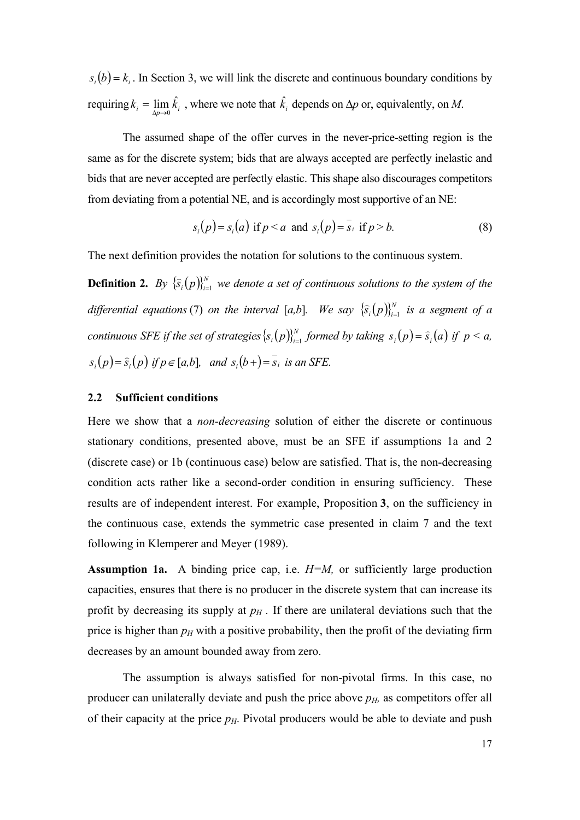*k*<sub>*i*</sub> =  $\lim_{\Delta p \to 0} \hat{k}_i$ , where we note that  $\hat{k}_i$  depends on  $\Delta p$  or, equivalently, on *M*.  $s_i(b) = k_i$ . In Section 3, we will link the discrete and continuous boundary conditions by

The assumed shape of the offer curves in the never-price-setting region is the same as for the discrete system; bids that are always accepted are perfectly inelastic and bids that are never accepted are perfectly elastic. This shape also discourages competitors from deviating from a potential NE, and is accordingly most supportive of an NE:

$$
s_i(p) = s_i(a) \text{ if } p < a \text{ and } s_i(p) = \overline{s_i} \text{ if } p > b. \tag{8}
$$

<span id="page-17-0"></span>The next definition provides the notation for solutions to the continuous system.

**Definition 2.** *By*  $\{\hat{s}_i(p)\}_{i=1}^N$  *we denote a set of continuous solutions to the system of the differential equations* ([7\)](#page-16-0) *on the interval* [*a,b*]*.* We say  $\{\widehat{s}_i(p)\}_{i=1}^N$  is a segment of a *continuous SFE if the set of strategies*  $\{s_i(p)\}_{i=1}^N$  *formed by taking*  $s_i(p) = \hat{s}_i(a)$  *if*  $p < a$ ,  $s_i(p) = \widehat{s}_i(p)$  if  $p \in [a,b]$ , and  $s_i(b+) = s_i$  is an SFE.

#### **2.2 Sufficient conditions**

Here we show that a *non-decreasing* solution of either the discrete or continuous stationary conditions, presented above, must be an SFE if assumptions 1a and 2 (discrete case) or 1b (continuous case) below are satisfied. That is, the non-decreasing condition acts rather like a second-order condition in ensuring sufficiency. These results are of independent interest. For example, Proposition **[3](#page-19-0)**, on the sufficiency in the continuous case, extends the symmetric case presented in claim 7 and the text following in Klemperer and Meyer (1989).

**Assumption 1a.** A binding price cap, i.e. *H=M,* or sufficiently large production capacities, ensures that there is no producer in the discrete system that can increase its profit by decreasing its supply at  $p<sub>H</sub>$ . If there are unilateral deviations such that the price is higher than  $p_H$  with a positive probability, then the profit of the deviating firm decreases by an amount bounded away from zero.

The assumption is always satisfied for non-pivotal firms. In this case, no producer can unilaterally deviate and push the price above  $p<sub>H</sub>$ , as competitors offer all of their capacity at the price  $p<sub>H</sub>$ . Pivotal producers would be able to deviate and push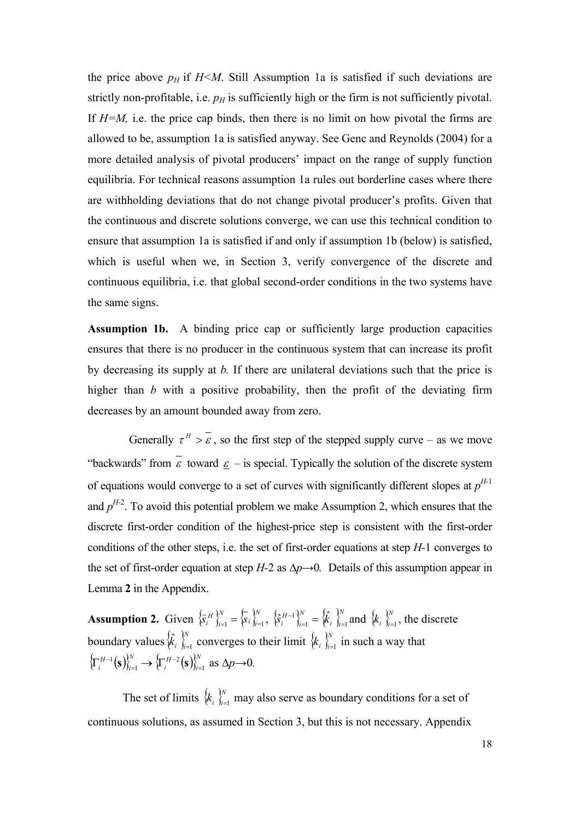the price above  $p_H$  if  $H \leq M$ . Still Assumption 1a is satisfied if such deviations are strictly non-profitable, i.e.  $p<sub>H</sub>$  is sufficiently high or the firm is not sufficiently pivotal. If *H=M*, i.e. the price cap binds, then there is no limit on how pivotal the firms are allowed to be, assumption 1a is satisfied anyway. See Genc and Reynolds (2004) for a more detailed analysis of pivotal producers' impact on the range of supply function equilibria. For technical reasons assumption 1a rules out borderline cases where there are withholding deviations that do not change pivotal producer's profits. Given that the continuous and discrete solutions converge, we can use this technical condition to ensure that assumption 1a is satisfied if and only if assumption 1b (below) is satisfied, which is useful when we, in Section 3, verify convergence of the discrete and continuous equilibria, i.e. that global second-order conditions in the two systems have the same signs.

**Assumption 1b.** A binding price cap or sufficiently large production capacities ensures that there is no producer in the continuous system that can increase its profit by decreasing its supply at *b.* If there are unilateral deviations such that the price is higher than *b* with a positive probability, then the profit of the deviating firm decreases by an amount bounded away from zero.

Generally  $\tau^H > \epsilon$ , so the first step of the stepped supply curve – as we move "backwards" from  $\overline{\varepsilon}$  toward  $\underline{\varepsilon}$  – is special. Typically the solution of the discrete system of equations would converge to a set of curves with significantly different slopes at  $p^{H-1}$ and  $p^{H-2}$ . To avoid this potential problem we make Assumption 2, which ensures that the discrete first-order condition of the highest-price step is consistent with the first-order conditions of the other steps, i.e. the set of first-order equations at step *H-*1 converges to the set of first-order equation at step *H-*2 as ∆*p*→0*.* Details of this assumption appear in Lemma **[2](#page-35-0)** in the Appendix.

**Assumption 2.** Given  $\{\widehat{s}_i^H\}_{i=1}^N = \{\widehat{s}_i\}_{i=1}^N$ *i i N i*  $\left(\widehat{s}_{i}^{H}\right)_{i=1}^{N}=\left\{\widehat{s}_{i}\right\}_{i=1}^{N},\ \left\{\widehat{s}_{i}^{H-1}\right\}_{i=1}^{N}=\left\{\widehat{k}_{i}\right\}_{i=1}^{N}$ *i i N i*  $(\hat{s}_{i}^{H-1})_{i=1}^{N} = \{ \hat{k}_{i} \}_{i=1}^{N}$  and  $\{ k_{i} \}_{i=1}^{N}$ , the discrete boundary values  $\{\hat{k}_i\}_{i=1}^N$  converges to their limit  $\{k_i\}_{i=1}^N$  in such a way that  $\left\{\Gamma_i^{H-1}(\mathbf{s})\right\}_{i=1}^N \rightarrow \left\{\Gamma_i^{H-2}(\mathbf{s})\right\}_{i=1}^N$  as  $\Delta p \rightarrow 0$ . *H i*  $\left(\frac{3}{2}\right)$   $\left(\frac{1}{2}i\right)$   $\left(\frac{4}{2}i\right)$   $\left(\frac{3}{2}\right)$   $\left(\frac{1}{2}i\right)$ 1  $\left[\Gamma_i^{H-1}(\mathbf{s})\right]_{i=1}^N \to \left\{\Gamma_i^{H-2}(\mathbf{s})\right\}_{i=1}^N$  $\sum_{i}$ <sup>*H*-2</sup>**(s**) $\sum_{i}$ 

The set of limits  $\{k_i\}_{i=1}^N$  may also serve as boundary conditions for a set of continuous solutions, as assumed in Section 3, but this is not necessary. Appendix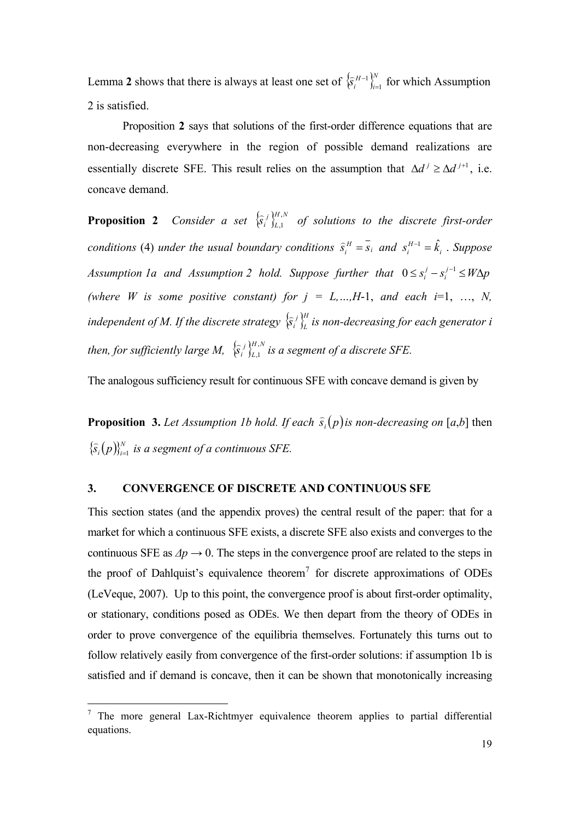Lemma [2](#page-35-0) shows that there is always at least one set of  $\left\{\widehat{s}_{i}^{H-1}\right\}_{i=1}^{N}$ *i*  $\hat{s}_{i}^{H-1} \}_{i=1}^{N}$  $\left(\widehat{s}_{i}^{H-1}\right)_{i=1}^{N}$  for which Assumption 2 is satisfied.

Proposition **[2](#page-19-1)** says that solutions of the first-order difference equations that are non-decreasing everywhere in the region of possible demand realizations are essentially discrete SFE. This result relies on the assumption that  $\Delta d^j \geq \Delta d^{j+1}$ , i.e. concave demand.

<span id="page-19-1"></span>**Proposition 2** *Consider a set*  $\{\widehat{s}_i^j\}_{L,1}^{H,N}$  $\left(\widehat{s}_{i}\right)_{L,1}^{H,N}$  of solutions to the discrete first-order *conditions* [\(4](#page-15-0)) *under the usual boundary conditions*  $\hat{s_i}^H = \overline{s_i}$  *and*  $s_i^{H-1} = \hat{k_i}$ . *Suppose Assumption 1a and Assumption 2 hold. Suppose further that*  $0 \le s_i^j - s_i^{j-1} \le W \Delta p$ (where *W* is some positive constant) for  $j = L, ..., H-1$ , and each  $i=1, ..., N$ , *independent of M. If the discrete strategy*  $\{\widehat{s}_i\}_{i=1}^H$  $s_i^{H-1} = \hat{k}$ *L*  $\left(\widehat{s}_i^{\;j}\right)^H_L$  is non-decreasing for each generator i *then, for sufficiently large M,*  $\left\{\widehat{s}_{i}\right\}_{L,1}^{H,N}$  $\left(\widehat{s}_{i}\right)_{L,1}^{H,N}$  is a segment of a discrete SFE.

The analogous sufficiency result for continuous SFE with concave demand is given by

<span id="page-19-0"></span>**Proposition 3.** Let Assumption 1b hold. If each  $\hat{s}_i(p)$  is non-decreasing on [a,b] then  $\{\widehat{s}_{i}(p)\}_{i=1}^{N}$  *is a segment of a continuous SFE.* 

## **3. CONVERGENCE OF DISCRETE AND CONTINUOUS SFE**

This section states (and the appendix proves) the central result of the paper: that for a market for which a continuous SFE exists, a discrete SFE also exists and converges to the continuous SFE as  $\Delta p \rightarrow 0$ . The steps in the convergence proof are related to the steps in the proof of Dahlquist's equivalence theorem<sup>[7](#page-19-2)</sup> for discrete approximations of ODEs (LeVeque, 2007). Up to this point, the convergence proof is about first-order optimality, or stationary, conditions posed as ODEs. We then depart from the theory of ODEs in order to prove convergence of the equilibria themselves. Fortunately this turns out to follow relatively easily from convergence of the first-order solutions: if assumption 1b is satisfied and if demand is concave, then it can be shown that monotonically increasing

<u>.</u>

<span id="page-19-2"></span><sup>&</sup>lt;sup>7</sup> The more general Lax-Richtmyer equivalence theorem applies to partial differential equations.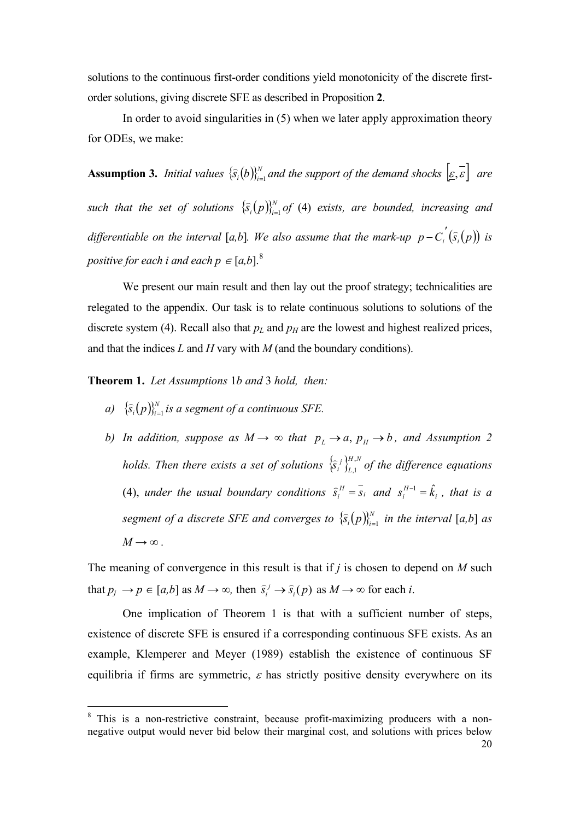solutions to the continuous first-order conditions yield monotonicity of the discrete firstorder solutions, giving discrete SFE as described in Proposition **[2](#page-19-1)**.

In order to avoid singularities in (5) when we later apply approximation theory for ODEs, we make:

**Assumption 3.** *Initial values*  $\{\hat{s}_i(b)\}_{i=1}^N$  *and the support of the demand shocks*  $\left[\mathbf{\varepsilon}, \mathbf{\varepsilon}\right]$  *are* such that the set of solutions  $\{\widehat{s}_i(p)\}_{i=1}^N$  of ([4\)](#page-15-0) exists, are bounded, increasing and *differentiable on the interval* [*a*,*b*]. We also assume that the mark-up  $p - C_i^{'}(\widehat{s}_i(p))$  is positive for each i and each  $p\in [a,b]$ .  $^8$  $^8$ 

We present our main result and then lay out the proof strategy; technicalities are relegated to the appendix. Our task is to relate continuous solutions to solutions of the discrete system [\(4\)](#page-15-0). Recall also that  $p<sub>L</sub>$  and  $p<sub>H</sub>$  are the lowest and highest realized prices, and that the indices *L* and *H* vary with *M* (and the boundary conditions).

**Theorem 1.** *Let Assumptions* 1*b and* 3 *hold, then:* 

<u>.</u>

- *a*)  $\{\widehat{s}_i(p)\}_{i=1}^N$  *is a segment of a continuous SFE.*
- *b*) *In addition, suppose as*  $M \rightarrow \infty$  *that*  $p_L \rightarrow a$ *,*  $p_H \rightarrow b$ *, and Assumption 2 holds. Then there exists a set of solutions*  $\{\widehat{s}_i^j\}_{L,1}^{H,N}$  $\left(\widehat{s}_{i}^{j}\right)_{L,1}^{H,N}$  of the difference equations [\(4](#page-15-0)), *under the usual boundary conditions*  $\hat{s}_i^H = \overline{s_i}$  *and*  $s_i^{H-1} = \hat{k}_i$ , *that is a* segment of a discrete SFE and converges to  $\{\widehat{s}_i(p)\}_{i=1}^N$  in the interval  $[a,b]$  as  $M \rightarrow \infty$ .

The meaning of convergence in this result is that if *j* is chosen to depend on *M* such that  $p_j \to p \in [a, b]$  as  $M \to \infty$ , then  $\hat{s}_i^j \to \hat{s}_i(p)$  $\widehat{s}_i^j \to \widehat{s}_i(p)$  as  $M \to \infty$  for each *i*.

One implication of Theorem 1 is that with a sufficient number of steps, existence of discrete SFE is ensured if a corresponding continuous SFE exists. As an example, Klemperer and Meyer (1989) establish the existence of continuous SF equilibria if firms are symmetric,  $\varepsilon$  has strictly positive density everywhere on its

<span id="page-20-0"></span><sup>20</sup> 8 This is a non-restrictive constraint, because profit-maximizing producers with a nonnegative output would never bid below their marginal cost, and solutions with prices below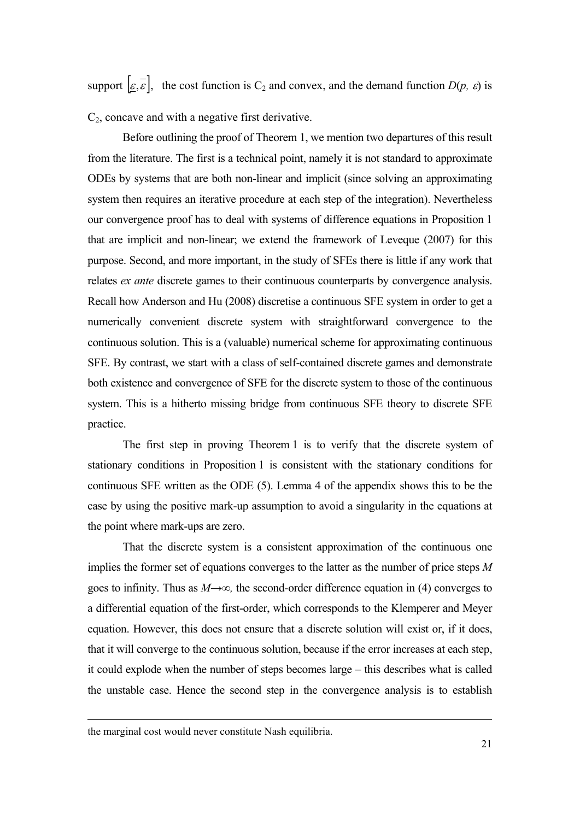support  $\left[\frac{\varepsilon}{\varepsilon}, \overline{\varepsilon}\right]$ , the cost function is C<sub>2</sub> and convex, and the demand function  $D(p, \varepsilon)$  is

C2, concave and with a negative first derivative.

 Before outlining the proof of Theorem 1, we mention two departures of this result from the literature. The first is a technical point, namely it is not standard to approximate ODEs by systems that are both non-linear and implicit (since solving an approximating system then requires an iterative procedure at each step of the integration). Nevertheless our convergence proof has to deal with systems of difference equations in Proposition 1 that are implicit and non-linear; we extend the framework of Leveque (2007) for this purpose. Second, and more important, in the study of SFEs there is little if any work that relates *ex ante* discrete games to their continuous counterparts by convergence analysis. Recall how Anderson and Hu (2008) discretise a continuous SFE system in order to get a numerically convenient discrete system with straightforward convergence to the continuous solution. This is a (valuable) numerical scheme for approximating continuous SFE. By contrast, we start with a class of self-contained discrete games and demonstrate both existence and convergence of SFE for the discrete system to those of the continuous system. This is a hitherto missing bridge from continuous SFE theory to discrete SFE practice.

 The first step in proving Theorem 1 is to verify that the discrete system of stationary conditions in Proposition 1 is consistent with the stationary conditions for continuous SFE written as the ODE (5). Lemma [4](#page-43-0) of the appendix shows this to be the case by using the positive mark-up assumption to avoid a singularity in the equations at the point where mark-ups are zero.

That the discrete system is a consistent approximation of the continuous one implies the former set of equations converges to the latter as the number of price steps *M* goes to infinity. Thus as *M→∞,* the second-order difference equation in [\(4\)](#page-15-0) converges to a differential equation of the first-order, which corresponds to the Klemperer and Meyer equation. However, this does not ensure that a discrete solution will exist or, if it does, that it will converge to the continuous solution, because if the error increases at each step, it could explode when the number of steps becomes large – this describes what is called the unstable case. Hence the second step in the convergence analysis is to establish

1

the marginal cost would never constitute Nash equilibria.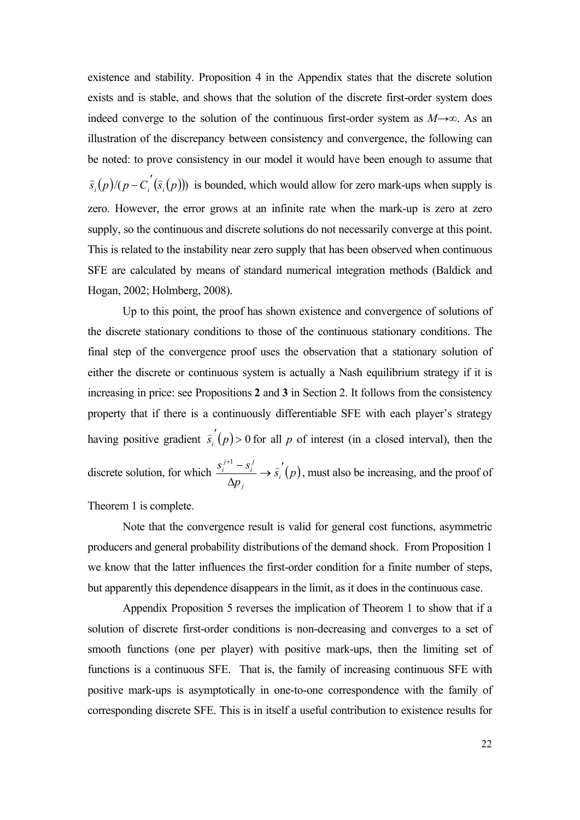$\widehat{s}_i(p)/(p - C_i^{'}(\widehat{s}_i(p)))$  is bounded, which would allow for zero mark-ups when supply is existence and stability. Proposition [4](#page-45-0) in the Appendix states that the discrete solution exists and is stable, and shows that the solution of the discrete first-order system does indeed converge to the solution of the continuous first-order system as *M→∞*. As an illustration of the discrepancy between consistency and convergence, the following can be noted: to prove consistency in our model it would have been enough to assume that zero. However, the error grows at an infinite rate when the mark-up is zero at zero supply, so the continuous and discrete solutions do not necessarily converge at this point. This is related to the instability near zero supply that has been observed when continuous SFE are calculated by means of standard numerical integration methods (Baldick and Hogan, 2002; Holmberg, 2008).

Up to this point, the proof has shown existence and convergence of solutions of the discrete stationary conditions to those of the continuous stationary conditions. The final step of the convergence proof uses the observation that a stationary solution of either the discrete or continuous system is actually a Nash equilibrium strategy if it is increasing in price: see Propositions **[2](#page-19-1)** and **[3](#page-19-0)** in Section 2. It follows from the consistency property that if there is a continuously differentiable SFE with each player's strategy having positive gradient  $\hat{s}_i'(p) > 0$  for all *p* of interest (in a closed interval), then the discrete solution, for which  $\frac{S_i}{\cdot} \rightarrow \hat{s}_i(p)$ *p*  $s_i^{j+1} - s$ *i j j i*  $\frac{j+1}{i} - S_i^j \rightarrow \widehat{S}_i'$ Δ  $-\frac{s_i^j}{j}$  →  $\hat{s}_i^{\prime}(p)$ , must also be increasing, and the proof of Theorem 1 is complete.

Note that the convergence result is valid for general cost functions, asymmetric producers and general probability distributions of the demand shock. From Proposition [1](#page-14-1) we know that the latter influences the first-order condition for a finite number of steps, but apparently this dependence disappears in the limit, as it does in the continuous case.

Appendix Proposition 5 reverses the implication of Theorem 1 to show that if a solution of discrete first-order conditions is non-decreasing and converges to a set of smooth functions (one per player) with positive mark-ups, then the limiting set of functions is a continuous SFE. That is, the family of increasing continuous SFE with positive mark-ups is asymptotically in one-to-one correspondence with the family of corresponding discrete SFE. This is in itself a useful contribution to existence results for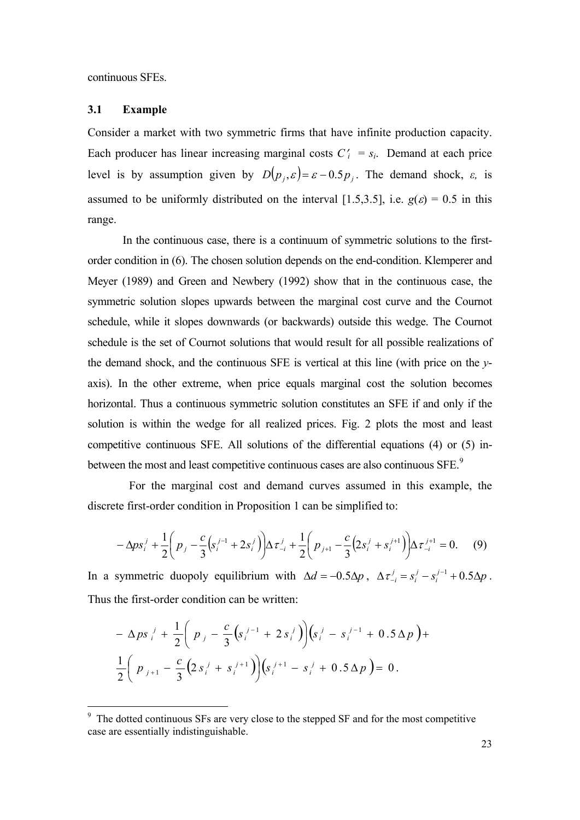continuous SFEs.

## **3.1 Example**

<u>.</u>

Consider a market with two symmetric firms that have infinite production capacity. Each producer has linear increasing marginal costs  $C_i' = s_i$ . Demand at each price level is by assumption given by  $D(p_j, \varepsilon) = \varepsilon - 0.5p_j$ . The demand shock,  $\varepsilon$ , is assumed to be uniformly distributed on the interval [1.5,3.5], i.e.  $g(\varepsilon) = 0.5$  in this range.

In the continuous case, there is a continuum of symmetric solutions to the firstorder condition in [\(6](#page-16-1)). The chosen solution depends on the end-condition. Klemperer and Meyer (1989) and Green and Newbery (1992) show that in the continuous case, the symmetric solution slopes upwards between the marginal cost curve and the Cournot schedule, while it slopes downwards (or backwards) outside this wedge. The Cournot schedule is the set of Cournot solutions that would result for all possible realizations of the demand shock, and the continuous SFE is vertical at this line (with price on the *y*axis). In the other extreme, when price equals marginal cost the solution becomes horizontal. Thus a continuous symmetric solution constitutes an SFE if and only if the solution is within the wedge for all realized prices. Fig. 2 plots the most and least competitive continuous SFE. All solutions of the differential equations (4) or (5) inbetween the most and least competitive continuous cases are also continuous SFE.[9](#page-23-0) 

For the marginal cost and demand curves assumed in this example, the discrete first-order condition in Proposition [1](#page-14-1) can be simplified to:

$$
-\Delta ps_i^j + \frac{1}{2}\left(p_j - \frac{c}{3}\left(s_i^{j-1} + 2s_i^j\right)\right)\Delta \tau_{-i}^j + \frac{1}{2}\left(p_{j+1} - \frac{c}{3}\left(2s_i^j + s_i^{j+1}\right)\right)\Delta \tau_{-i}^{j+1} = 0. \tag{9}
$$

In a symmetric duopoly equilibrium with  $\Delta d = -0.5 \Delta p$ ,  $\Delta \tau_{-i}^{j} = s_i^{j} - s_i^{j-1} + 0.5 \Delta p$ . Thus the first-order condition can be written: *j i*  $\Delta \tau_{-i}^j = s_i^j - s_i^{j-1} + 0.5\Delta$ 

$$
- \Delta ps_{i}^{j} + \frac{1}{2} \left( p_{j} - \frac{c}{3} \left( s_{i}^{j-1} + 2 s_{i}^{j} \right) \right) \left( s_{i}^{j} - s_{i}^{j-1} + 0.5 \Delta p \right) +
$$
  

$$
\frac{1}{2} \left( p_{j+1} - \frac{c}{3} \left( 2 s_{i}^{j} + s_{i}^{j+1} \right) \right) \left( s_{i}^{j+1} - s_{i}^{j} + 0.5 \Delta p \right) = 0.
$$

<span id="page-23-0"></span><sup>&</sup>lt;sup>9</sup> The dotted continuous SFs are very close to the stepped SF and for the most competitive case are essentially indistinguishable.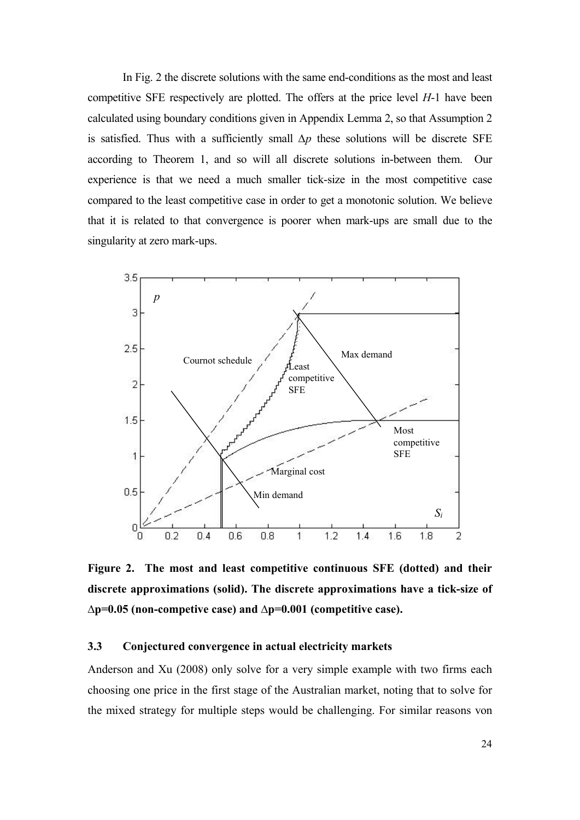In Fig. 2 the discrete solutions with the same end-conditions as the most and least competitive SFE respectively are plotted. The offers at the price level *H*-1 have been calculated using boundary conditions given in Appendix Lemma [2,](#page-35-0) so that Assumption 2 is satisfied. Thus with a sufficiently small *∆p* these solutions will be discrete SFE according to Theorem 1, and so will all discrete solutions in-between them. Our experience is that we need a much smaller tick-size in the most competitive case compared to the least competitive case in order to get a monotonic solution. We believe that it is related to that convergence is poorer when mark-ups are small due to the singularity at zero mark-ups.



**Figure 2. The most and least competitive continuous SFE (dotted) and their discrete approximations (solid). The discrete approximations have a tick-size of ∆p=0.05 (non-competive case) and ∆p=0.001 (competitive case).**

# **3.3 Conjectured convergence in actual electricity markets**

Anderson and Xu (2008) only solve for a very simple example with two firms each choosing one price in the first stage of the Australian market, noting that to solve for the mixed strategy for multiple steps would be challenging. For similar reasons von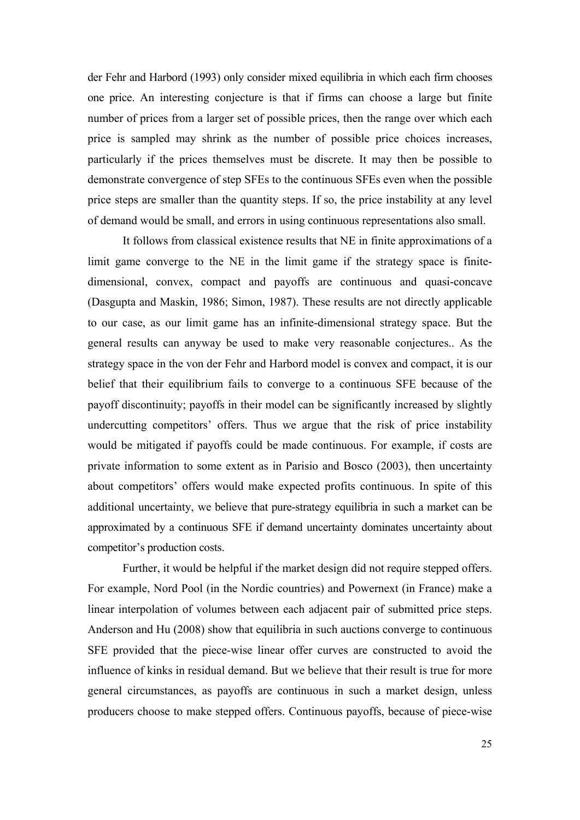der Fehr and Harbord (1993) only consider mixed equilibria in which each firm chooses one price. An interesting conjecture is that if firms can choose a large but finite number of prices from a larger set of possible prices, then the range over which each price is sampled may shrink as the number of possible price choices increases, particularly if the prices themselves must be discrete. It may then be possible to demonstrate convergence of step SFEs to the continuous SFEs even when the possible price steps are smaller than the quantity steps. If so, the price instability at any level of demand would be small, and errors in using continuous representations also small.

It follows from classical existence results that NE in finite approximations of a limit game converge to the NE in the limit game if the strategy space is finitedimensional, convex, compact and payoffs are continuous and quasi-concave (Dasgupta and Maskin, 1986; Simon, 1987). These results are not directly applicable to our case, as our limit game has an infinite-dimensional strategy space. But the general results can anyway be used to make very reasonable conjectures.. As the strategy space in the von der Fehr and Harbord model is convex and compact, it is our belief that their equilibrium fails to converge to a continuous SFE because of the payoff discontinuity; payoffs in their model can be significantly increased by slightly undercutting competitors' offers. Thus we argue that the risk of price instability would be mitigated if payoffs could be made continuous. For example, if costs are private information to some extent as in Parisio and Bosco (2003), then uncertainty about competitors' offers would make expected profits continuous. In spite of this additional uncertainty, we believe that pure-strategy equilibria in such a market can be approximated by a continuous SFE if demand uncertainty dominates uncertainty about competitor's production costs.

Further, it would be helpful if the market design did not require stepped offers. For example, Nord Pool (in the Nordic countries) and Powernext (in France) make a linear interpolation of volumes between each adjacent pair of submitted price steps. Anderson and Hu (2008) show that equilibria in such auctions converge to continuous SFE provided that the piece-wise linear offer curves are constructed to avoid the influence of kinks in residual demand. But we believe that their result is true for more general circumstances, as payoffs are continuous in such a market design, unless producers choose to make stepped offers. Continuous payoffs, because of piece-wise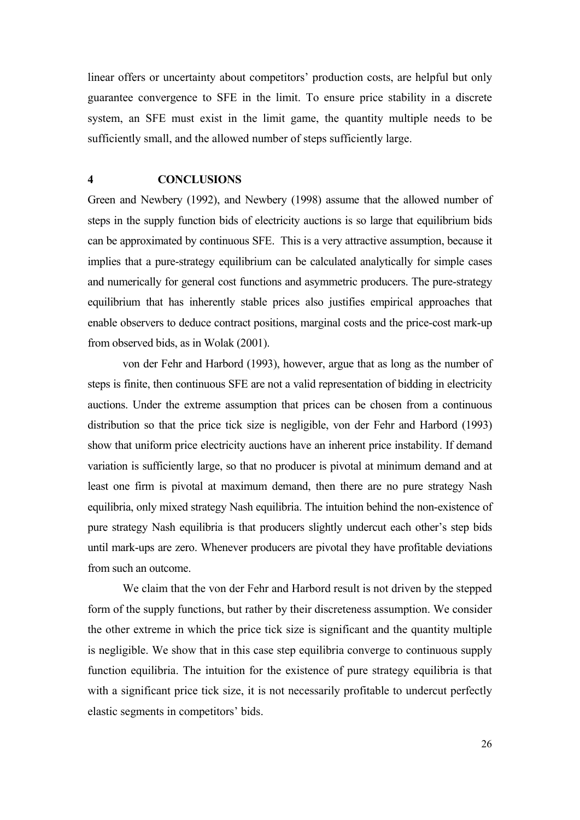linear offers or uncertainty about competitors' production costs, are helpful but only guarantee convergence to SFE in the limit. To ensure price stability in a discrete system, an SFE must exist in the limit game, the quantity multiple needs to be sufficiently small, and the allowed number of steps sufficiently large.

## **4 CONCLUSIONS**

Green and Newbery (1992), and Newbery (1998) assume that the allowed number of steps in the supply function bids of electricity auctions is so large that equilibrium bids can be approximated by continuous SFE. This is a very attractive assumption, because it implies that a pure-strategy equilibrium can be calculated analytically for simple cases and numerically for general cost functions and asymmetric producers. The pure-strategy equilibrium that has inherently stable prices also justifies empirical approaches that enable observers to deduce contract positions, marginal costs and the price-cost mark-up from observed bids, as in Wolak (2001).

von der Fehr and Harbord (1993), however, argue that as long as the number of steps is finite, then continuous SFE are not a valid representation of bidding in electricity auctions. Under the extreme assumption that prices can be chosen from a continuous distribution so that the price tick size is negligible, von der Fehr and Harbord (1993) show that uniform price electricity auctions have an inherent price instability. If demand variation is sufficiently large, so that no producer is pivotal at minimum demand and at least one firm is pivotal at maximum demand, then there are no pure strategy Nash equilibria, only mixed strategy Nash equilibria. The intuition behind the non-existence of pure strategy Nash equilibria is that producers slightly undercut each other's step bids until mark-ups are zero. Whenever producers are pivotal they have profitable deviations from such an outcome.

We claim that the von der Fehr and Harbord result is not driven by the stepped form of the supply functions, but rather by their discreteness assumption. We consider the other extreme in which the price tick size is significant and the quantity multiple is negligible. We show that in this case step equilibria converge to continuous supply function equilibria. The intuition for the existence of pure strategy equilibria is that with a significant price tick size, it is not necessarily profitable to undercut perfectly elastic segments in competitors' bids.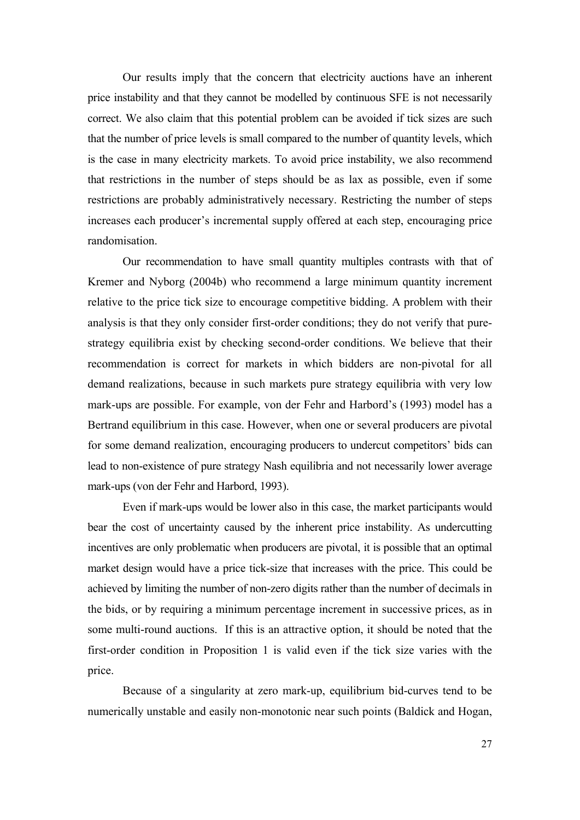Our results imply that the concern that electricity auctions have an inherent price instability and that they cannot be modelled by continuous SFE is not necessarily correct. We also claim that this potential problem can be avoided if tick sizes are such that the number of price levels is small compared to the number of quantity levels, which is the case in many electricity markets. To avoid price instability, we also recommend that restrictions in the number of steps should be as lax as possible, even if some restrictions are probably administratively necessary. Restricting the number of steps increases each producer's incremental supply offered at each step, encouraging price randomisation.

Our recommendation to have small quantity multiples contrasts with that of Kremer and Nyborg (2004b) who recommend a large minimum quantity increment relative to the price tick size to encourage competitive bidding. A problem with their analysis is that they only consider first-order conditions; they do not verify that purestrategy equilibria exist by checking second-order conditions. We believe that their recommendation is correct for markets in which bidders are non-pivotal for all demand realizations, because in such markets pure strategy equilibria with very low mark-ups are possible. For example, von der Fehr and Harbord's (1993) model has a Bertrand equilibrium in this case. However, when one or several producers are pivotal for some demand realization, encouraging producers to undercut competitors' bids can lead to non-existence of pure strategy Nash equilibria and not necessarily lower average mark-ups (von der Fehr and Harbord, 1993).

Even if mark-ups would be lower also in this case, the market participants would bear the cost of uncertainty caused by the inherent price instability. As undercutting incentives are only problematic when producers are pivotal, it is possible that an optimal market design would have a price tick-size that increases with the price. This could be achieved by limiting the number of non-zero digits rather than the number of decimals in the bids, or by requiring a minimum percentage increment in successive prices, as in some multi-round auctions. If this is an attractive option, it should be noted that the first-order condition in Proposition [1](#page-14-1) is valid even if the tick size varies with the price.

Because of a singularity at zero mark-up, equilibrium bid-curves tend to be numerically unstable and easily non-monotonic near such points (Baldick and Hogan,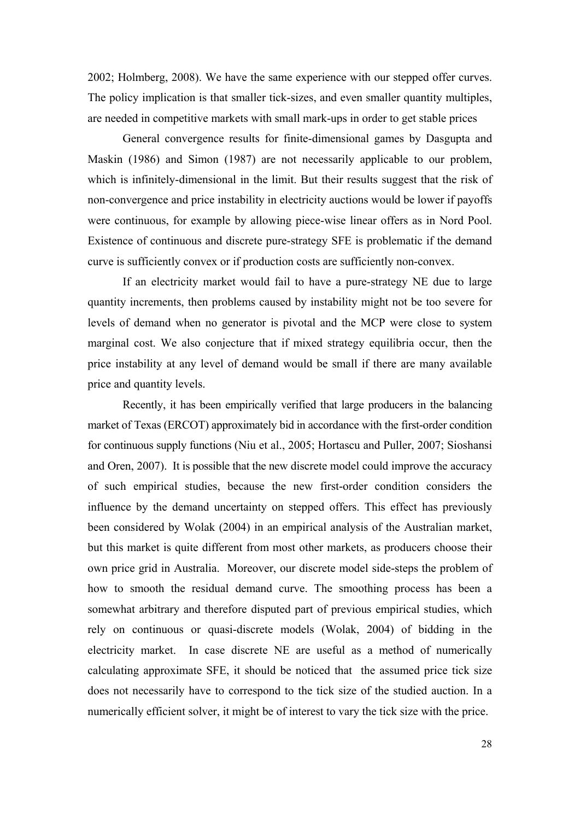2002; Holmberg, 2008). We have the same experience with our stepped offer curves. The policy implication is that smaller tick-sizes, and even smaller quantity multiples, are needed in competitive markets with small mark-ups in order to get stable prices

 General convergence results for finite-dimensional games by Dasgupta and Maskin (1986) and Simon (1987) are not necessarily applicable to our problem, which is infinitely-dimensional in the limit. But their results suggest that the risk of non-convergence and price instability in electricity auctions would be lower if payoffs were continuous, for example by allowing piece-wise linear offers as in Nord Pool. Existence of continuous and discrete pure-strategy SFE is problematic if the demand curve is sufficiently convex or if production costs are sufficiently non-convex.

 If an electricity market would fail to have a pure-strategy NE due to large quantity increments, then problems caused by instability might not be too severe for levels of demand when no generator is pivotal and the MCP were close to system marginal cost. We also conjecture that if mixed strategy equilibria occur, then the price instability at any level of demand would be small if there are many available price and quantity levels.

Recently, it has been empirically verified that large producers in the balancing market of Texas (ERCOT) approximately bid in accordance with the first-order condition for continuous supply functions (Niu et al., 2005; Hortascu and Puller, 2007; Sioshansi and Oren, 2007). It is possible that the new discrete model could improve the accuracy of such empirical studies, because the new first-order condition considers the influence by the demand uncertainty on stepped offers. This effect has previously been considered by Wolak (2004) in an empirical analysis of the Australian market, but this market is quite different from most other markets, as producers choose their own price grid in Australia. Moreover, our discrete model side-steps the problem of how to smooth the residual demand curve. The smoothing process has been a somewhat arbitrary and therefore disputed part of previous empirical studies, which rely on continuous or quasi-discrete models (Wolak, 2004) of bidding in the electricity market. In case discrete NE are useful as a method of numerically calculating approximate SFE, it should be noticed that the assumed price tick size does not necessarily have to correspond to the tick size of the studied auction. In a numerically efficient solver, it might be of interest to vary the tick size with the price.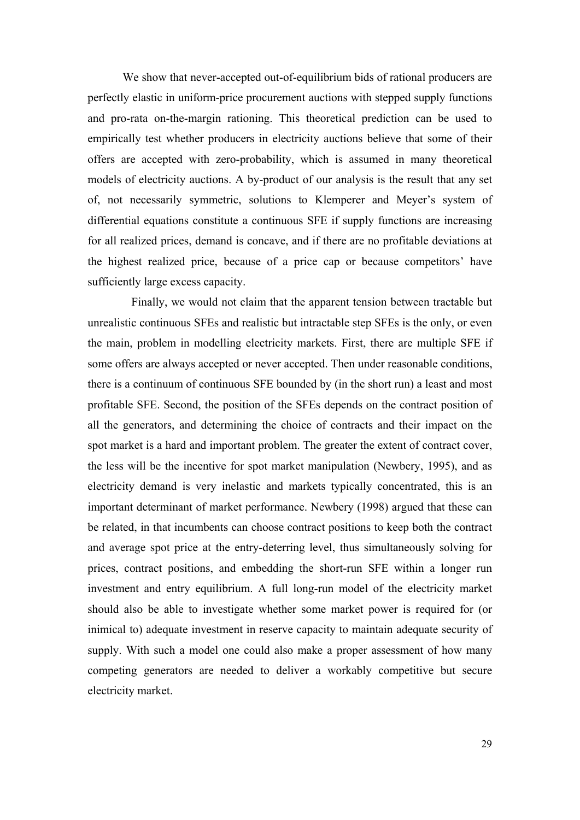We show that never-accepted out-of-equilibrium bids of rational producers are perfectly elastic in uniform-price procurement auctions with stepped supply functions and pro-rata on-the-margin rationing. This theoretical prediction can be used to empirically test whether producers in electricity auctions believe that some of their offers are accepted with zero-probability, which is assumed in many theoretical models of electricity auctions. A by-product of our analysis is the result that any set of, not necessarily symmetric, solutions to Klemperer and Meyer's system of differential equations constitute a continuous SFE if supply functions are increasing for all realized prices, demand is concave, and if there are no profitable deviations at the highest realized price, because of a price cap or because competitors' have sufficiently large excess capacity.

 Finally, we would not claim that the apparent tension between tractable but unrealistic continuous SFEs and realistic but intractable step SFEs is the only, or even the main, problem in modelling electricity markets. First, there are multiple SFE if some offers are always accepted or never accepted. Then under reasonable conditions, there is a continuum of continuous SFE bounded by (in the short run) a least and most profitable SFE. Second, the position of the SFEs depends on the contract position of all the generators, and determining the choice of contracts and their impact on the spot market is a hard and important problem. The greater the extent of contract cover, the less will be the incentive for spot market manipulation (Newbery, 1995), and as electricity demand is very inelastic and markets typically concentrated, this is an important determinant of market performance. Newbery (1998) argued that these can be related, in that incumbents can choose contract positions to keep both the contract and average spot price at the entry-deterring level, thus simultaneously solving for prices, contract positions, and embedding the short-run SFE within a longer run investment and entry equilibrium. A full long-run model of the electricity market should also be able to investigate whether some market power is required for (or inimical to) adequate investment in reserve capacity to maintain adequate security of supply. With such a model one could also make a proper assessment of how many competing generators are needed to deliver a workably competitive but secure electricity market.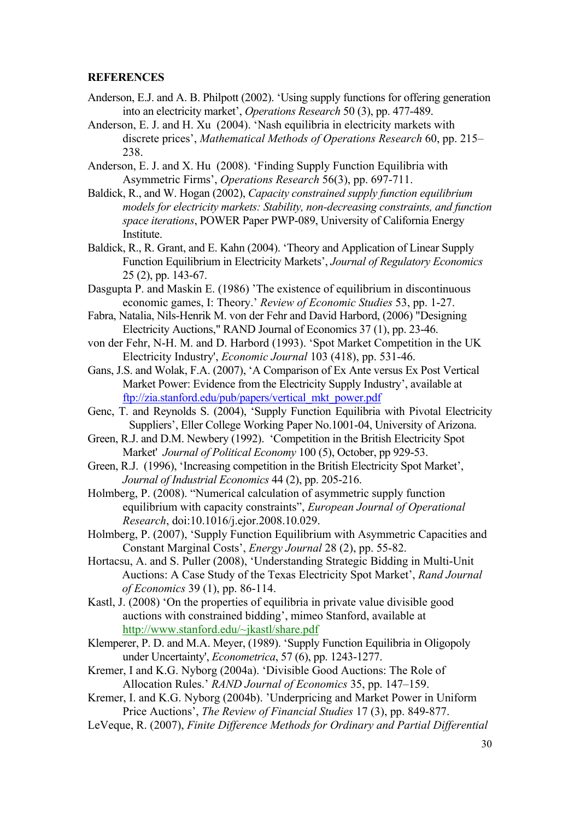#### **REFERENCES**

- Anderson, E.J. and A. B. Philpott (2002). 'Using supply functions for offering generation into an electricity market', *Operations Research* 50 (3), pp. 477-489.
- Anderson, E. J. and H. Xu (2004). 'Nash equilibria in electricity markets with discrete prices', *Mathematical Methods of Operations Research* 60, pp. 215– 238.
- Anderson, E. J. and X. Hu (2008). 'Finding Supply Function Equilibria with Asymmetric Firms', *Operations Research* 56(3), pp. 697-711.
- Baldick, R., and W. Hogan (2002), *Capacity constrained supply function equilibrium models for electricity markets: Stability, non-decreasing constraints, and function space iterations*, POWER Paper PWP-089, University of California Energy Institute.
- Baldick, R., R. Grant, and E. Kahn (2004). 'Theory and Application of Linear Supply Function Equilibrium in Electricity Markets', *Journal of Regulatory Economics* 25 (2), pp. 143-67.
- Dasgupta P. and Maskin E. (1986) 'The existence of equilibrium in discontinuous economic games, I: Theory.' *Review of Economic Studies* 53, pp. 1-27.
- Fabra, Natalia, Nils-Henrik M. von der Fehr and David Harbord, (2006) "Designing Electricity Auctions," RAND Journal of Economics 37 (1), pp. 23-46.
- von der Fehr, N-H. M. and D. Harbord (1993). 'Spot Market Competition in the UK Electricity Industry', *Economic Journal* 103 (418), pp. 531-46.
- Gans, J.S. and Wolak, F.A. (2007), 'A Comparison of Ex Ante versus Ex Post Vertical Market Power: Evidence from the Electricity Supply Industry', available at [ftp://zia.stanford.edu/pub/papers/vertical\\_mkt\\_power.pdf](ftp://zia.stanford.edu/pub/papers/vertical_mkt_power.pdf)
- Genc, T. and Reynolds S. (2004), 'Supply Function Equilibria with Pivotal Electricity Suppliers', Eller College Working Paper No.1001-04, University of Arizona.
- Green, R.J. and D.M. Newbery (1992). 'Competition in the British Electricity Spot Market' *Journal of Political Economy* 100 (5), October, pp 929-53.
- Green, R.J. (1996), 'Increasing competition in the British Electricity Spot Market', *Journal of Industrial Economics* 44 (2), pp. 205-216.
- Holmberg, P. (2008). "Numerical calculation of asymmetric supply function equilibrium with capacity constraints", *European Journal of Operational Research*, doi:10.1016/j.ejor.2008.10.029.
- Holmberg, P. (2007), 'Supply Function Equilibrium with Asymmetric Capacities and Constant Marginal Costs', *Energy Journal* 28 (2), pp. 55-82.
- Hortacsu, A. and S. Puller (2008), 'Understanding Strategic Bidding in Multi-Unit Auctions: A Case Study of the Texas Electricity Spot Market', *Rand Journal of Economics* 39 (1), pp. 86-114.
- Kastl, J. (2008) 'On the properties of equilibria in private value divisible good auctions with constrained bidding', mimeo Stanford, available at http://www.stanford.edu/~jkastl/share.pdf
- Klemperer, P. D. and M.A. Meyer, (1989). 'Supply Function Equilibria in Oligopoly under Uncertainty', *Econometrica*, 57 (6), pp. 1243-1277.
- Kremer, I and K.G. Nyborg (2004a). 'Divisible Good Auctions: The Role of Allocation Rules.' *RAND Journal of Economics* 35, pp. 147–159.
- Kremer, I. and K.G. Nyborg (2004b). 'Underpricing and Market Power in Uniform Price Auctions', *The Review of Financial Studies* 17 (3), pp. 849-877.
- LeVeque, R. (2007), *Finite Difference Methods for Ordinary and Partial Differential*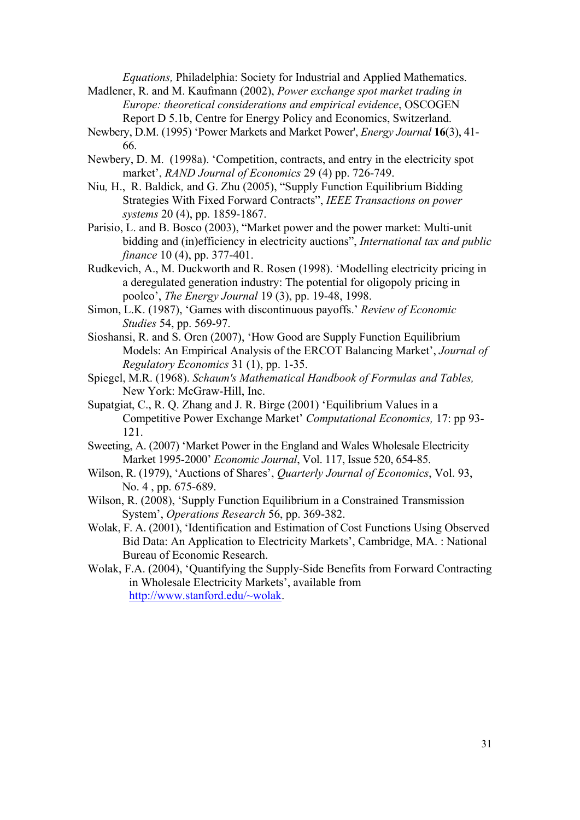*Equations,* Philadelphia: Society for Industrial and Applied Mathematics.

Madlener, R. and M. Kaufmann (2002), *Power exchange spot market trading in Europe: theoretical considerations and empirical evidence*, OSCOGEN Report D 5.1b, Centre for Energy Policy and Economics, Switzerland.

- Newbery, D.M. (1995) 'Power Markets and Market Power', *Energy Journal* **16**(3), 41- 66.
- Newbery, D. M. (1998a). 'Competition, contracts, and entry in the electricity spot market', *RAND Journal of Economics* 29 (4) pp. 726-749.
- Niu*,* H., R. Baldick*,* and G. Zhu (2005), "Supply Function Equilibrium Bidding Strategies With Fixed Forward Contracts", *IEEE Transactions on power systems* 20 (4), pp. 1859-1867.
- Parisio, L. and B. Bosco (2003), "Market power and the power market: Multi-unit bidding and (in)efficiency in electricity auctions", *International tax and public finance* 10 (4), pp. 377-401.
- Rudkevich, A., M. Duckworth and R. Rosen (1998). 'Modelling electricity pricing in a deregulated generation industry: The potential for oligopoly pricing in poolco', *The Energy Journal* 19 (3), pp. 19-48, 1998.
- Simon, L.K. (1987), 'Games with discontinuous payoffs.' *Review of Economic Studies* 54, pp. 569-97.
- Sioshansi, R. and S. Oren (2007), 'How Good are Supply Function Equilibrium Models: An Empirical Analysis of the ERCOT Balancing Market', *Journal of Regulatory Economics* 31 (1), pp. 1-35.
- Spiegel, M.R. (1968). *Schaum's Mathematical Handbook of Formulas and Tables,*  New York: McGraw-Hill, Inc.
- Supatgiat, C., R. Q. Zhang and J. R. Birge (2001) 'Equilibrium Values in a Competitive Power Exchange Market' *Computational Economics,* 17: pp 93- 121.
- Sweeting, A. (2007) 'Market Power in the England and Wales Wholesale Electricity Market 1995-2000' *Economic Journal*, Vol. 117, Issue 520, 654-85.
- Wilson, R. (1979), 'Auctions of Shares', *Quarterly Journal of Economics*, Vol. 93, No. 4 , pp. 675-689.
- Wilson, R. (2008), 'Supply Function Equilibrium in a Constrained Transmission System', *Operations Research* 56, pp. 369-382.
- Wolak, F. A. (2001), 'Identification and Estimation of Cost Functions Using Observed Bid Data: An Application to Electricity Markets', Cambridge, MA. : National Bureau of Economic Research.
- Wolak, F.A. (2004), 'Quantifying the Supply-Side Benefits from Forward Contracting in Wholesale Electricity Markets', available from [http://www.stanford.edu/~wolak](http://www.stanford.edu/%7Ewolak).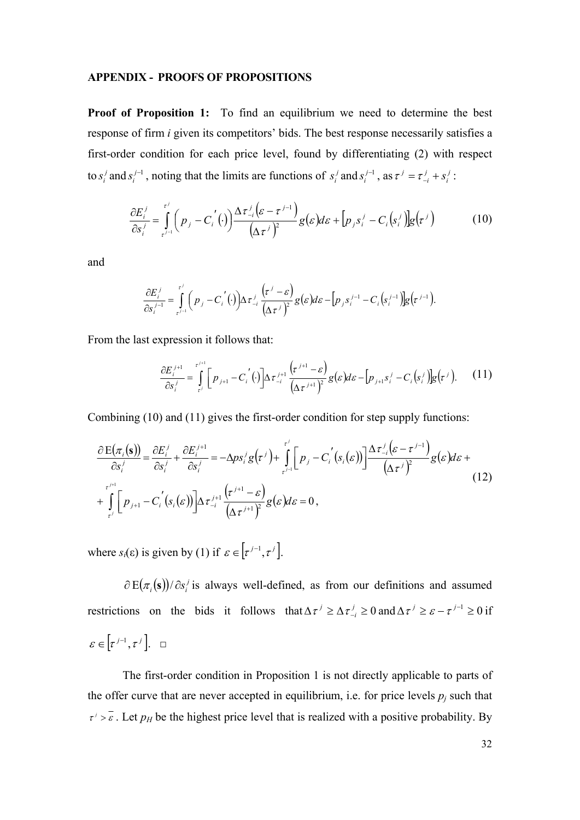#### **APPENDIX - PROOFS OF PROPOSITIONS**

**Proof of Proposition 1:** To find an equilibrium we need to determine the best response of firm *i* given its competitors' bids. The best response necessarily satisfies a first-order condition for each price level, found by differentiating ([2\)](#page-14-2) with respect to  $s_i^j$  and  $s_i^{j-1}$ , noting that the limits are functions of  $s_i^j$  and  $s_i^{j-1}$ , as  $\tau^j = \tau_{-i}^j + s_i^j$ : *j*  $\tau^{j} = \tau^{j}_{-i} + s$ 

$$
\frac{\partial E_i^j}{\partial s_i^j} = \int_{\tau^{j-1}}^{\tau^j} \left( p_j - C_i^{'}(\cdot) \right) \frac{\Delta \tau_{-i}^j \left( \varepsilon - \tau^{j-1} \right)}{\left( \Delta \tau^j \right)^2} g(\varepsilon) d\varepsilon + \left[ p_j s_i^j - C_i \left( s_i^j \right) \right] g(\tau^j)
$$
(10)

<span id="page-32-0"></span>and

$$
\frac{\partial E_i^j}{\partial s_i^{j-1}} = \int_{\tau^{j-1}}^{\tau^j} \Bigl(p_j - C_i^{j'}(\cdot)\Bigr) \Delta \tau_{-i}^j \frac{\left(\tau^j - \varepsilon\right)}{\left(\Delta \tau^j\right)^2} g(\varepsilon) d\varepsilon - \Bigl[p_j s_i^{j-1} - C_i \left(s_i^{j-1}\right) \Bigr] g(\tau^{j-1}).
$$

<span id="page-32-1"></span>From the last expression it follows that:

$$
\frac{\partial E_i^{j+1}}{\partial s_i^j} = \int_{\tau^j}^{\tau^{j+1}} \Big[ p_{j+1} - C_i^{j-1} \Big] \Delta \tau_{-i}^{j+1} \frac{\Big( \tau^{j+1} - \varepsilon \Big)}{\Big( \Delta \tau^{j+1} \Big)^2} g(\varepsilon) d\varepsilon - \Big[ p_{j+1} s_i^j - C_i \Big( s_i^j \Big) \Big] g(\tau^j). \tag{11}
$$

<span id="page-32-2"></span>Combining ([10\)](#page-32-0) and [\(11](#page-32-1)) gives the first-order condition for step supply functions:

$$
\frac{\partial E(\pi_i(\mathbf{s}))}{\partial s_i^j} = \frac{\partial E_i^j}{\partial s_i^j} + \frac{\partial E_i^{j+1}}{\partial s_i^j} = -\Delta ps_i^j g(\tau^j) + \int_{\tau^{j-1}}^{\tau^j} \Big[ p_j - C_i^{\prime}(s_i(\varepsilon)) \Big] \frac{\Delta \tau_{-i}^j (\varepsilon - \tau^{j-1})}{(\Delta \tau^j)^2} g(\varepsilon) d\varepsilon + \int_{\tau^{j}}^{\tau^{j+1}} \Big[ p_{j+1} - C_i^{\prime}(s_i(\varepsilon)) \Big] \Delta \tau_{-i}^{j+1} \frac{(\tau^{j+1} - \varepsilon)}{(\Delta \tau^{j+1})^2} g(\varepsilon) d\varepsilon = 0,
$$
\n(12)

where  $s_i(\varepsilon)$  is given by (1) if  $\varepsilon \in [\tau^{j-1}, \tau^j]$ .

 $\partial E(\pi_i(\mathbf{s}))$  *j*  $\partial s_i^j$  is always well-defined, as from our definitions and assumed  $\varepsilon \in \left[ \tau^{j-1}, \tau^j \right]$ .  $\Box$ restrictions on the bids it follows that  $\Delta \tau^j \geq \Delta \tau_{-i}^j \geq 0$  and  $\Delta \tau^j \geq \varepsilon - \tau^{j-1} \geq 0$  if  $\tau^j \geq \Delta \tau^j_{-i} \geq 0$  and  $\Delta \tau^j \geq \varepsilon - \tau^{j-1} \geq 0$ 

The first-order condition in Proposition [1](#page-14-1) is not directly applicable to parts of the offer curve that are never accepted in equilibrium, i.e. for price levels  $p_j$  such that  $\tau' > \bar{\epsilon}$ . Let  $p_H$  be the highest price level that is realized with a positive probability. By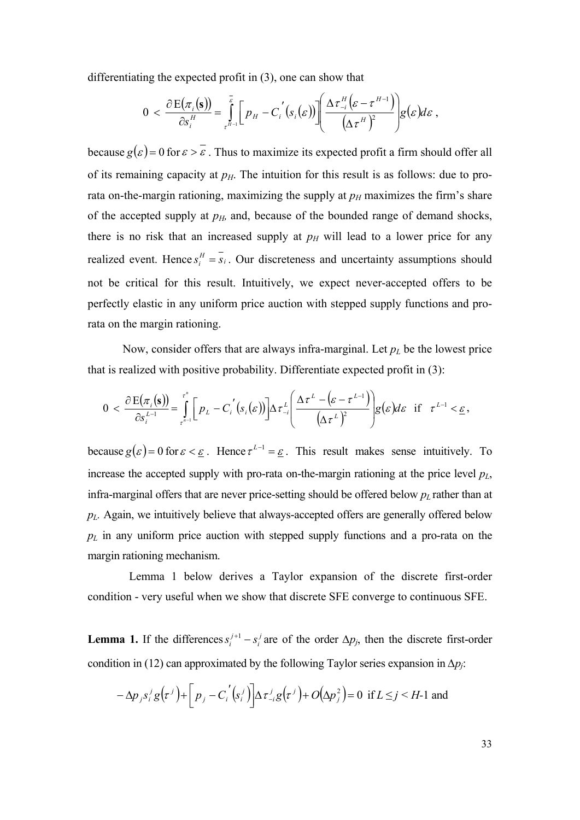differentiating the expected profit in [\(3](#page-14-0)), one can show that

$$
0 < \frac{\partial E(\pi_i(\mathbf{s}))}{\partial s_i^H} = \int_{\tau^{H-1}}^{\bar{\varepsilon}} \Bigg[ p_H - C_i^{'}(s_i(\varepsilon)) \Bigg] \Bigg( \frac{\Delta \tau_{-i}^H (\varepsilon - \tau^{H-1})}{(\Delta \tau^H)^2} \Bigg) g(\varepsilon) d\varepsilon,
$$

because  $g(\varepsilon) = 0$  for  $\varepsilon > \varepsilon$ . Thus to maximize its expected profit a firm should offer all of its remaining capacity at  $p<sub>H</sub>$ . The intuition for this result is as follows: due to prorata on-the-margin rationing, maximizing the supply at  $p<sub>H</sub>$  maximizes the firm's share of the accepted supply at  $p<sub>H</sub>$ , and, because of the bounded range of demand shocks, there is no risk that an increased supply at  $p<sub>H</sub>$  will lead to a lower price for any realized event. Hence  $s_i^H = s_i$ . Our discreteness and uncertainty assumptions should not be critical for this result. Intuitively, we expect never-accepted offers to be perfectly elastic in any uniform price auction with stepped supply functions and prorata on the margin rationing.

Now, consider offers that are always infra-marginal. Let  $p<sub>L</sub>$  be the lowest price that is realized with positive probability. Differentiate expected profit in ([3\)](#page-14-0):

$$
0 < \frac{\partial E(\pi_i(\mathbf{s}))}{\partial s_i^{L-1}} = \int_{\tau^{n-1}}^{\tau^n} \Bigg[ p_L - C_i^{'}(s_i(\varepsilon)) \Bigg] \Delta \tau_{-i}^L \left( \frac{\Delta \tau^L - (\varepsilon - \tau^{L-1})}{(\Delta \tau^L)^2} \right) g(\varepsilon) d\varepsilon \quad \text{if} \quad \tau^{L-1} < \underline{\varepsilon} \, ,
$$

because  $g(\varepsilon) = 0$  for  $\varepsilon < \underline{\varepsilon}$ . Hence  $\tau^{L-1} = \underline{\varepsilon}$ . This result makes sense intuitively. To increase the accepted supply with pro-rata on-the-margin rationing at the price level  $p_L$ , infra-marginal offers that are never price-setting should be offered below  $p_l$  rather than at *pL.* Again, we intuitively believe that always-accepted offers are generally offered below *pL* in any uniform price auction with stepped supply functions and a pro-rata on the margin rationing mechanism.

Lemma [1](#page-33-0) below derives a Taylor expansion of the discrete first-order condition - very useful when we show that discrete SFE converge to continuous SFE.

<span id="page-33-0"></span>**Lemma 1.** If the differences  $s_i^{j+1} - s_i^j$  are of the order  $\Delta p_i$ , then the discrete first-order condition in ( [12\)](#page-32-2) can approximated by the following Taylor series expansion in *∆pj*: *i*  $s_i^{j+1} - s$ 

$$
-\Delta p_j s_i^j g(\tau^j) + \left[ p_j - C_i^{'}(s_i^j) \right] \Delta \tau_{-i}^j g(\tau^j) + O(\Delta p_j^2) = 0 \text{ if } L \leq j \leq H-1 \text{ and}
$$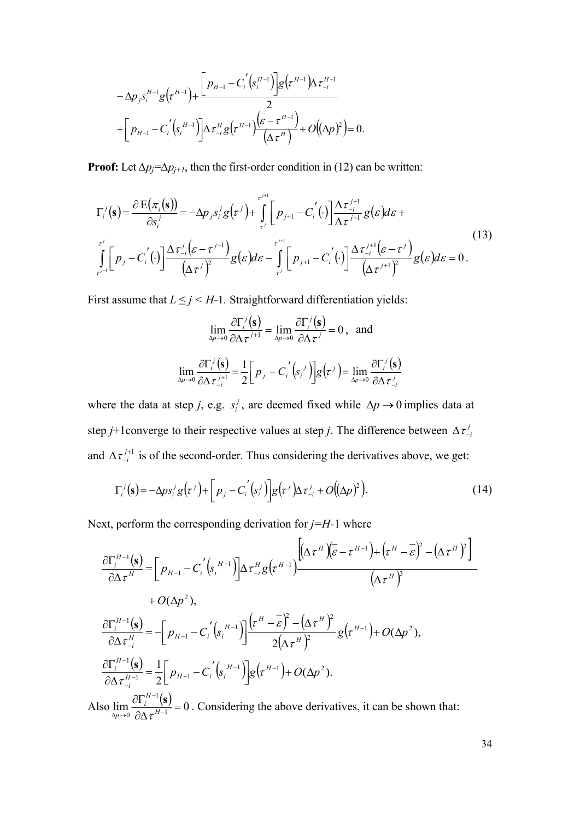$$
-\Delta p_{j} s_{i}^{H-1} g(\tau^{H-1}) + \frac{\left[p_{H-1} - C_{i}^{'}(s_{i}^{H-1})\right] g(\tau^{H-1}) \Delta \tau_{-i}^{H-1}}{2} + \left[p_{H-1} - C_{i}^{'}(s_{i}^{H-1})\right] \Delta \tau_{-i}^{H} g(\tau^{H-1}) \frac{\left(\bar{\varepsilon} - \tau^{H-1}\right)}{\left(\Delta \tau^{H}\right)} + O\left((\Delta p)^{2}\right) = 0.
$$

**Proof:** Let  $\Delta p_j = \Delta p_{j+1}$ , then the first-order condition in [\(12\)](#page-32-2) can be written:

$$
\Gamma_i^j(\mathbf{s}) = \frac{\partial E(\pi_i(\mathbf{s}))}{\partial s_i^j} = -\Delta p_j s_i^j g(\tau^j) + \int_{\tau^j}^{\tau^{j+1}} \left[ p_{j+1} - C_i^{'}(\cdot) \right] \frac{\Delta \tau_{-i}^{j+1}}{\Delta \tau^{j+1}} g(\varepsilon) d\varepsilon + \int_{\tau^j}^{\tau^j} \left[ p_j - C_i^{'}(\cdot) \right] \frac{\Delta \tau_{-i}^j (\varepsilon - \tau^{j-1})}{\left(\Delta \tau^j\right)^2} g(\varepsilon) d\varepsilon - \int_{\tau^j}^{\tau^{j+1}} \left[ p_{j+1} - C_i^{'}(\cdot) \right] \frac{\Delta \tau_{-i}^{j+1} (\varepsilon - \tau^j)}{\left(\Delta \tau^{j+1}\right)^2} g(\varepsilon) d\varepsilon = 0.
$$
\n(13)

First assume that  $L \leq j \leq H$ -1. Straightforward differentiation yields:

$$
\lim_{\Delta p \to 0} \frac{\partial \Gamma_i^j(\mathbf{s})}{\partial \Delta \tau^{j+1}} = \lim_{\Delta p \to 0} \frac{\partial \Gamma_i^j(\mathbf{s})}{\partial \Delta \tau^j} = 0, \text{ and}
$$

$$
\lim_{\Delta p \to 0} \frac{\partial \Gamma_i^j(\mathbf{s})}{\partial \Delta \tau^{j+1}_{-i}} = \frac{1}{2} \Big[ p_j - C_i^{\prime} \Big( s_i^{\prime j} \Big) \Big] g(\tau^j) = \lim_{\Delta p \to 0} \frac{\partial \Gamma_i^j(\mathbf{s})}{\partial \Delta \tau_{-i}^j}
$$

where the data at step *j*, e.g.  $s_i^j$ , are deemed fixed while  $\Delta p \rightarrow 0$  implies data at step *j*+1converge to their respective values at step *j*. The difference between  $\Delta \tau_{-i}^j$ and  $\Delta \tau_{-i}^{j+1}$  is of the second-order. Thus considering the derivatives above, we get:

$$
\Gamma_i^j(\mathbf{s}) = -\Delta p s_i^j g(\tau^j) + \left[ p_j - C_i^{\prime} (s_i^j) \right] g(\tau^j) \Delta \tau_{-i}^j + O((\Delta p)^2).
$$
 (14)

Next, perform the corresponding derivation for *j=H-*1 where

$$
\frac{\partial \Gamma_i^{H-1}(\mathbf{s})}{\partial \Delta \tau^H} = \left[ p_{H-1} - C_i' \left( s_i^{H-1} \right) \right] \Delta \tau_{-i}^H g(\tau^{H-1}) \frac{\left[ \left( \Delta \tau^H \right) \overline{(\varepsilon} - \tau^{H-1} \right) + \left( \tau^H - \overline{\varepsilon} \right)^2 - \left( \Delta \tau^H \right)^2 \right]}{\left( \Delta \tau^H \right)^3} + O(\Delta p^2),
$$
\n
$$
\frac{\partial \Gamma_i^{H-1}(\mathbf{s})}{\partial \Delta \tau_{-i}^H} = -\left[ p_{H-1} - C_i' \left( s_i^{H-1} \right) \right] \frac{\left( \tau^H - \overline{\varepsilon} \right)^2 - \left( \Delta \tau^H \right)^2}{2 \left( \Delta \tau^H \right)^2} g(\tau^{H-1}) + O(\Delta p^2),
$$
\n
$$
\frac{\partial \Gamma_i^{H-1}(\mathbf{s})}{\partial \Delta \tau_{-i}^{H-1}} = \frac{1}{2} \left[ p_{H-1} - C_i' \left( s_i^{H-1} \right) \right] g(\tau^{H-1}) + O(\Delta p^2).
$$
\nAlso  $\lim_{\Delta p \to 0} \frac{\partial \Gamma_i^{H-1}(\mathbf{s})}{\partial \Delta \tau_{-i}^{H-1}} = 0$ . Considering the above derivatives, it can be shown that: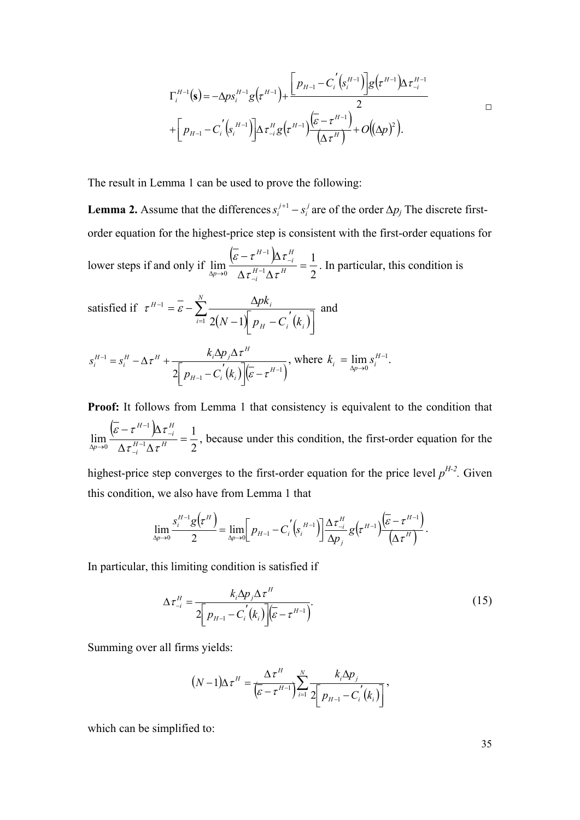$$
\Gamma_{i}^{H-1}(\mathbf{s}) = -\Delta ps_{i}^{H-1}g(\tau^{H-1}) + \frac{\left[p_{H-1} - C_{i}^{'}(s_{i}^{H-1})\right]g(\tau^{H-1})\Delta\tau_{-i}^{H-1}}{2} + \left[p_{H-1} - C_{i}^{'}(s_{i}^{H-1})\right]\Delta\tau_{-i}^{H}g(\tau^{H-1}) + O((\Delta p)^{2}).
$$

The result in Lemma [1](#page-33-0) can be used to prove the following:

<span id="page-35-0"></span>**Lemma 2.** Assume that the differences  $s_i^{j+1} - s_i^j$  are of the order  $\Delta p_i$  The discrete firstorder equation for the highest-price step is consistent with the first-order equations for lower steps if and only if *i*  $s_i^{j+1} - s$  $(\varepsilon - \tau^{H-1})$  $\frac{1}{\Delta \tau} \frac{\Delta \tau_{-i}^H}{\Delta \tau^H} = \frac{1}{2}$ *H H i* τ  $\lim_{\Delta n \to 0} \frac{(\mathcal{E} - \tau) \Delta \tau}{\Delta \tau^{H-1} \Delta \tau^{H}}$ 1  $\overline{0}$   $\Delta$ − − − −  $\Delta p \rightarrow 0$   $\Delta \tau_{-i}^H$ *H*  $p \rightarrow 0$   $\Delta \tau$  $\frac{\varepsilon - \tau^{\text{max}} \mathcal{A} \tau_{i}}{H_{\text{max}} H_{\text{max}}} = \frac{1}{2}$ . In particular, this condition is

satisfied if 
$$
\tau^{H-1} = \overline{\varepsilon} - \sum_{i=1}^{N} \frac{\Delta p k_i}{2(N-1) \left[ p_H - C_i^{'}(k_i) \right]}
$$
 and

$$
s_i^{H-1} = s_i^H - \Delta \tau^H + \frac{k_i \Delta p_j \Delta \tau^H}{2 \left[ p_{H-1} - C_i^{'}(k_i) \right] \left( \varepsilon - \tau^{H-1} \right)}, \text{ where } k_i = \lim_{\Delta p \to 0} s_i^{H-1}.
$$

Proof: It follows from Lemma [1](#page-33-0) that consistency is equivalent to the condition that  $(\varepsilon - \tau^{H-1})$  $\lim_{\Delta p \to 0} \frac{\left(\overline{\varepsilon} - \tau^{H-1}\right) \Delta \tau_{-i}^H}{\Delta \tau_{-i}^{H-1} \Delta \tau^H} = \frac{1}{2}$  $\frac{1}{0} \frac{\left(\sum f_{-i}^{H-1} \Delta \tau^{H}\right)}{\Delta \tau_{-i}^{H-1} \Delta \tau^{H}}$  $-\,\tau^{\,H-1}\,$   $\Delta$ − − − −  $\Delta p \rightarrow^0 \quad \Delta \tau_{-i}^{H-1} \Delta \tau^H$ *H i H*  $p\rightarrow 0$   $\Delta \tau$   $\rightarrow$   $\Delta \tau$  $\frac{\varepsilon - \tau}{\sqrt{1 - \frac{H}{\varepsilon}}}} = \frac{1}{2}$ , because under this condition, the first-order equation for the

highest-price step converges to the first-order equation for the price level  $p^{H-2}$ . Given this condition, we also have from Lemma [1](#page-33-0) that

$$
\lim_{\Delta p \to 0} \frac{s_i^{H-1} g(\tau^H)}{2} = \lim_{\Delta p \to 0} \left[ p_{H-1} - C_i' \left( s_i^{H-1} \right) \right] \frac{\Delta \tau_{-i}^H}{\Delta p_j} g(\tau^{H-1}) \frac{\left( \overline{\varepsilon} - \tau^{H-1} \right)}{\left( \Delta \tau^H \right)}.
$$

<span id="page-35-1"></span>In particular, this limiting condition is satisfied if

$$
\Delta \tau_{-i}^H = \frac{k_i \Delta p_j \Delta \tau^H}{2 \left[ p_{H-1} - C_i^{'}(k_i) \right] \left( \bar{\varepsilon} - \tau^{H-1} \right)}.
$$
\n(15)

Summing over all firms yields:

$$
(N-1)\Delta \tau^H = \frac{\Delta \tau^H}{\left(\bar{\varepsilon} - \tau^{H-1}\right)} \sum_{i=1}^N \frac{k_i \Delta p_j}{2\left[p_{H-1} - C_i^{'}(k_i)\right]},
$$

which can be simplified to: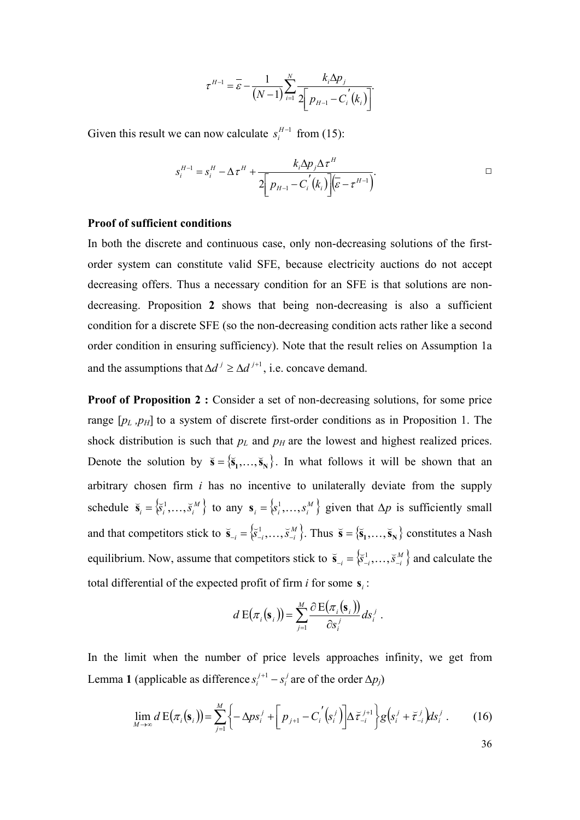$$
\tau^{H-1} = \overline{\varepsilon} - \frac{1}{(N-1)} \sum_{i=1}^{N} \frac{k_i \Delta p_j}{2 \left[ p_{H-1} - C_i^{'}(k_i) \right]}.
$$

Given this result we can now calculate  $s_i^{H-1}$  from ([15\)](#page-35-1):

$$
s_i^{H-1} = s_i^H - \Delta \tau^H + \frac{k_i \Delta p_j \Delta \tau^H}{2 \left[ p_{H-1} - C_i^{'}(k_i) \right] \left( \overline{\epsilon} - \tau^{H-1} \right)}.
$$

## **Proof of sufficient conditions**

In both the discrete and continuous case, only non-decreasing solutions of the firstorder system can constitute valid SFE, because electricity auctions do not accept decreasing offers. Thus a necessary condition for an SFE is that solutions are nondecreasing. Proposition **[2](#page-19-1)** shows that being non-decreasing is also a sufficient condition for a discrete SFE (so the non-decreasing condition acts rather like a second order condition in ensuring sufficiency). Note that the result relies on Assumption 1a and the assumptions that  $\Delta d^j \geq \Delta d^{j+1}$ , i.e. concave demand.

**Proof of Proposition [2](#page-19-1) :** Consider a set of non-decreasing solutions, for some price range  $[p_L, p_H]$  to a system of discrete first-order conditions as in Proposition [1](#page-14-1). The shock distribution is such that  $p<sub>L</sub>$  and  $p<sub>H</sub>$  are the lowest and highest realized prices. Denote the solution by  $\vec{s} = {\{\vec{s}_1, ..., \vec{s}_N\}}$ . In what follows it will be shown that an arbitrary chosen firm *i* has no incentive to unilaterally deviate from the supply schedule  $\mathbf{\bar{s}}_i = \{\bar{s}_i^1, \dots, \bar{s}_i^M\}$  to any  $\mathbf{s}_i = \{s_i^1, \dots, s_i^M\}$  given that  $\Delta p$  is sufficiently small and that competitors stick to  $\vec{s}_{-i} = \{ \vec{s}_i^1, \dots, \vec{s}_{-i}^M \}$ . Thus  $\vec{s} = \{ \vec{s}_1, \dots, \vec{s}_N \}$  constitutes a Nash equilibrium. Now, assume that competitors stick to  $\breve{\mathbf{s}}_{-i} = \left\{ \breve{s}^1_{-i}, \dots, \breve{s}^M_{-i} \right\}$  and calculate the total differential of the expected profit of firm *i* for some  $s_i$ :

$$
d\,\mathrm{E}(\pi_i(\mathbf{s}_i)) = \sum_{j=1}^M \frac{\partial \mathrm{E}(\pi_i(\mathbf{s}_i))}{\partial s_i^j} ds_i^j.
$$

<span id="page-36-0"></span>In the limit when the number of price levels approaches infinity, we get from Lemma **[1](#page-33-0)** (applicable as difference  $s_i^{j+1} - s_i^j$  are of the order  $\Delta p_j$ )  $s_i^{j+1} - s$ 

$$
\lim_{M \to \infty} d \mathbf{E}(\pi_i(\mathbf{s}_i)) = \sum_{j=1}^{M} \left\{ -\Delta p s_i^j + \left[ p_{j+1} - C_i^{'}(s_i^j) \right] \Delta \, \tilde{\tau}_{-i}^{j+1} \right\} g\!\left(s_i^j + \tilde{\tau}_{-i}^j\right) \! ds_i^j \,. \tag{16}
$$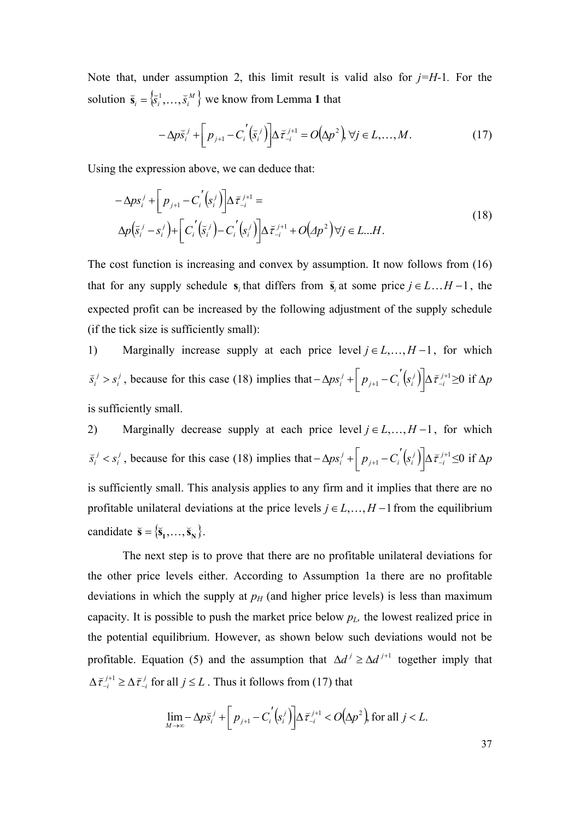Note that, under assumption 2, this limit result is valid also for *j=H-*1*.* For the solution  ${\bf \vec{s}}_i = {\bf \vec{\zeta}}_i^1, \ldots, {\bf \vec{s}}_i^M$  ${\bf \vec{s}}_i = {\bf \vec{\zeta}}_i^1, \ldots, {\bf \vec{s}}_i^M$  ${\bf \vec{s}}_i = {\bf \vec{\zeta}}_i^1, \ldots, {\bf \vec{s}}_i^M$  we know from Lemma 1 that

$$
-\Delta p \breve{s}_i^j + \left[ p_{j+1} - C_i' \left( \breve{s}_i^j \right) \right] \Delta \breve{\tau}_{-i}^{j+1} = O\left(\Delta p^2\right), \forall j \in L, ..., M. \tag{17}
$$

<span id="page-37-1"></span><span id="page-37-0"></span>Using the expression above, we can deduce that:

$$
-\Delta ps_{i}^{j} + \left[ p_{j+1} - C_{i}^{'}(s_{i}^{j}) \right] \Delta \tilde{\tau}_{-i}^{j+1} =
$$
  
 
$$
\Delta p(\tilde{s}_{i}^{j} - s_{i}^{j}) + \left[ C_{i}^{'}(\tilde{s}_{i}^{j}) - C_{i}^{'}(s_{i}^{j}) \right] \Delta \tilde{\tau}_{-i}^{j+1} + O(\Delta p^{2}) \forall j \in L...H.
$$
 (18)

The cost function is increasing and convex by assumption. It now follows from [\(16](#page-36-0)) that for any supply schedule  $s_i$  that differs from  $\bar{s}_i$  at some price  $j \in L \dots H-1$ , the expected profit can be increased by the following adjustment of the supply schedule (if the tick size is sufficiently small):

1) Marginally increase supply at each price level  $j \in L, ..., H-1$ , for which *j i*  $\tilde{s}_i^j > s_i^j$ , because for this case [\(18](#page-37-0)) implies that  $-\Delta ps_i^j + \left[ p_{j+1} - C_i' (s_i^j) \right] \Delta$  $\bigcup_{\Lambda} \neq j+1$  $\left[ P_{j+1} - C_i \setminus a_i \right] \Delta t$  $-\Delta ps_{i}^{\ j}+\left\lceil p_{_{j+1}}-C_{i}^{^{\prime}}\left(s_{i}^{\ j}\right)\right\rceil \Delta\breve{\tau}_{_{-i}}^{_{j}}$  $ps_i^j + \left| p_{i+1} - C_i \left( s_i^j \right) \right| \Delta \vec{\tau}_{-i}^{j+1} \ge 0 \text{ if } \Delta p$ is sufficiently small.

2) Marginally decrease supply at each price level  $j \in L, ..., H-1$ , for which *j i*  $\sum_{i}^{j} \langle s_i^j \rangle \langle s_i^j \rangle$ , because for this case [\(18](#page-37-0)) implies that  $-\Delta ps_i^j + \left[ p_{j+1} - C_i' \left( s_i^j \right) \right] \Delta$  $\bigcup_{\Lambda} \neq j+1$  $\left[ P_{j+1} - C_i \setminus a_i \right] \Delta t$  $-\Delta ps_{i}^{\ j}+\left\lceil p_{_{j+1}}-C_{i}^{^{\prime}}\left(s_{i}^{\ j}\right)\right\rceil \Delta\breve{\tau}_{_{-i}}^{_{j}}$ profitable unilateral deviations at the price levels  $j \in L, ..., H - 1$  from the equilibrium  $ps_i^j + \left| p_{i+1} - C_i \left( s_i^j \right) \right| \Delta \vec{\tau}_{-i}^{j+1} \leq 0 \text{ if } \Delta p$ is sufficiently small. This analysis applies to any firm and it implies that there are no candidate  $\breve{\mathbf{s}} = {\{\breve{\mathbf{s}}_1, ..., \breve{\mathbf{s}}_N\}}$ .

The next step is to prove that there are no profitable unilateral deviations for the other price levels either. According to Assumption 1a there are no profitable deviations in which the supply at  $p_H$  (and higher price levels) is less than maximum capacity. It is possible to push the market price below  $p<sub>L</sub>$ , the lowest realized price in the potential equilibrium. However, as shown below such deviations would not be profitable. Equation [\(5](#page-15-1)) and the assumption that  $\Delta d^j \geq \Delta d^{j+1}$  together imply that  $L_i$  for all  $j \leq L$  $\Delta \tilde{\tau}_{-i}^{j+1} \geq \Delta \tilde{\tau}_{-i}^{j}$  for all  $j \leq L$ . Thus it follows from ([17\)](#page-37-1) that

$$
\lim_{M\to\infty}-\Delta p\breve{s}_i^j+\left[p_{j+1}-C_i^{'}(s_i^j)\right]\Delta\breve{\tau}_{-i}^{j+1} for all  $j < L$ .
$$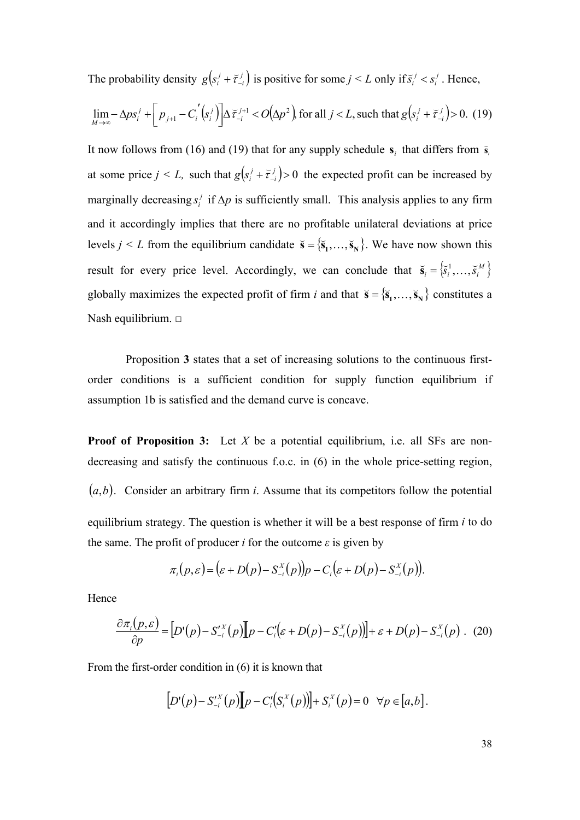The probability density  $g(s_i^j + \breve{\tau}_{-i}^j)$  $g(s_i^j + \breve{\tau}_{-i}^j)$  is positive for some *j* < *L* only if  $\breve{s}_i^j < s_i^j$  $\widetilde{s}_i^j < s_i^j$ . Hence,

<span id="page-38-0"></span>
$$
\lim_{M \to \infty} -\Delta ps_i^j + \left[ p_{j+1} - C_i' \left( s_i^j \right) \right] \Delta \, \tilde{\tau}_{-i}^{j+1} < O\left( \Delta p^2 \right) \text{ for all } j < L \text{, such that } g \left( s_i^j + \tilde{\tau}_{-i}^j \right) > 0. \tag{19}
$$

It now follows from ([16\)](#page-36-0) and ([19\)](#page-38-0) that for any supply schedule  $s_i$  that differs from  $\bar{s}_i$ at some price  $j < L$ , such that  $g(s_i^j + \overline{\tau}_{-i}^j) > 0$  $g(s_i^j + \breve{\tau}_{-i}^j) > 0$  the expected profit can be increased by marginally decreasing  $s_i^j$  if  $\Delta p$  is sufficiently small. This analysis applies to any firm and it accordingly implies that there are no profitable unilateral deviations at price levels  $j < L$  from the equilibrium candidate  $\breve{\mathbf{s}} = {\breve{\mathbf{s}}_1, \dots, \breve{\mathbf{s}}_N}$ . We have now shown this result for every price level. Accordingly, we can conclude that  $\vec{s}_i = \{\vec{s}_i^1, \dots, \vec{s}_i^M\}$ globally maximizes the expected profit of firm *i* and that  $\vec{s} = {\{\vec{s}_1, ..., \vec{s}_N\}}$  constitutes a Nash equilibrium. □

 Proposition **[3](#page-19-0)** states that a set of increasing solutions to the continuous firstorder conditions is a sufficient condition for supply function equilibrium if assumption 1b is satisfied and the demand curve is concave.

**Proof of Proposition [3](#page-19-0):** Let *X* be a potential equilibrium, i.e. all SFs are nondecreasing and satisfy the continuous f.o.c. in [\(6](#page-16-1)) in the whole price-setting region,  $(a,b)$ . Consider an arbitrary firm *i*. Assume that its competitors follow the potential equilibrium strategy. The question is whether it will be a best response of firm *i* to do the same. The profit of producer *i* for the outcome  $\varepsilon$  is given by

$$
\pi_i(p,\varepsilon) = (\varepsilon + D(p) - S_{-i}^X(p))p - C_i(\varepsilon + D(p) - S_{-i}^X(p)).
$$

<span id="page-38-1"></span>Hence

$$
\frac{\partial \pi_i(p,\varepsilon)}{\partial p} = [D'(p) - S_{-i}^{\prime X}(p)][p - C_i'( \varepsilon + D(p) - S_{-i}^X(p)]] + \varepsilon + D(p) - S_{-i}^X(p) \quad (20)
$$

From the first-order condition in [\(6\)](#page-16-1) it is known that

$$
[D'(p) - S'^{X}_{-i}(p)][p - C'_{i}(S^{X}_{i}(p))] + S^{X}_{i}(p) = 0 \quad \forall p \in [a, b].
$$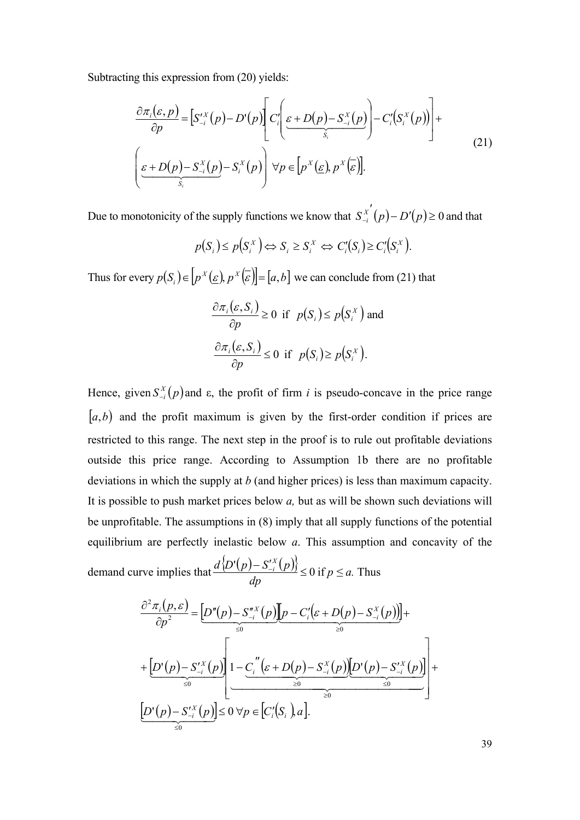<span id="page-39-0"></span>Subtracting this expression from [\(20](#page-38-1)) yields:

$$
\frac{\partial \pi_i(\varepsilon, p)}{\partial p} = \left[ S_{-i}^{tX}(p) - D'(p) \right] C_i' \left( \underbrace{\varepsilon + D(p) - S_{-i}^X(p)}_{S_i} \right) - C_i' \left( S_i^X(p) \right) \Bigg] +
$$
\n
$$
\left( \underbrace{\varepsilon + D(p) - S_{-i}^X(p) - S_i^X(p)}_{S_i} \right) \forall p \in \left[ p^X(\varepsilon), p^X(\overline{\varepsilon}) \right].
$$
\n(21)

Due to monotonicity of the supply functions we know that  $S_{-i}^{x'}(p) - D'(p) ≥ 0$  and that

$$
p(S_i) \le p(S_i^X) \Leftrightarrow S_i \ge S_i^X \Leftrightarrow C_i^{\prime}(S_i) \ge C_i^{\prime}(S_i^X).
$$

Thus for every  $p(S_i) \in [p^X(\underline{\varepsilon}), p^X(\overline{\varepsilon})] = [a, b]$  we can conclude from [\(21\)](#page-39-0) that

$$
\frac{\partial \pi_i(\varepsilon, S_i)}{\partial p} \ge 0 \quad \text{if} \quad p(S_i) \le p(S_i^X) \text{ and}
$$
\n
$$
\frac{\partial \pi_i(\varepsilon, S_i)}{\partial p} \le 0 \quad \text{if} \quad p(S_i) \ge p(S_i^X).
$$

Hence, given  $S_{-i}^X(p)$  and  $\varepsilon$ , the profit of firm *i* is pseudo-concave in the price range  $|a,b\rangle$  and the profit maximum is given by the first-order condition if prices are restricted to this range. The next step in the proof is to rule out profitable deviations outside this price range. According to Assumption 1b there are no profitable deviations in which the supply at *b* (and higher prices) is less than maximum capacity. It is possible to push market prices below *a,* but as will be shown such deviations will be unprofitable. The assumptions in ( [8\)](#page-17-0) imply that all supply functions of the potential equilibrium are perfectly inelastic below *a*. This assumption and concavity of the

demand curve implies that  $\frac{d \{D'(p) - S_i^X(p)\}}{d} \leq 0$ *dp*  $\frac{d\left\{D'(p)-S_{-i}^{X}(p)\right\}}{D} \leq 0$  if  $p \leq a$ . Thus

$$
\frac{\partial^2 \pi_i(p,\varepsilon)}{\partial p^2} = \left[ D''(p) - S''_{-i}(p) \right] \left[ p - C'_i \left( \varepsilon + D(p) - S''_{-i}(p) \right) \right] +
$$
\n
$$
+ \left[ D'(p) - S'^X_{-i}(p) \right] \left[ 1 - C'_i \left( \varepsilon + D(p) - S''_{-i}(p) \right) \left[ D'(p) - S'^X_{-i}(p) \right] +
$$
\n
$$
\left[ D'(p) - S'^X_{-i}(p) \right] \le 0 \ \forall p \in \left[ C'_i \left( S_i \right), a \right].
$$

39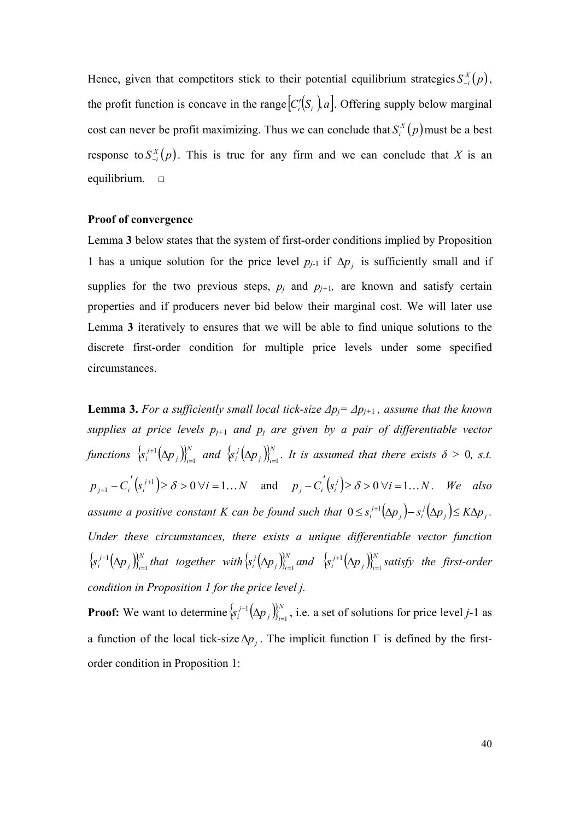Hence, given that competitors stick to their potential equilibrium strategies  $S_{-i}^X(p)$ , the profit function is concave in the range  $[C_i(S_i), a]$ . Offering supply below marginal cost can never be profit maximizing. Thus we can conclude that  $S_i^X(p)$  must be a best response to  $S_{-i}^X(p)$ . This is true for any firm and we can conclude that *X* is an equilibrium. □

#### **Proof of convergence**

Lemma **[3](#page-40-0)** below states that the system of first-order conditions implied by Proposition [1](#page-14-1) has a unique solution for the price level  $p_{j-1}$  if  $\Delta p_j$  is sufficiently small and if supplies for the two previous steps,  $p_j$  and  $p_{j+1}$ , are known and satisfy certain properties and if producers never bid below their marginal cost. We will later use Lemma **[3](#page-40-0)** iteratively to ensures that we will be able to find unique solutions to the discrete first-order condition for multiple price levels under some specified circumstances.

<span id="page-40-0"></span>**Lemma 3.** For a sufficiently small local tick-size  $\Delta p_i = \Delta p_{i+1}$ , assume that the known *supplies at price levels*  $p_{j+1}$  *and*  $p_j$  *are given by a pair of differentiable vector functions*  $\{s_i^{j+1}(\Delta p_j)\}_{i=1}^N$  and  $\left[\sum_{i=1}^{j+1} \left(\Delta p_{j}\right)\right]_{i=1}^{N}$  $\{(\Delta p_{j})\}_{j=1}^{N}$  and  $\{s_{i}^{j}(\Delta p_{j})\}_{j=1}^{N}$  $\left[\frac{S_i^j}{\Delta p_j}\right]_{i=1}^N$ . It is assumed that there exists  $\delta > 0$ , s.t.  $p_{j+1} - C_i'(s_i^{j+1}) \ge \delta > 0 \ \forall i = 1...N$  and  $p_j - C_i'(s_i) \ge \delta > 0 \ \forall i = 1...N$ . We also *assume a positive constant K can be found such that*  $0 \le s_i^{j+1} (\Delta p_j) - s_i^{j} (\Delta p_j) \le K \Delta p_j$  $0 \leq s_i^{j+1} (\Delta p_j) - s_i^j (\Delta p_j) \leq K \Delta p_j$ . *Under these circumstances, there exists a unique differentiable vector function*   $\left\{ S_i^{j-1} \left( \Delta p_j \right) \right\}_{i=1}^N$  that together with  $\left\{ S_i^{j} \left( \Delta p_j \right) \right\}_{i=1}^N$  $\sum_{i=1}^N$  and  $\left.\left.\left\{ \boldsymbol{\mathrm{s}}_i^{\ j+1}\Big(\!\Delta \boldsymbol{p}_j\Big)\!\right\} \right\}_{i=1}^N$ *i j*  $\left[\sum_{i=1}^{j+1} \left(\Delta p_{j}\right)\right]_{i=1}^{N}$  $\left\{ \text{A}_{p} \right\}_{i=1}^{N}$  satisfy the first-order *condition in Proposition [1](#page-14-1) for the price level j.* 

**Proof:** We want to determine  $\{s_i^{j-1}(\Delta p_j)\}_{i=1}^N$  $\left[\sum_{i=1}^{j-1} \left(\Delta p_i\right)\right]_{i=1}^{N}$  $\left[\Delta p_j\right]_{j=1}^N$ , i.e. a set of solutions for price level *j*-1 as *a* function of the local tick-size  $\Delta p_j$ . The implicit function  $\Gamma$  is defined by the firstorder condition in Proposition [1:](#page-14-1)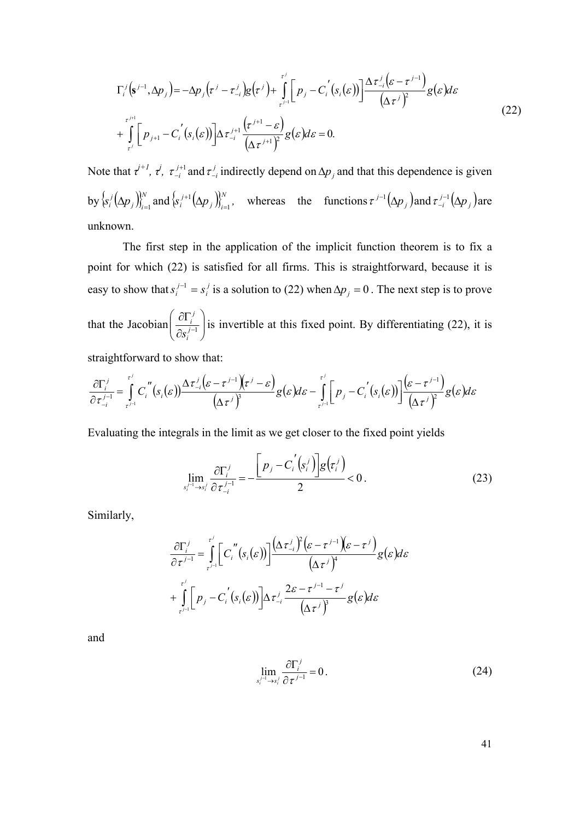<span id="page-41-0"></span>
$$
\Gamma_{i}^{j}(\mathbf{s}^{j-1},\Delta p_{j}) = -\Delta p_{j}(\tau^{j}-\tau_{-i}^{j})g(\tau^{j}) + \int_{\tau^{j-1}}^{\tau^{j}} \Big[ p_{j} - C_{i}^{'}(s_{i}(\varepsilon)) \Big] \frac{\Delta \tau_{-i}^{j}(\varepsilon-\tau^{j-1})}{(\Delta \tau^{j})^{2}} g(\varepsilon) d\varepsilon \n+ \int_{\tau^{j}}^{\tau^{j+1}} \Big[ p_{j+1} - C_{i}^{'}(s_{i}(\varepsilon)) \Big] \Delta \tau_{-i}^{j+1} \frac{(\tau^{j+1}-\varepsilon)}{(\Delta \tau^{j+1})^{2}} g(\varepsilon) d\varepsilon = 0.
$$
\n(22)

Note that  $\tau^{j+l}$ ,  $\tau^{j}$ ,  $\tau^{j+l}_{-i}$  and  $\tau^{j}_{-i}$  indirectly depend on  $\tau_{-i}^{j+1}$  and  $\tau_{-i}^{j}$  indirectly depend on  $\Delta p_{j}$  and that this dependence is given by  $\left\{ \! s_{i}^{j}\!\left(\! \Delta \! p_{j}\right) \! \right\} _{i=1}^{N}$  and  $\left\{ \left( s_i^j \big(\Delta p\big) \right)_{i=1}^N \text{ and } \left\{ s_i^{\left(j+1 \right)} \big(\Delta p\big)_j \right\}_{i=1}^N \right\}$  $\left[\sup_{i} \left( \Delta p_{i}\right) \right]_{i=1}^{N}$ , whereas the functions  $\tau^{j-1} \left( \Delta p_{j}\right)$  and  $\tau_{-i}^{j-1} \left( \Delta p_{j}\right)$  are unknown.

The first step in the application of the implicit function theorem is to fix a point for which [\(22](#page-41-0)) is satisfied for all firms. This is straightforward, because it is easy to show that  $s_i^{j-1} = s_i^j$  is a solution to (  $s_i^{j-1} = s_i^j$  is a solution to ([22\)](#page-41-0) when  $\Delta p_j = 0$ . The next step is to prove that the Jacobian  $\frac{U_1}{\partial s^{j-1}}$ ⎠  $\setminus$  $\parallel$ ⎝  $\sqrt{}$ ∂  $\partial Γ$ *j*−1 *i j i s* is invertible at this fixed point. By differentiating ([22\)](#page-41-0), it is straightforward to show that:

$$
\frac{\partial \Gamma_i^j}{\partial \tau_{-i}^{j-1}} = \int_{\tau_{-i}^{j-1}}^{\tau_j^{j}} C_i^{''}(s_i(\varepsilon)) \frac{\Delta \tau_{-i}^j(\varepsilon - \tau_{-i}^{j-1})(\tau_j - \varepsilon)}{(\Delta \tau_{-i}^{j})^3} g(\varepsilon) d\varepsilon - \int_{\tau_{-i}^{j-1}}^{\tau_j^{j}} \Big[ p_j - C_i^{'}(s_i(\varepsilon)) \Big] \frac{(\varepsilon - \tau_{-i}^{j-1})}{(\Delta \tau_{-i}^{j})^2} g(\varepsilon) d\varepsilon
$$

<span id="page-41-1"></span>Evaluating the integrals in the limit as we get closer to the fixed point yields

$$
\lim_{s_i^{j-1}\to s_i^{j}}\frac{\partial\Gamma_i^j}{\partial\tau_{-i}^{j-1}} = -\frac{\left[p_j - C_i^{'}(s_i^j)\right]g\left(\tau_i^j\right)}{2} < 0.
$$
\n(23)

Similarly,

$$
\frac{\partial \Gamma_i^j}{\partial \tau^{j-1}} = \int_{\tau^{j-1}}^{\tau^j} \left[ C_i^{''}(s_i(\varepsilon)) \right] \frac{(\Delta \tau_{-i}^j)^2 (\varepsilon - \tau^{j-1})(\varepsilon - \tau^j)}{(\Delta \tau^j)^4} g(\varepsilon) d\varepsilon
$$
  
+ 
$$
\int_{\tau^{j-1}}^{\tau^j} \left[ p_j - C_i^{'}(s_i(\varepsilon)) \right] \Delta \tau_{-i}^j \frac{2\varepsilon - \tau^{j-1} - \tau^j}{(\Delta \tau^j)^3} g(\varepsilon) d\varepsilon
$$

<span id="page-41-2"></span>and

$$
\lim_{s_i^{j-1}\to s_i^{j}}\frac{\partial\Gamma_i^j}{\partial\tau^{j-1}}=0.
$$
\n(24)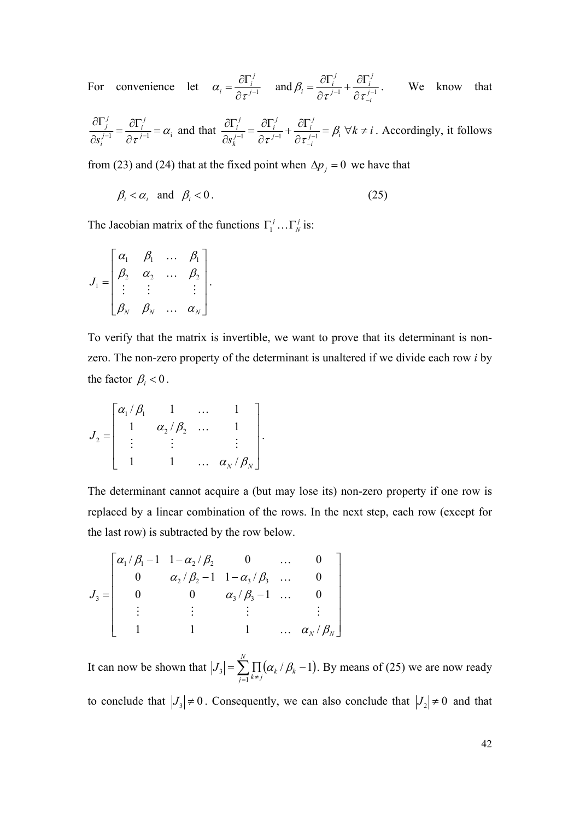For convenience let  $\alpha_i = \frac{\partial \Gamma_i^j}{\partial \tau^{j-1}}$  $\alpha_i = \frac{\sigma_i}{\partial \tau^{j-1}}$  and  $\beta_i = \frac{\sigma_i}{\partial \tau^{j-1}} + \frac{\sigma_i}{\partial \tau^{j-1}}$  $^{-1}$   $\partial \tau_{-}^{j}$  $+\frac{\partial\Gamma}{\partial t}$  $= \frac{\partial \Gamma_i^j}{\partial \tau^{j-1}} + \frac{\partial \Gamma_i}{\partial \tau_j^j}$ *i j i j j*  $\beta_i = \frac{\sigma_i}{\partial \tau^{j-1}} + \frac{\sigma_i}{\partial \tau^{j-1}}$ . We know that

$$
\frac{\partial \Gamma_j^j}{\partial s_i^{j-1}} = \frac{\partial \Gamma_i^j}{\partial \tau^{j-1}} = \alpha_i
$$
 and that 
$$
\frac{\partial \Gamma_i^j}{\partial s_k^{j-1}} = \frac{\partial \Gamma_i^j}{\partial \tau^{j-1}} + \frac{\partial \Gamma_i^j}{\partial \tau_{-i}^{j-1}} = \beta_i \ \forall k \neq i
$$
. Accordingly, it follows

<span id="page-42-0"></span>from [\(23](#page-41-1)) and ([24\)](#page-41-2) that at the fixed point when  $\Delta p_j = 0$  we have that

$$
\beta_i < \alpha_i \quad \text{and} \quad \beta_i < 0 \tag{25}
$$

The Jacobian matrix of the functions  $\Gamma_1^j \dots \Gamma_N^j$  is:  $\Gamma_1^j$  ...  $\Gamma$ 

$$
J_1 = \begin{bmatrix} \alpha_1 & \beta_1 & \dots & \beta_1 \\ \beta_2 & \alpha_2 & \dots & \beta_2 \\ \vdots & \vdots & & \vdots \\ \beta_N & \beta_N & \dots & \alpha_N \end{bmatrix}.
$$

To verify that the matrix is invertible, we want to prove that its determinant is nonzero. The non-zero property of the determinant is unaltered if we divide each row *i* by the factor  $\beta_i < 0$ .

$$
J_2 = \begin{bmatrix} \alpha_1/\beta_1 & 1 & \dots & 1 \\ 1 & \alpha_2/\beta_2 & \dots & 1 \\ \vdots & \vdots & & \vdots \\ 1 & 1 & \dots & \alpha_N/\beta_N \end{bmatrix}.
$$

The determinant cannot acquire a (but may lose its) non-zero property if one row is replaced by a linear combination of the rows. In the next step, each row (except for the last row) is subtracted by the row below.

$$
J_3 = \begin{bmatrix} \alpha_1/\beta_1 - 1 & 1 - \alpha_2/\beta_2 & 0 & \dots & 0 \\ 0 & \alpha_2/\beta_2 - 1 & 1 - \alpha_3/\beta_3 & \dots & 0 \\ 0 & 0 & \alpha_3/\beta_3 - 1 & \dots & 0 \\ \vdots & \vdots & \vdots & \vdots & \vdots \\ 1 & 1 & 1 & \dots & \alpha_N/\beta_N \end{bmatrix}
$$

It can now be shown that  $|J_3| = \sum_{j=1}^{N} \prod_{k \neq j} (\alpha_k / \beta_k$ *j*  $J_3$  =  $\sum_{i=1}$   $\prod_{k \neq j} (\alpha_k / \beta_k)$ 1  $\mathcal{L}_3 = \sum \prod (\alpha_k / \beta_k - 1)$ . By means of [\(25](#page-42-0)) we are now ready to conclude that  $|J_3| \neq 0$ . Consequently, we can also conclude that  $|J_2| \neq 0$  and that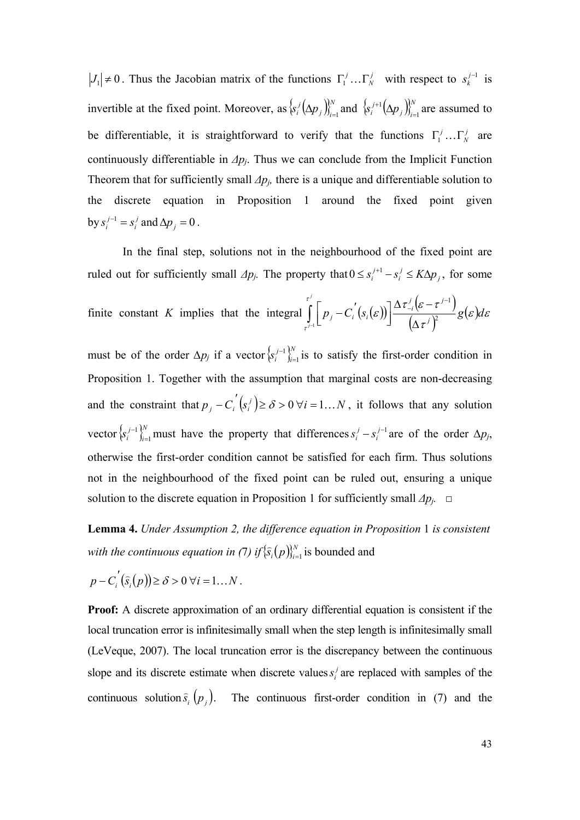$J_1 \neq 0$ . Thus the Jacobian matrix of the functions  $\Gamma_1^j \dots \Gamma_N^j$  with respect to  $s_k^{j-1}$  is invertible at the fixed point. Moreover, as  $\{s_i^j(\Delta p_i)\}_{i=1}^N$ *N*  $\Gamma_1^j$  ...  $\Gamma_N^j$  with respect to  $s_k^{j-1}$ *i j*  $\left\{\left(\frac{s}{f}\right)_{i=1}^{N}$  and  $\left\{\left(\frac{s}{f}\right)^{i+1} \left(\Delta p_j\right)\right\}_{i=1}^{N}$  are assumed to be differentiable, it is straightforward to verify that the functions  $\Gamma_1^j \dots \Gamma_N^j$  are continuously differentiable in *Δpj*. Thus we can conclude from the Implicit Function Theorem that for sufficiently small *Δpj,* there is a unique and differentiable solution to the discrete equation in Proposition [1](#page-14-1) around the fixed point given by  $s_i^{j-1} = s_i^j$  and  $\Delta p_j = 0$ .  $s_i^{j-1} = s_i^j$  and  $\Delta p_j = 0$ 

*ruled out for sufficiently small*  $\Delta p_j$ *. The property that*  $0 \le s_i^{j+1} - s_i^j \le K \Delta p_j$ *, for some*  $(s_i(\varepsilon))$  $(\varepsilon - \tau^{j-1})$  $(\Delta \, \tau^{\,j} \,)$ In the final step, solutions not in the neighbourhood of the fixed point are finite constant *K* implies that the integral  $\iint_{\mathbb{R}^d} \left[ p_j - C_i \left( s_i(\varepsilon) \right) \right] \frac{d^2 v_j(\varepsilon)}{(\Delta \tau)^2} g(\varepsilon) d\varepsilon$  $\mathsf I$ *j*  $\int_{I^{-1}}\left\lfloor p_j\right\rfloor$ τ  $\int_{\tau^{j-1}}^{\tau^{j}}$ Δ ⎥⎦ ⎤ <sup>−</sup> *j i* τ  $\tau_{-i}^j\big(\varepsilon-\tau^{j-1}$ *j*  $\tau^j$ 2  $-C_i^{'}(s_i(\varepsilon))\bigg]\frac{\Delta\tau^j_{-i}(\varepsilon-\tau^{j-1})}{(s_i-\tau)^2}g(\varepsilon)d\varepsilon$ must be of the order  $\Delta p_j$  if a vector  $\{S_i^{j-1}\}_{i=1}^N$  $i = 1$ 1 =  $\left\{ s_i^{j-1} \right\}_{i=1}^N$  is to satisfy the first-order condition in Proposition [1.](#page-14-1) Together with the assumption that marginal costs are non-decreasing and the constraint that  $p_j - C_i'(s_i') \ge \delta > 0 \ \forall i = 1...N$ , it follows that any solution  $-S_i^j$ vector  $\left\{ s_i^{j-1} \right\}_{i=1}^N$  must have the property that differences  $s_i^j - s_i^{j-1}$  are of the order  $\Delta p_j$ , otherwise the first-order condition cannot be satisfied for each firm. Thus solutions not in the neighbourhood of the fixed point can be ruled out, ensuring a unique solution to the discrete equation in Proposition [1](#page-14-1) for sufficiently small  $\Delta p_j$ .  $\Box$ *i*=1  $\left\{ \sum_{i=1}^{j-1} \int_{i=1}^{N} \text{must have the property that differences } s_i^j - s_i^{j-1} \right\}$ 

<span id="page-43-0"></span>**Lemma 4.** *Under Assumption 2, the difference equation in Proposition* [1](#page-14-1) *is consistent with the continuous equation in ([7](#page-16-0)) if*  $\{\widehat{s}_i(p)\}_{i=1}^N$  is bounded and

$$
p - C_i^{'}(\widehat{s_i}(p)) \ge \delta > 0 \,\forall i = 1...N.
$$

**Proof:** A discrete approximation of an ordinary differential equation is consistent if the local truncation error is infinitesimally small when the step length is infinitesimally small (LeVeque, 2007). The local truncation error is the discrepancy between the continuous slope and its discrete estimate when discrete values  $s_i$  are replaced with samples of the continuous solution  $\hat{s}_i(p_j)$ The continuous first-order condition in  $(7)$  and the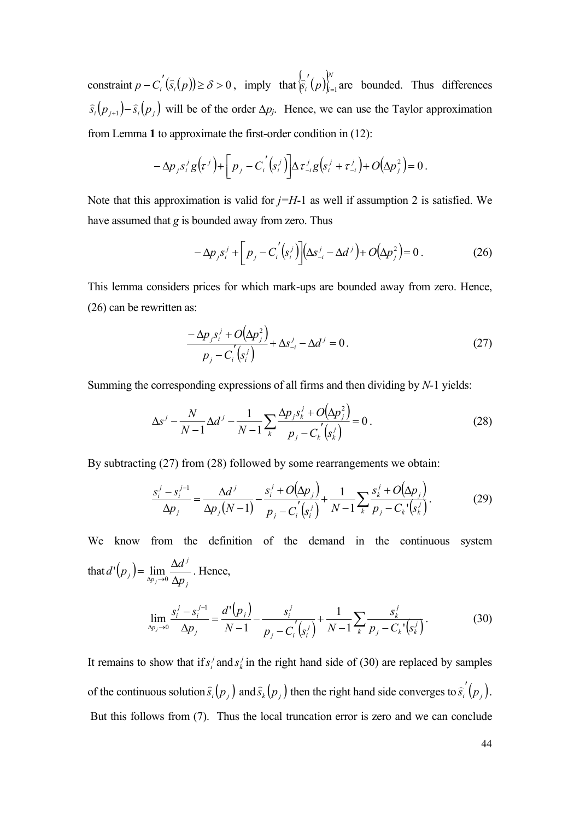constraint  $p - C_i'(\widehat{s_i}(p)) \ge \delta > 0$ , imply that  $\left\{\widehat{s_i}'(p)\right\}_{j=1}^N$  are bounded. Thus differences  $(\widehat{s}_{i}(p_{j+1}) - \widehat{s}_{i}(p_{j}))$  will be of the order  $\Delta p_{j}$ . Hence, we can use the Taylor approximation from Lemma **[1](#page-33-0)** to approximate the first-order condition in [\(12\)](#page-32-2):

$$
-\Delta p_j s_i^j g(\tau^j)+\Big[p_j-C_i^{'}(s_i^j)\Big]\Delta \tau_{-i}^j g(s_i^j+\tau_{-i}^j)+O(\Delta p_j^2)=0.
$$

Note that this approximation is valid for  $j=H-1$  as well if assumption 2 is satisfied. We have assumed that *g* is bounded away from zero. Thus

$$
-\Delta p_j s_i^j + \left[ p_j - C_i' \left( s_i^j \right) \right] \left( \Delta s_{-i}^j - \Delta d^j \right) + O\left( \Delta p_j^2 \right) = 0. \tag{26}
$$

<span id="page-44-1"></span><span id="page-44-0"></span>This lemma considers prices for which mark-ups are bounded away from zero. Hence, ([26](#page-44-0)) can be rewritten as:

$$
\frac{-\Delta p_j s_i^j + O(\Delta p_j^2)}{p_j - C_i^{'}(s_i^j)} + \Delta s_{-i}^j - \Delta d^j = 0.
$$
 (27)

<span id="page-44-2"></span>Summing the corresponding expressions of all firms and then dividing by *N-*1 yields:

$$
\Delta s^{j} - \frac{N}{N-1} \Delta d^{j} - \frac{1}{N-1} \sum_{k} \frac{\Delta p_{j} s_{k}^{j} + O(\Delta p_{j}^{2})}{p_{j} - C_{k}^{'}(s_{k}^{j})} = 0.
$$
 (28)

<span id="page-44-4"></span>By subtracting [\(27](#page-44-1)) from ([28\)](#page-44-2) followed by some rearrangements we obtain:

$$
\frac{s_i^j - s_i^{j-1}}{\Delta p_j} = \frac{\Delta d^j}{\Delta p_j (N-1)} - \frac{s_i^j + O(\Delta p_j)}{p_j - C_i^{'}(s_i^j)} + \frac{1}{N-1} \sum_k \frac{s_k^j + O(\Delta p_j)}{p_j - C_k^{'}(s_k^j)}.
$$
(29)

that  $d'(p)$ We know from the definition of the demand in the continuous system *j j*  $d'(p_{j}) = \lim_{\Delta p_{j} \to 0}$ *p d* Δ Δ  $\frac{\Delta u}{\Delta p}$ . Hence,

$$
\lim_{\Delta p_j \to 0} \frac{s_i^j - s_i^{j-1}}{\Delta p_j} = \frac{d^{\prime}(p_j)}{N-1} - \frac{s_i^j}{p_j - C_i^{'}(s_i^j)} + \frac{1}{N-1} \sum_k \frac{s_k^j}{p_j - C_k^{'}(s_k^j)}.
$$
(30)

<span id="page-44-3"></span>It remains to show that if  $s_i^j$  and  $s_k^j$  in the right hand side of ([30\)](#page-44-3) are replaced by samples of the continuous solution  $\hat{s}_i(p_j)$  and  $\hat{s}_k(p_j)$  then the right hand side converges to  $\hat{s}_i'(p_j)$ . But this follows from ( [7\)](#page-16-0). Thus the local truncation error is zero and we can conclude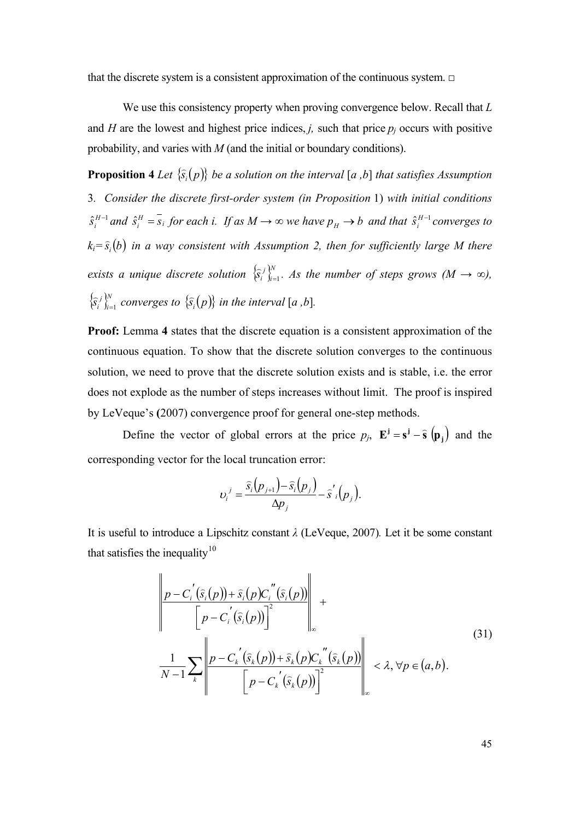that the discrete system is a consistent approximation of the continuous system.  $\Box$ 

We use this consistency property when proving convergence below. Recall that *L*  and *H* are the lowest and highest price indices, *j*, such that price  $p_j$  occurs with positive probability, and varies with *M* (and the initial or boundary conditions).

<span id="page-45-0"></span>**Proposition 4** *Let*  $\{\hat{s}_i(p)\}\$  *be a solution on the interval* [*a ,b*] *that satisfies Assumption* 3*. Consider the discrete first-order system (in Proposition* 1) *with initial conditions*   $\hat{s}_i^{H-1}$  and  $\hat{s}_i^H = s_i$  for each i. If as  $M \to \infty$  we have  $p_H \to b$  and that  $\hat{s}_i^{H-1}$  converges to  $k_i = \widehat{s}_i(b)$  *in a way consistent with Assumption 2, then for sufficiently large M there exists a unique discrete solution*  $\{S_i\}_{i=1}^N$ *i*  $\left(\sum_{i}^{n} j_{i=1}^{N} \right)$ . As the number of steps grows  $(M \to \infty)$ ,  $\left\{\widehat{s}_{i}^{j}\right\}_{i=1}^{N}$  $\left\{\widehat{s}_i^j\right\}_{i=1}^N$  converges to  $\left\{\widehat{s}_i(p)\right\}$  in the interval [*a* ,*b*].

**Proof:** Lemma **[4](#page-43-0)** states that the discrete equation is a consistent approximation of the continuous equation. To show that the discrete solution converges to the continuous solution, we need to prove that the discrete solution exists and is stable, i.e. the error does not explode as the number of steps increases without limit. The proof is inspired by LeVeque's **(**2007) convergence proof for general one-step methods.

Define the vector of global errors at the price  $p_j$ ,  $\mathbf{E}^j = \mathbf{s}^j - \hat{\mathbf{s}} \left( \mathbf{p}_j \right)$  and the corresponding vector for the local truncation error:

$$
v_i^{\ j} = \frac{\widehat{s}_i(p_{j+1}) - \widehat{s}_i(p_j)}{\Delta p_j} - \widehat{s}'_i(p_j).
$$

<span id="page-45-2"></span><span id="page-45-1"></span>It is useful to introduce a Lipschitz constant *λ* (LeVeque, 2007)*.* Let it be some constant that satisfies the inequality<sup>[10](#page-45-1)</sup>

$$
\left\| p - C_i'(\widehat{s_i}(p)) + \widehat{s_i}(p)C_i''(\widehat{s_i}(p)) \right\|_p + \left[ p - C_i'(\widehat{s_i}(p)) \right]^2 \right\|_p
$$
\n
$$
\frac{1}{N-1} \sum_k \left\| p - C_k'(\widehat{s_k}(p)) + \widehat{s_k}(p)C_k''(\widehat{s_k}(p)) \right\|_p < \lambda, \forall p \in (a, b).
$$
\n(31)

45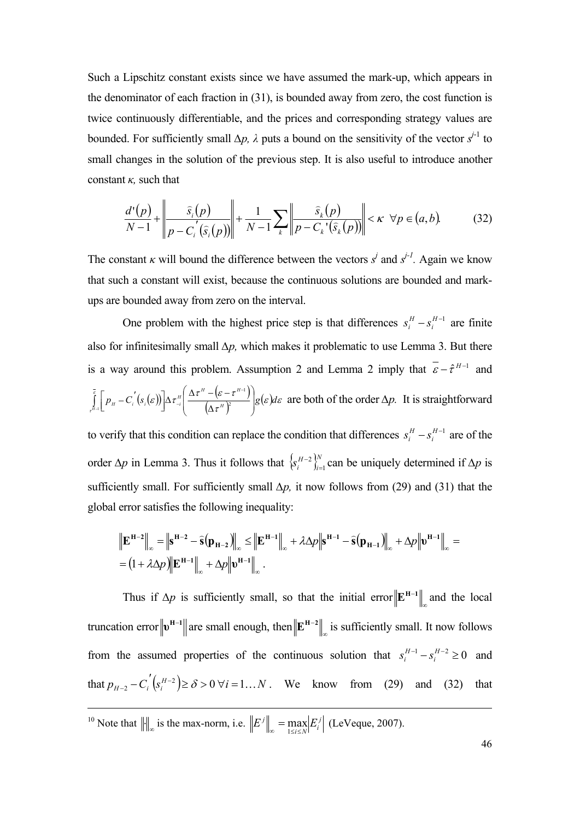Such a Lipschitz constant exists since we have assumed the mark-up, which appears in the denominator of each fraction in ([31](#page-45-2)), is bounded away from zero, the cost function is twice continuously differentiable, and the prices and corresponding strategy values are bounded. For sufficiently small *∆p, λ* puts a bound on the sensitivity of the vector *s <sup>j</sup>*-1 to small changes in the solution of the previous step. It is also useful to introduce another constant *κ,* such that

$$
\frac{d'(p)}{N-1} + \left\| \frac{\widehat{s}_i(p)}{p - C_i'(\widehat{s}_i(p))} \right\| + \frac{1}{N-1} \sum_{k} \left\| \frac{\widehat{s}_k(p)}{p - C_k'(\widehat{s}_k(p))} \right\| < \kappa \ \ \forall p \in (a, b). \tag{32}
$$

<span id="page-46-0"></span>The constant  $\kappa$  will bound the difference between the vectors  $s^j$  and  $s^{j-l}$ . Again we know that such a constant will exist, because the continuous solutions are bounded and markups are bounded away from zero on the interval.

One problem with the highest price step is that differences  $s_i^H - s_i^{H-1}$  are finite also for infinitesimally small *∆p,* which makes it problematic to use Lemma [3.](#page-40-0) But there  $s_i^H - s$ is a way around this problem. Assumption [2](#page-35-0) and Lemma 2 imply that  $\bar{\varepsilon} - \hat{\tau}^{H-1}$  and  $\int\limits_{\epsilon_{i-1}}^{\epsilon} \bigg[ p_{_H} - C^{'}_i\big(s^{}_{i}(\varepsilon)\big) \bigg] \!\Delta\, \tau_{_{-i}}^{_H} \bigg[ \frac{\Delta\,\tau^{\,\prime\prime} - (\varepsilon - \tau^{\,\prime\prime -1})}{\big(\Delta\,\tau^{\,\prime\prime}\big)^2} \bigg] g\big(\varepsilon\big)$ ⎟ ⎠ ⎞  $\overline{\phantom{a}}$ ⎜ ⎝ ⎛ Δ  $\bigg[\,p_{_H}-C^{'}_i\big(s_i(\varepsilon)\big)\bigg]\Delta\tau_{-i}^{_H}\bigg[\frac{\Delta\tau^{_H}-(\varepsilon-\tau^{^{_H-}})}{\big(\Delta\tau^{^{_H}}\big)^2}$ − ε τ ε ιαε τ  $\mathcal{T}_n \left[ p_{_H} - C_i^{'}(s_i(\varepsilon)) \middle| \Delta \tau_{_{-i}}^{_H} \right] \frac{\Delta \tau^{_{--}} - (\varepsilon - \tau)}{\left(\Delta \tau^{_H}\right)^2}$ 1  $\int_{H_{-i}}^H \left| P_H - C_i \left( s_i(\varepsilon) \right) \right| \Delta \tau_{-i}^H \left| \frac{\Delta \tau_{-i}^H}{\left( \Delta \tau^H \right)^2} \right| g(\varepsilon) d\tau$  $\int_{H}^{H} -C_{i}^{'}(s_{i}(\varepsilon))\left[\Delta\tau_{i}^{H}\left(\frac{\Delta\tau_{i}^{H}-\left(\varepsilon-\tau_{i}^{H}-1\right)}{\left(\varepsilon-\mu\right)^{2}}\right)g(\varepsilon)d\varepsilon$  are both of the order  $\Delta p$ . It is straightforward to verify that this condition can replace the condition that differences  $s_i^H - s_i^{H-1}$  are of the order  $\Delta p$  in Lemma [3.](#page-40-0) Thus it follows that  $\{s_i^{H-2}\}_{i=1}^N$ *i i*  $s_i^{H-2}$ =  $\int_{i=1}^{3}$  can be uniquely determined if  $\Delta p$  is sufficiently small. For sufficiently small *∆p,* it now follows from ([29](#page-44-4)) and ([31](#page-45-2)) that the global error satisfies the following inequality:

$$
\|\mathbf{E}^{H-2}\|_{\infty} = \left\|\mathbf{s}^{H-2} - \widehat{\mathbf{s}}(\mathbf{p}_{H-2})\right\|_{\infty} \le \left\|\mathbf{E}^{H-1}\right\|_{\infty} + \lambda \Delta p \left\|\mathbf{s}^{H-1} - \widehat{\mathbf{s}}(\mathbf{p}_{H-1})\right\|_{\infty} + \Delta p \left\|\mathbf{v}^{H-1}\right\|_{\infty} =
$$
  
=  $(1 + \lambda \Delta p) \|\mathbf{E}^{H-1}\|_{\infty} + \Delta p \|\mathbf{v}^{H-1}\|_{\infty}.$ 

Thus if  $\Delta p$  is sufficiently small, so that the initial error  $\left\| \mathbf{E}^{\mathbf{H} - 1} \right\|_{\infty}$  and the local truncation error  $\|\mathbf{v}^{H-1}\|$  are small enough, then  $\|\mathbf{E}^{H-2}\|_{\infty}$  is sufficiently small. It now follows from the assumed properties of the continuous solution that  $s_i^{H-1} - s_i^{H-2} \ge 0$  and that  $p_{H-2} - C_i'(s_i^{H-2}) \ge \delta > 0 \ \forall i = 1...N$ . We know from ([29](#page-44-4)) and [\(32](#page-46-0)) that  $s_i^{H-1} - s$ -

*j* <sup>10</sup> Note that  $\|\cdot\|_{\infty}$  is the max-norm, i.e.  $||E^j||_{\infty} = \max_{1 \le i \le N} |E_i^j|$  (LeVeque, 2007).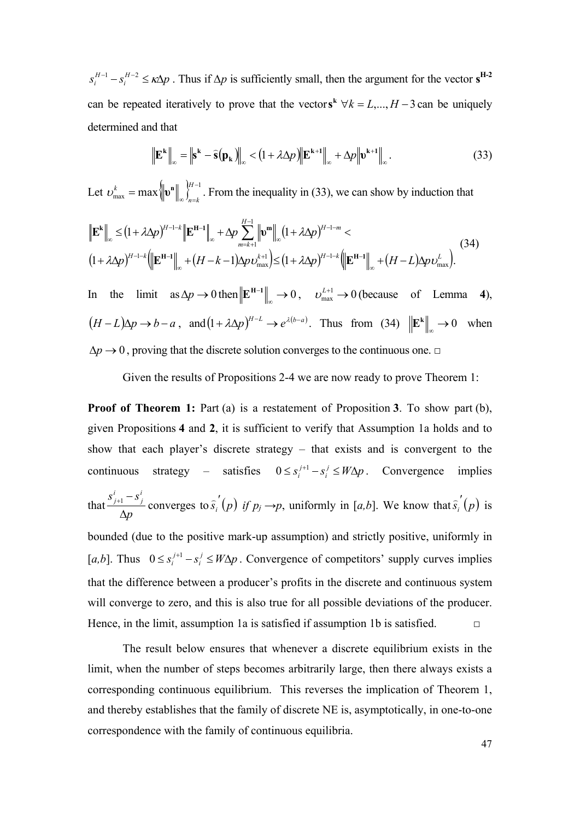$s_i^{H-1} - s_i^{H-2} \leq \kappa \Delta p$ *i*  $\sum_{i=1}^{H-1} - s_i^{H-2} \le \kappa \Delta p$ . Thus if  $\Delta p$  is sufficiently small, then the argument for the vector s<sup>H-2</sup> can be repeated iteratively to prove that the vectors<sup>k</sup>  $\forall k = L,..., H-3$  can be uniquely determined and that

$$
\|\mathbf{E}^{\mathbf{k}}\|_{\infty} = \left\|\mathbf{s}^{\mathbf{k}} - \widehat{\mathbf{s}}(\mathbf{p}_{\mathbf{k}})\right\|_{\infty} < \left(1 + \lambda \Delta p\right) \|\mathbf{E}^{\mathbf{k} + 1}\|_{\infty} + \Delta p \left\|\mathbf{v}^{\mathbf{k} + 1}\right\|_{\infty}.\tag{33}
$$

<span id="page-47-0"></span>Let  $v_{\text{max}}^k = \max \left\{ \left\| \mathbf{v}^n \right\|_{\infty} \right\}_{n=k}^{H-1}$ . From the inequality in ([33](#page-47-0)), we can show by induction that

<span id="page-47-1"></span>
$$
\|\mathbf{E}^{k}\|_{\infty} \leq (1 + \lambda \Delta p)^{H-1-k} \|\mathbf{E}^{H-1}\|_{\infty} + \Delta p \sum_{m=k+1}^{H-1} \|\mathbf{v}^{m}\|_{\infty} (1 + \lambda \Delta p)^{H-1-m} (1 + \lambda \Delta p)^{H-1-k} \left(\|\mathbf{E}^{H-1}\|_{\infty} + (H-k-1)\Delta p \mathbf{v}_{\max}^{k+1}\right) \leq (1 + \lambda \Delta p)^{H-1-k} \left(\|\mathbf{E}^{H-1}\|_{\infty} + (H-L)\Delta p \mathbf{v}_{\max}^{L}\right).
$$
\n(34)

In the limit as  $\Delta p \to 0$  then  $\|\mathbf{E}^{\mathbf{H}-1}\|_{\infty} \to 0$ ,  $\nu_{\max}^{L+1} \to 0$  (because of Lemma [4](#page-43-0)),  $(H-L)\Delta p \rightarrow b-a$ , and  $(1+\lambda\Delta p)^{H-L} \rightarrow e^{\lambda(b-a)}$ . Thus from ([34](#page-47-1))  $\|\mathbf{E}^{\mathbf{k}}\|_{\infty} \rightarrow 0$  when  $\Delta p \rightarrow 0$ , proving that the discrete solution converges to the continuous one.  $\Box$ 

Given the results of Propositions 2-4 we are now ready to prove Theorem 1:

**Proof of Theorem 1:** Part (a) is a restatement of Proposition **[3](#page-19-0)**. To show part (b), given Propositions **[4](#page-45-0)** and **[2](#page-19-1)**, it is sufficient to verify that Assumption 1a holds and to show that each player's discrete strategy – that exists and is convergent to the continuous strategy – satisfies  $0 \le s_i^{j+1} - s_i^j \le W \Delta p$ . Convergence implies that  $0 \leq s_i^{j+1} - s_i^j \leq W\Delta$ *p*  $s^i_{j+1} - s^i_j$ *i j* Δ  $\frac{(-1)^{i-1}-s^i}{s^i}$  converges to  $\hat{s}^{\prime}(p)$  *if*  $p_j \rightarrow p$ , uniformly in [*a,b*]. We know that  $\hat{s}^{\prime}(p)$  is bounded (due to the positive mark-up assumption) and strictly positive, uniformly in [ $a,b$ ]. Thus  $0 \le s_i^{j+1} - s_i^j \le W\Delta p$ . Convergence of competitors' supply curves implies that the difference between a producer's profits in the discrete and continuous system will converge to zero, and this is also true for all possible deviations of the producer. Hence, in the limit, assumption 1a is satisfied if assumption 1b is satisfied.  $□$  $0 \leq s_i^{j+1}$  −

The result below ensures that whenever a discrete equilibrium exists in the limit, when the number of steps becomes arbitrarily large, then there always exists a corresponding continuous equilibrium. This reverses the implication of Theorem 1, and thereby establishes that the family of discrete NE is, asymptotically, in one-to-one correspondence with the family of continuous equilibria.